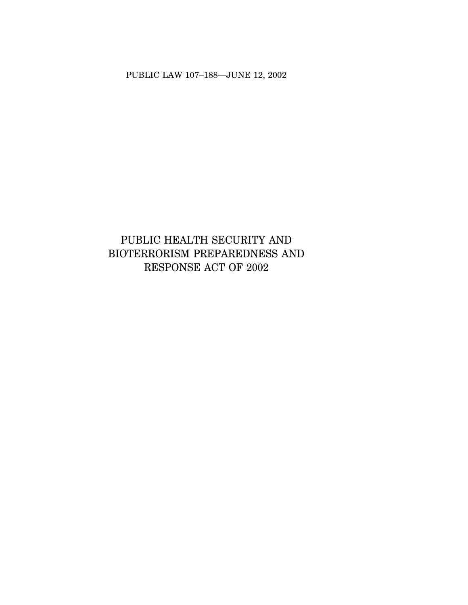PUBLIC LAW 107–188—JUNE 12, 2002

# PUBLIC HEALTH SECURITY AND BIOTERRORISM PREPAREDNESS AND RESPONSE ACT OF 2002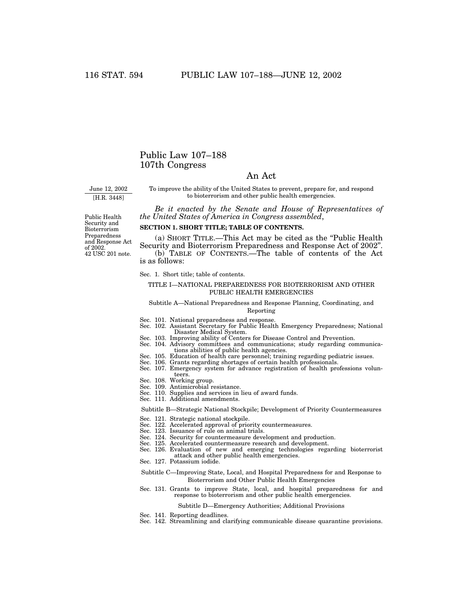### Public Law 107–188 107th Congress

### An Act

June 12, 2002

[H.R. 3448]

To improve the ability of the United States to prevent, prepare for, and respond to bioterrorism and other public health emergencies.

*Be it enacted by the Senate and House of Representatives of the United States of America in Congress assembled*,

42 USC 201 note. Public Health Security and Bioterrorism Preparedness and Response Act of 2002.

#### **SECTION 1. SHORT TITLE; TABLE OF CONTENTS.**

(a) SHORT TITLE.—This Act may be cited as the ''Public Health Security and Bioterrorism Preparedness and Response Act of 2002''. (b) TABLE OF CONTENTS.—The table of contents of the Act is as follows:

#### Sec. 1. Short title; table of contents.

#### TITLE I—NATIONAL PREPAREDNESS FOR BIOTERRORISM AND OTHER PUBLIC HEALTH EMERGENCIES

#### Subtitle A—National Preparedness and Response Planning, Coordinating, and Reporting

- Sec. 101. National preparedness and response.
- Sec. 102. Assistant Secretary for Public Health Emergency Preparedness; National Disaster Medical System.
- Sec. 103. Improving ability of Centers for Disease Control and Prevention.
- Sec. 104. Advisory committees and communications; study regarding communications abilities of public health agencies. Sec. 105. Education of health care personnel; training regarding pediatric issues.
- 
- Sec. 106. Grants regarding shortages of certain health professionals.
- Sec. 107. Emergency system for advance registration of health professions volunteers.
- Sec. 108. Working group.
- Sec. 109. Antimicrobial resistance. Sec. 110. Supplies and services in lieu of award funds.
- Sec. 111. Additional amendments.

#### Subtitle B—Strategic National Stockpile; Development of Priority Countermeasures

- Sec. 121. Strategic national stockpile.
- Sec. 122. Accelerated approval of priority countermeasures.
- Sec. 123. Issuance of rule on animal trials.
- Sec. 124. Security for countermeasure development and production.
- Sec. 125. Accelerated countermeasure research and development.
- Sec. 126. Evaluation of new and emerging technologies regarding bioterrorist
- attack and other public health emergencies.
- Sec. 127. Potassium iodide.

#### Subtitle C—Improving State, Local, and Hospital Preparedness for and Response to Bioterrorism and Other Public Health Emergencies

Sec. 131. Grants to improve State, local, and hospital preparedness for and response to bioterrorism and other public health emergencies.

#### Subtitle D—Emergency Authorities; Additional Provisions

- Sec. 141. Reporting deadlines.
- Sec. 142. Streamlining and clarifying communicable disease quarantine provisions.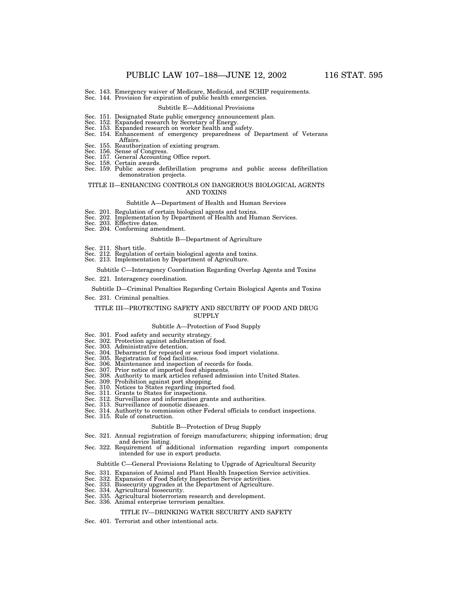- Sec. 143. Emergency waiver of Medicare, Medicaid, and SCHIP requirements. Sec. 144. Provision for expiration of public health emergencies.
	-

#### Subtitle E—Additional Provisions

- Sec. 151. Designated State public emergency announcement plan. Sec. 152. Expanded research by Secretary of Energy. Sec. 153. Expanded research on worker health and safety.
- 
- 
- Sec. 154. Enhancement of emergency preparedness of Department of Veterans Affairs.
- Sec. 155. Reauthorization of existing program. Sec. 156. Sense of Congress. Sec. 157. General Accounting Office report.
- 
- Sec. 158. Certain awards.
- Sec. 159. Public access defibrillation programs and public access defibrillation demonstration projects.

#### TITLE II—ENHANCING CONTROLS ON DANGEROUS BIOLOGICAL AGENTS AND TOXINS

#### Subtitle A—Department of Health and Human Services

- Sec. 201. Regulation of certain biological agents and toxins.
- Sec. 202. Implementation by Department of Health and Human Services.
- Sec. 203. Effective dates.
- Sec. 204. Conforming amendment.

#### Subtitle B—Department of Agriculture

- Sec. 211. Short title.<br>Sec. 212. Regulation
- Sec. 212. Regulation of certain biological agents and toxins. Sec. 213. Implementation by Department of Agriculture.
- 

#### Subtitle C—Interagency Coordination Regarding Overlap Agents and Toxins

Sec. 221. Interagency coordination.

Subtitle D—Criminal Penalties Regarding Certain Biological Agents and Toxins Sec. 231. Criminal penalties.

#### TITLE III—PROTECTING SAFETY AND SECURITY OF FOOD AND DRUG SUPPLY

#### Subtitle A—Protection of Food Supply

- 
- Sec. 301. Food safety and security strategy. Sec. 302. Protection against adulteration of food. Sec. 303. Administrative detention.
- 
- Sec. 304. Debarment for repeated or serious food import violations.
- Sec. 305. Registration of food facilities.
- Sec. 306. Maintenance and inspection of records for foods. Sec. 307. Prior notice of imported food shipments.
- 
- Sec. 308. Authority to mark articles refused admission into United States. Sec. 309. Prohibition against port shopping. Sec. 310. Notices to States regarding imported food. Sec. 311. Grants to States for inspections.
- 
- 
- Sec. 312. Surveillance and information grants and authorities. Sec. 313. Surveillance of zoonotic diseases.
- 
- Sec. 314. Authority to commission other Federal officials to conduct inspections. Sec. 315. Rule of construction.

### Subtitle B—Protection of Drug Supply

- Sec. 321. Annual registration of foreign manufacturers; shipping information; drug
- and device listing. Sec. 322. Requirement of additional information regarding import components intended for use in export products.

#### Subtitle C—General Provisions Relating to Upgrade of Agricultural Security

- Sec. 331. Expansion of Animal and Plant Health Inspection Service activities.<br>Sec. 332. Expansion of Food Safety Inspection Service activities.<br>Sec. 333. Biosecurity upgrades at the Department of Agriculture.<br>Sec. 334. Agr
- 
- 
- 
- Sec. 335. Agricultural bioterrorism research and development.
- Sec. 336. Animal enterprise terrorism penalties.

#### TITLE IV—DRINKING WATER SECURITY AND SAFETY

Sec. 401. Terrorist and other intentional acts.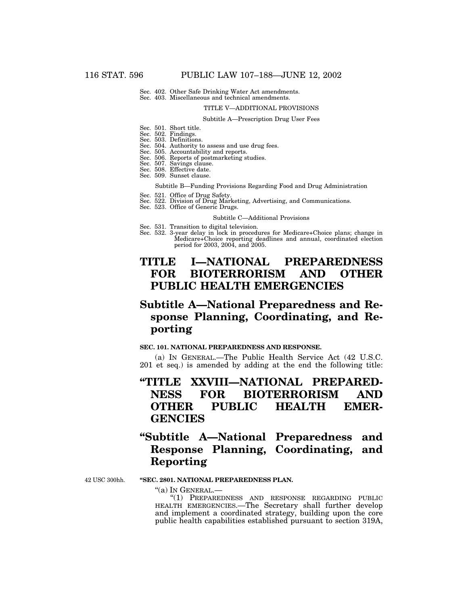- Sec. 402. Other Safe Drinking Water Act amendments. Sec. 403. Miscellaneous and technical amendments.
	-

#### TITLE V—ADDITIONAL PROVISIONS

#### Subtitle A—Prescription Drug User Fees

- Sec. 501. Short title.
- Sec. 502. Findings.
- Sec. 503. Definitions.
- Sec. 504. Authority to assess and use drug fees. Sec. 505. Accountability and reports.
- 
- Sec. 506. Reports of postmarketing studies. Sec. 507. Savings clause.
- Sec. 508. Effective date.
- Sec. 509. Sunset clause.
	-

### Subtitle B—Funding Provisions Regarding Food and Drug Administration

- Sec. 521. Office of Drug Safety.
- Sec. 522. Division of Drug Marketing, Advertising, and Communications. Sec. 523. Office of Generic Drugs.
	-

#### Subtitle C—Additional Provisions

- 
- Sec. 531. Transition to digital television. Sec. 532. 3-year delay in lock in procedures for Medicare+Choice plans; change in Medicare+Choice reporting deadlines and annual, coordinated election period for 2003, 2004, and 2005.

# **TITLE I—NATIONAL PREPAREDNESS FOR BIOTERRORISM AND OTHER PUBLIC HEALTH EMERGENCIES**

## **Subtitle A—National Preparedness and Response Planning, Coordinating, and Reporting**

#### **SEC. 101. NATIONAL PREPAREDNESS AND RESPONSE.**

(a) IN GENERAL.—The Public Health Service Act (42 U.S.C. 201 et seq.) is amended by adding at the end the following title:

# **''TITLE XXVIII—NATIONAL PREPARED-NESS FOR BIOTERRORISM AND OTHER PUBLIC HEALTH EMER-GENCIES**

## **''Subtitle A—National Preparedness and Response Planning, Coordinating, and Reporting**

42 USC 300hh.

#### **''SEC. 2801. NATIONAL PREPAREDNESS PLAN.**

''(a) IN GENERAL.—

''(1) PREPAREDNESS AND RESPONSE REGARDING PUBLIC HEALTH EMERGENCIES.—The Secretary shall further develop and implement a coordinated strategy, building upon the core public health capabilities established pursuant to section 319A,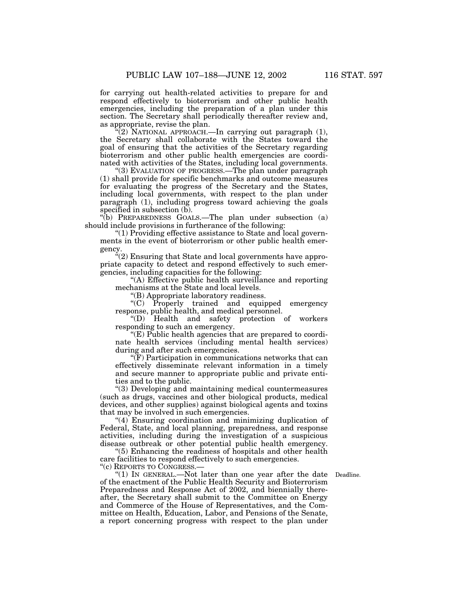for carrying out health-related activities to prepare for and respond effectively to bioterrorism and other public health emergencies, including the preparation of a plan under this section. The Secretary shall periodically thereafter review and, as appropriate, revise the plan.

 $\sqrt[4]{(2)}$  NATIONAL APPROACH.—In carrying out paragraph (1), the Secretary shall collaborate with the States toward the goal of ensuring that the activities of the Secretary regarding bioterrorism and other public health emergencies are coordinated with activities of the States, including local governments.

"(3) EVALUATION OF PROGRESS.—The plan under paragraph (1) shall provide for specific benchmarks and outcome measures for evaluating the progress of the Secretary and the States, including local governments, with respect to the plan under paragraph (1), including progress toward achieving the goals specified in subsection (b).

''(b) PREPAREDNESS GOALS.—The plan under subsection (a) should include provisions in furtherance of the following:

''(1) Providing effective assistance to State and local governments in the event of bioterrorism or other public health emergency.

 $\cdot$ (2) Ensuring that State and local governments have appropriate capacity to detect and respond effectively to such emergencies, including capacities for the following:

''(A) Effective public health surveillance and reporting mechanisms at the State and local levels.

''(B) Appropriate laboratory readiness.

''(C) Properly trained and equipped emergency response, public health, and medical personnel.

''(D) Health and safety protection of workers responding to such an emergency.

''(E) Public health agencies that are prepared to coordinate health services (including mental health services) during and after such emergencies.

 $\mathcal{F}(F)$  Participation in communications networks that can effectively disseminate relevant information in a timely and secure manner to appropriate public and private entities and to the public.

''(3) Developing and maintaining medical countermeasures (such as drugs, vaccines and other biological products, medical devices, and other supplies) against biological agents and toxins that may be involved in such emergencies.

''(4) Ensuring coordination and minimizing duplication of Federal, State, and local planning, preparedness, and response activities, including during the investigation of a suspicious disease outbreak or other potential public health emergency.

''(5) Enhancing the readiness of hospitals and other health care facilities to respond effectively to such emergencies. ''(c) REPORTS TO CONGRESS.—

Deadline.

"(1) IN GENERAL.—Not later than one year after the date of the enactment of the Public Health Security and Bioterrorism Preparedness and Response Act of 2002, and biennially thereafter, the Secretary shall submit to the Committee on Energy and Commerce of the House of Representatives, and the Committee on Health, Education, Labor, and Pensions of the Senate, a report concerning progress with respect to the plan under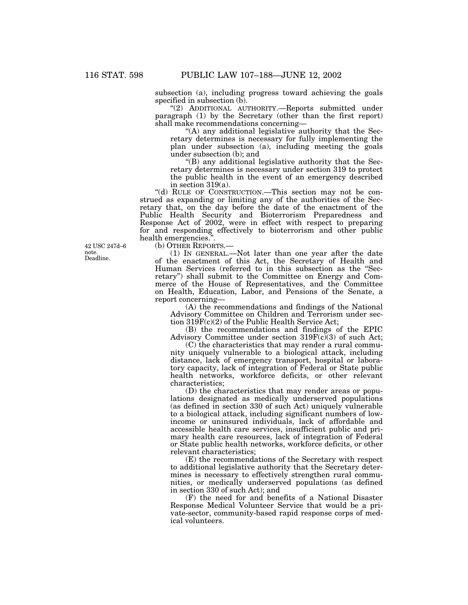subsection (a), including progress toward achieving the goals specified in subsection (b).

"(2) ADDITIONAL AUTHORITY.—Reports submitted under paragraph  $(1)$  by the Secretary (other than the first report) shall make recommendations concerning—

"(A) any additional legislative authority that the Secretary determines is necessary for fully implementing the plan under subsection (a), including meeting the goals

" $(B)$  any additional legislative authority that the Secretary determines is necessary under section 319 to protect the public health in the event of an emergency described

in section 319(a).  $\degree$  (d) RULE OF CONSTRUCTION.—This section may not be construed as expanding or limiting any of the authorities of the Secretary that, on the day before the date of the enactment of the Public Health Security and Bioterrorism Preparedness and Response Act of 2002, were in effect with respect to preparing for and responding effectively to bioterrorism and other public health emergencies.".<br>(b) OTHER REPORTS.-

(1) IN GENERAL.—Not later than one year after the date of the enactment of this Act, the Secretary of Health and Human Services (referred to in this subsection as the ''Secretary'') shall submit to the Committee on Energy and Commerce of the House of Representatives, and the Committee on Health, Education, Labor, and Pensions of the Senate, a report concerning—

(A) the recommendations and findings of the National Advisory Committee on Children and Terrorism under section 319F(c)(2) of the Public Health Service Act;

(B) the recommendations and findings of the EPIC Advisory Committee under section  $319F(c)(3)$  of such Act;

(C) the characteristics that may render a rural community uniquely vulnerable to a biological attack, including distance, lack of emergency transport, hospital or laboratory capacity, lack of integration of Federal or State public health networks, workforce deficits, or other relevant characteristics;

(D) the characteristics that may render areas or populations designated as medically underserved populations (as defined in section 330 of such Act) uniquely vulnerable to a biological attack, including significant numbers of lowincome or uninsured individuals, lack of affordable and accessible health care services, insufficient public and primary health care resources, lack of integration of Federal or State public health networks, workforce deficits, or other relevant characteristics;

(E) the recommendations of the Secretary with respect to additional legislative authority that the Secretary determines is necessary to effectively strengthen rural communities, or medically underserved populations (as defined in section 330 of such Act); and

(F) the need for and benefits of a National Disaster Response Medical Volunteer Service that would be a private-sector, community-based rapid response corps of medical volunteers.

Deadline. 42 USC 247d–6 note.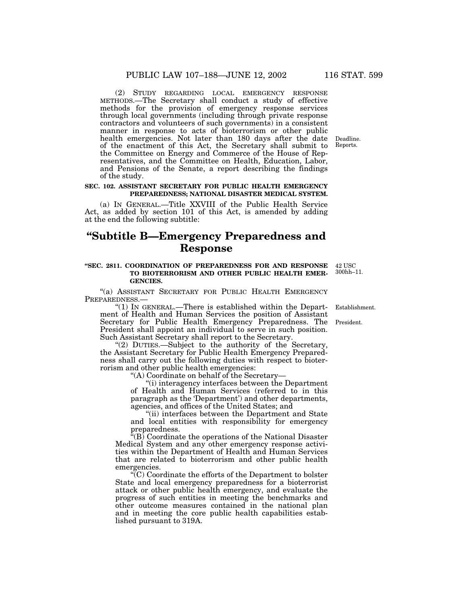(2) STUDY REGARDING LOCAL EMERGENCY RESPONSE METHODS.—The Secretary shall conduct a study of effective methods for the provision of emergency response services through local governments (including through private response contractors and volunteers of such governments) in a consistent manner in response to acts of bioterrorism or other public health emergencies. Not later than 180 days after the date of the enactment of this Act, the Secretary shall submit to the Committee on Energy and Commerce of the House of Representatives, and the Committee on Health, Education, Labor, and Pensions of the Senate, a report describing the findings of the study.

#### **SEC. 102. ASSISTANT SECRETARY FOR PUBLIC HEALTH EMERGENCY PREPAREDNESS; NATIONAL DISASTER MEDICAL SYSTEM.**

(a) IN GENERAL.—Title XXVIII of the Public Health Service Act, as added by section 101 of this Act, is amended by adding at the end the following subtitle:

### **''Subtitle B—Emergency Preparedness and Response**

#### **''SEC. 2811. COORDINATION OF PREPAREDNESS FOR AND RESPONSE TO BIOTERRORISM AND OTHER PUBLIC HEALTH EMER-GENCIES.** 42 USC 300hh–11.

"(a) ASSISTANT SECRETARY FOR PUBLIC HEALTH EMERGENCY PREPAREDNESS.—

" $(1)$  In GENERAL.—There is established within the Department of Health and Human Services the position of Assistant Secretary for Public Health Emergency Preparedness. The President shall appoint an individual to serve in such position. Such Assistant Secretary shall report to the Secretary.

"(2) DUTIES.—Subject to the authority of the Secretary, the Assistant Secretary for Public Health Emergency Preparedness shall carry out the following duties with respect to bioterrorism and other public health emergencies:

''(A) Coordinate on behalf of the Secretary—

''(i) interagency interfaces between the Department of Health and Human Services (referred to in this paragraph as the 'Department') and other departments, agencies, and offices of the United States; and

''(ii) interfaces between the Department and State and local entities with responsibility for emergency preparedness.

 $*(B)$  Coordinate the operations of the National Disaster Medical System and any other emergency response activities within the Department of Health and Human Services that are related to bioterrorism and other public health emergencies.

''(C) Coordinate the efforts of the Department to bolster State and local emergency preparedness for a bioterrorist attack or other public health emergency, and evaluate the progress of such entities in meeting the benchmarks and other outcome measures contained in the national plan and in meeting the core public health capabilities established pursuant to 319A.

Establishment.

President.

Deadline. Reports.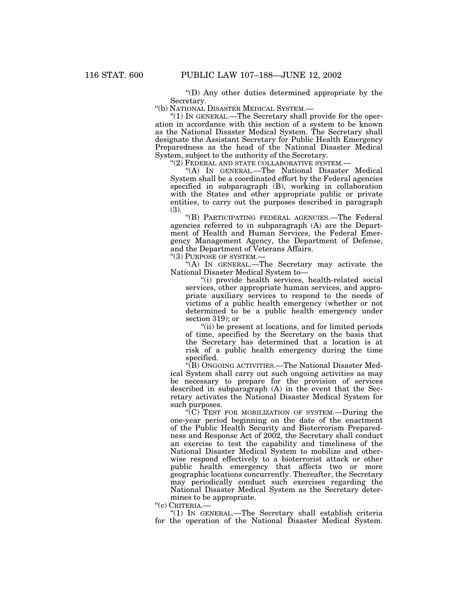''(D) Any other duties determined appropriate by the Secretary.

''(b) NATIONAL DISASTER MEDICAL SYSTEM.—

''(1) IN GENERAL.—The Secretary shall provide for the operation in accordance with this section of a system to be known as the National Disaster Medical System. The Secretary shall designate the Assistant Secretary for Public Health Emergency Preparedness as the head of the National Disaster Medical System, subject to the authority of the Secretary.

''(2) FEDERAL AND STATE COLLABORATIVE SYSTEM.—

''(A) IN GENERAL.—The National Disaster Medical System shall be a coordinated effort by the Federal agencies specified in subparagraph (B), working in collaboration with the States and other appropriate public or private entities, to carry out the purposes described in paragraph (3).

''(B) PARTICIPATING FEDERAL AGENCIES.—The Federal agencies referred to in subparagraph (A) are the Department of Health and Human Services, the Federal Emergency Management Agency, the Department of Defense, and the Department of Veterans Affairs.

''(3) PURPOSE OF SYSTEM.—

''(A) IN GENERAL.—The Secretary may activate the National Disaster Medical System to—

''(i) provide health services, health-related social services, other appropriate human services, and appropriate auxiliary services to respond to the needs of victims of a public health emergency (whether or not determined to be a public health emergency under section 319); or

''(ii) be present at locations, and for limited periods of time, specified by the Secretary on the basis that the Secretary has determined that a location is at risk of a public health emergency during the time specified.

''(B) ONGOING ACTIVITIES.—The National Disaster Medical System shall carry out such ongoing activities as may be necessary to prepare for the provision of services described in subparagraph (A) in the event that the Secretary activates the National Disaster Medical System for such purposes.

 $\sqrt{\rm C}$ ) TEST FOR MOBILIZATION OF SYSTEM.—During the one-year period beginning on the date of the enactment of the Public Health Security and Bioterrorism Preparedness and Response Act of 2002, the Secretary shall conduct an exercise to test the capability and timeliness of the National Disaster Medical System to mobilize and otherwise respond effectively to a bioterrorist attack or other public health emergency that affects two or more geographic locations concurrently. Thereafter, the Secretary may periodically conduct such exercises regarding the National Disaster Medical System as the Secretary determines to be appropriate.

''(c) CRITERIA.—

''(1) IN GENERAL.—The Secretary shall establish criteria for the operation of the National Disaster Medical System.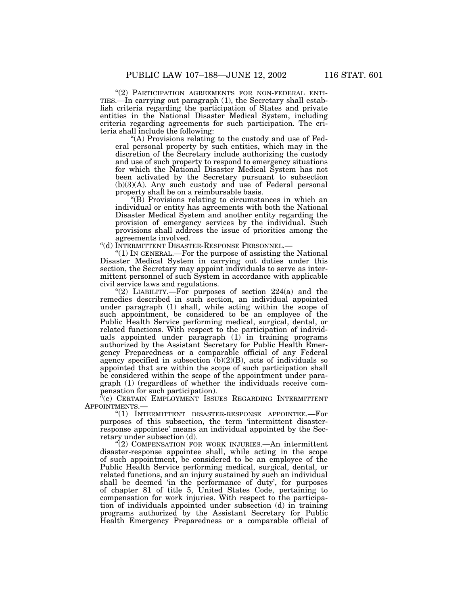''(2) PARTICIPATION AGREEMENTS FOR NON-FEDERAL ENTI- TIES.—In carrying out paragraph (1), the Secretary shall establish criteria regarding the participation of States and private entities in the National Disaster Medical System, including criteria regarding agreements for such participation. The criteria shall include the following:

"(A) Provisions relating to the custody and use of Federal personal property by such entities, which may in the discretion of the Secretary include authorizing the custody and use of such property to respond to emergency situations for which the National Disaster Medical System has not been activated by the Secretary pursuant to subsection (b)(3)(A). Any such custody and use of Federal personal property shall be on a reimbursable basis.

''(B) Provisions relating to circumstances in which an individual or entity has agreements with both the National Disaster Medical System and another entity regarding the provision of emergency services by the individual. Such provisions shall address the issue of priorities among the agreements involved.

''(d) INTERMITTENT DISASTER-RESPONSE PERSONNEL.—

''(1) IN GENERAL.—For the purpose of assisting the National Disaster Medical System in carrying out duties under this section, the Secretary may appoint individuals to serve as intermittent personnel of such System in accordance with applicable civil service laws and regulations.

"(2) LIABILITY.—For purposes of section  $224(a)$  and the remedies described in such section, an individual appointed under paragraph (1) shall, while acting within the scope of such appointment, be considered to be an employee of the Public Health Service performing medical, surgical, dental, or related functions. With respect to the participation of individuals appointed under paragraph  $(1)$  in training programs authorized by the Assistant Secretary for Public Health Emergency Preparedness or a comparable official of any Federal agency specified in subsection  $(b)(2)(B)$ , acts of individuals so appointed that are within the scope of such participation shall be considered within the scope of the appointment under paragraph (1) (regardless of whether the individuals receive compensation for such participation).

''(e) CERTAIN EMPLOYMENT ISSUES REGARDING INTERMITTENT APPOINTMENTS.—

''(1) INTERMITTENT DISASTER-RESPONSE APPOINTEE.—For purposes of this subsection, the term 'intermittent disasterresponse appointee' means an individual appointed by the Secretary under subsection (d).

''(2) COMPENSATION FOR WORK INJURIES.—An intermittent disaster-response appointee shall, while acting in the scope of such appointment, be considered to be an employee of the Public Health Service performing medical, surgical, dental, or related functions, and an injury sustained by such an individual shall be deemed 'in the performance of duty', for purposes of chapter 81 of title 5, United States Code, pertaining to compensation for work injuries. With respect to the participation of individuals appointed under subsection (d) in training programs authorized by the Assistant Secretary for Public Health Emergency Preparedness or a comparable official of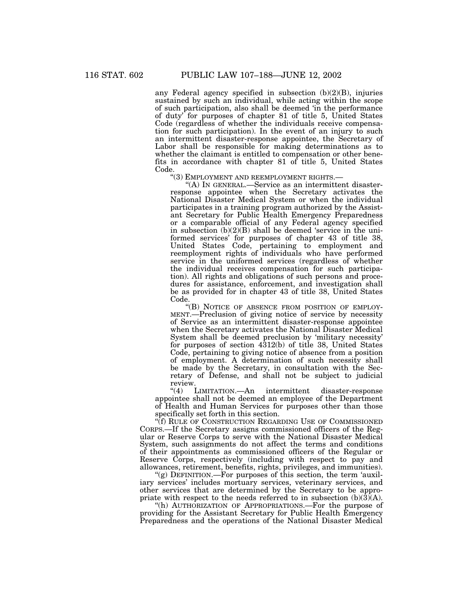any Federal agency specified in subsection  $(b)(2)(B)$ , injuries sustained by such an individual, while acting within the scope of such participation, also shall be deemed 'in the performance of duty' for purposes of chapter 81 of title 5, United States Code (regardless of whether the individuals receive compensation for such participation). In the event of an injury to such an intermittent disaster-response appointee, the Secretary of Labor shall be responsible for making determinations as to whether the claimant is entitled to compensation or other benefits in accordance with chapter 81 of title 5, United States Code.<br>"(3) EMPLOYMENT AND REEMPLOYMENT RIGHTS.-

"(A) In GENERAL.—Service as an intermittent disasterresponse appointee when the Secretary activates the National Disaster Medical System or when the individual participates in a training program authorized by the Assistant Secretary for Public Health Emergency Preparedness or a comparable official of any Federal agency specified in subsection (b)(2)(B) shall be deemed 'service in the uniformed services' for purposes of chapter 43 of title 38, United States Code, pertaining to employment and reemployment rights of individuals who have performed service in the uniformed services (regardless of whether the individual receives compensation for such participation). All rights and obligations of such persons and procedures for assistance, enforcement, and investigation shall be as provided for in chapter 43 of title 38, United States Code.

''(B) NOTICE OF ABSENCE FROM POSITION OF EMPLOY-MENT.—Preclusion of giving notice of service by necessity of Service as an intermittent disaster-response appointee when the Secretary activates the National Disaster Medical System shall be deemed preclusion by 'military necessity' for purposes of section 4312(b) of title 38, United States Code, pertaining to giving notice of absence from a position of employment. A determination of such necessity shall be made by the Secretary, in consultation with the Secretary of Defense, and shall not be subject to judicial

review.<br>" $\binom{4}{4}$ LIMITATION.—An intermittent disaster-response appointee shall not be deemed an employee of the Department of Health and Human Services for purposes other than those specifically set forth in this section.

''(f) RULE OF CONSTRUCTION REGARDING USE OF COMMISSIONED CORPS.—If the Secretary assigns commissioned officers of the Regular or Reserve Corps to serve with the National Disaster Medical System, such assignments do not affect the terms and conditions of their appointments as commissioned officers of the Regular or Reserve Corps, respectively (including with respect to pay and allowances, retirement, benefits, rights, privileges, and immunities).

''(g) DEFINITION.—For purposes of this section, the term 'auxiliary services' includes mortuary services, veterinary services, and other services that are determined by the Secretary to be appropriate with respect to the needs referred to in subsection  $(b)(3)(A)$ .

''(h) AUTHORIZATION OF APPROPRIATIONS.—For the purpose of providing for the Assistant Secretary for Public Health Emergency Preparedness and the operations of the National Disaster Medical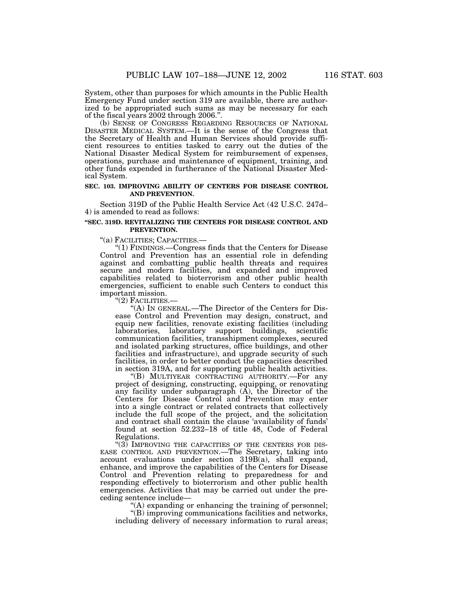System, other than purposes for which amounts in the Public Health Emergency Fund under section 319 are available, there are authorized to be appropriated such sums as may be necessary for each of the fiscal years 2002 through 2006.".

(b) SENSE OF CONGRESS REGARDING RESOURCES OF NATIONAL DISASTER MEDICAL SYSTEM.—It is the sense of the Congress that the Secretary of Health and Human Services should provide sufficient resources to entities tasked to carry out the duties of the National Disaster Medical System for reimbursement of expenses, operations, purchase and maintenance of equipment, training, and other funds expended in furtherance of the National Disaster Medical System.

#### **SEC. 103. IMPROVING ABILITY OF CENTERS FOR DISEASE CONTROL AND PREVENTION.**

Section 319D of the Public Health Service Act (42 U.S.C. 247d– 4) is amended to read as follows:

#### **''SEC. 319D. REVITALIZING THE CENTERS FOR DISEASE CONTROL AND PREVENTION.**

''(a) FACILITIES; CAPACITIES.— ''(1) FINDINGS.—Congress finds that the Centers for Disease Control and Prevention has an essential role in defending against and combatting public health threats and requires secure and modern facilities, and expanded and improved capabilities related to bioterrorism and other public health emergencies, sufficient to enable such Centers to conduct this important mission.

"(2) FACILITIES.—<br>"(A) IN GENERAL.—The Director of the Centers for Disease Control and Prevention may design, construct, and equip new facilities, renovate existing facilities (including laboratories, laboratory support buildings, scientific communication facilities, transshipment complexes, secured and isolated parking structures, office buildings, and other facilities and infrastructure), and upgrade security of such facilities, in order to better conduct the capacities described in section 319A, and for supporting public health activities. ''(B) MULTIYEAR CONTRACTING AUTHORITY.—For any

project of designing, constructing, equipping, or renovating any facility under subparagraph (A), the Director of the Centers for Disease Control and Prevention may enter into a single contract or related contracts that collectively include the full scope of the project, and the solicitation found at section  $52.232-18$  of title 48, Code of Federal

Regulations.<br>"(3) IMPROVING THE CAPACITIES OF THE CENTERS FOR DIS-EASE CONTROL AND PREVENTION.—The Secretary, taking into account evaluations under section 319B(a), shall expand, enhance, and improve the capabilities of the Centers for Disease Control and Prevention relating to preparedness for and responding effectively to bioterrorism and other public health emergencies. Activities that may be carried out under the preceding sentence include—

''(A) expanding or enhancing the training of personnel;

''(B) improving communications facilities and networks, including delivery of necessary information to rural areas;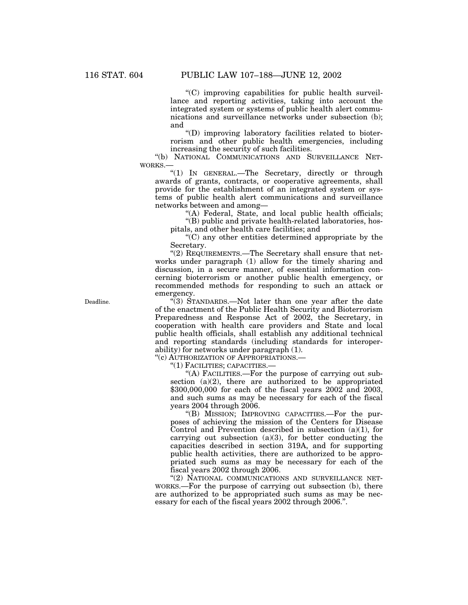''(C) improving capabilities for public health surveillance and reporting activities, taking into account the integrated system or systems of public health alert communications and surveillance networks under subsection (b); and

''(D) improving laboratory facilities related to bioterrorism and other public health emergencies, including increasing the security of such facilities.

''(b) NATIONAL COMMUNICATIONS AND SURVEILLANCE NET-WORKS.—

''(1) IN GENERAL.—The Secretary, directly or through awards of grants, contracts, or cooperative agreements, shall provide for the establishment of an integrated system or systems of public health alert communications and surveillance networks between and among—

''(A) Federal, State, and local public health officials; ''(B) public and private health-related laboratories, hos-

pitals, and other health care facilities; and

''(C) any other entities determined appropriate by the Secretary.

"(2) REQUIREMENTS.—The Secretary shall ensure that networks under paragraph (1) allow for the timely sharing and discussion, in a secure manner, of essential information concerning bioterrorism or another public health emergency, or recommended methods for responding to such an attack or emergency.

''(3) STANDARDS.—Not later than one year after the date of the enactment of the Public Health Security and Bioterrorism Preparedness and Response Act of 2002, the Secretary, in cooperation with health care providers and State and local public health officials, shall establish any additional technical and reporting standards (including standards for interoperability) for networks under paragraph (1).

''(c) AUTHORIZATION OF APPROPRIATIONS.—

''(1) FACILITIES; CAPACITIES.—

"(A) FACILITIES.—For the purpose of carrying out subsection (a)(2), there are authorized to be appropriated \$300,000,000 for each of the fiscal years 2002 and 2003, and such sums as may be necessary for each of the fiscal years 2004 through 2006.

''(B) MISSION; IMPROVING CAPACITIES.—For the purposes of achieving the mission of the Centers for Disease Control and Prevention described in subsection  $(a)(1)$ , for carrying out subsection  $(a)(3)$ , for better conducting the capacities described in section 319A, and for supporting public health activities, there are authorized to be appropriated such sums as may be necessary for each of the fiscal years 2002 through 2006.

"(2) NATIONAL COMMUNICATIONS AND SURVEILLANCE NET-WORKS.—For the purpose of carrying out subsection (b), there are authorized to be appropriated such sums as may be necessary for each of the fiscal years 2002 through 2006.''.

Deadline.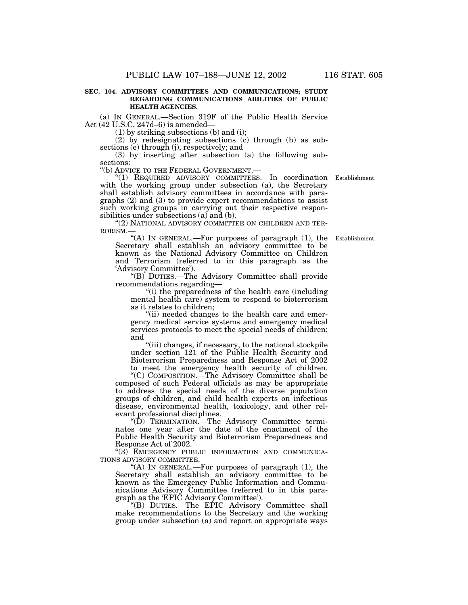#### **SEC. 104. ADVISORY COMMITTEES AND COMMUNICATIONS; STUDY REGARDING COMMUNICATIONS ABILITIES OF PUBLIC HEALTH AGENCIES.**

(a) IN GENERAL.—Section 319F of the Public Health Service

 $(1)$  by striking subsections (b) and (i);

(2) by redesignating subsections (c) through (h) as subsections (e) through (j), respectively; and

(3) by inserting after subsection (a) the following subsections:<br>"(b) Advice to the Federal Government.—

''(b) ADVICE TO THE FEDERAL GOVERNMENT.— ''(1) REQUIRED ADVISORY COMMITTEES.—In coordination Establishment. with the working group under subsection (a), the Secretary shall establish advisory committees in accordance with paragraphs (2) and (3) to provide expert recommendations to assist such working groups in carrying out their respective responsibilities under subsections (a) and (b).

"(2) NATIONAL ADVISORY COMMITTEE ON CHILDREN AND TERRORISM.  $\text{\textendash}$ 

''(A) IN GENERAL.—For purposes of paragraph (1), the Secretary shall establish an advisory committee to be known as the National Advisory Committee on Children and Terrorism (referred to in this paragraph as the 'Advisory Committee').

''(B) DUTIES.—The Advisory Committee shall provide recommendations regarding—

''(i) the preparedness of the health care (including mental health care) system to respond to bioterrorism as it relates to children;

''(ii) needed changes to the health care and emergency medical service systems and emergency medical services protocols to meet the special needs of children; and

''(iii) changes, if necessary, to the national stockpile under section 121 of the Public Health Security and Bioterrorism Preparedness and Response Act of 2002 to meet the emergency health security of children.

''(C) COMPOSITION.—The Advisory Committee shall be composed of such Federal officials as may be appropriate to address the special needs of the diverse population groups of children, and child health experts on infectious disease, environmental health, toxicology, and other relevant professional disciplines.

''(D) TERMINATION.—The Advisory Committee terminates one year after the date of the enactment of the Public Health Security and Bioterrorism Preparedness and Response Act of 2002.

"(3) EMERGENCY PUBLIC INFORMATION AND COMMUNICA-TIONS ADVISORY COMMITTEE.—

"(A) IN GENERAL.—For purposes of paragraph  $(1)$ , the Secretary shall establish an advisory committee to be known as the Emergency Public Information and Communications Advisory Committee (referred to in this paragraph as the 'EPIC Advisory Committee').

''(B) DUTIES.—The EPIC Advisory Committee shall make recommendations to the Secretary and the working group under subsection (a) and report on appropriate ways

Establishment.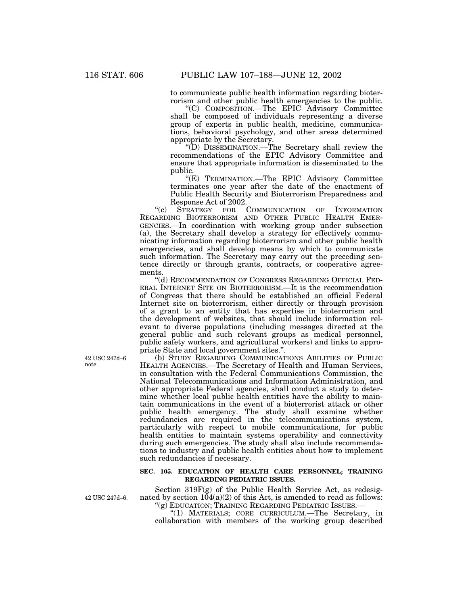to communicate public health information regarding bioterrorism and other public health emergencies to the public.

''(C) COMPOSITION.—The EPIC Advisory Committee shall be composed of individuals representing a diverse group of experts in public health, medicine, communications, behavioral psychology, and other areas determined appropriate by the Secretary.

''(D) DISSEMINATION.—The Secretary shall review the recommendations of the EPIC Advisory Committee and ensure that appropriate information is disseminated to the public.

''(E) TERMINATION.—The EPIC Advisory Committee terminates one year after the date of the enactment of Public Health Security and Bioterrorism Preparedness and Response Act of 2002.

''(c) STRATEGY FOR COMMUNICATION OF INFORMATION REGARDING BIOTERRORISM AND OTHER PUBLIC HEALTH EMER-GENCIES.—In coordination with working group under subsection (a), the Secretary shall develop a strategy for effectively communicating information regarding bioterrorism and other public health emergencies, and shall develop means by which to communicate such information. The Secretary may carry out the preceding sentence directly or through grants, contracts, or cooperative agreements.

''(d) RECOMMENDATION OF CONGRESS REGARDING OFFICIAL FED-ERAL INTERNET SITE ON BIOTERRORISM.—It is the recommendation of Congress that there should be established an official Federal Internet site on bioterrorism, either directly or through provision of a grant to an entity that has expertise in bioterrorism and the development of websites, that should include information relevant to diverse populations (including messages directed at the general public and such relevant groups as medical personnel, public safety workers, and agricultural workers) and links to appropriate State and local government sites."

(b) STUDY REGARDING COMMUNICATIONS ABILITIES OF PUBLIC HEALTH AGENCIES.—The Secretary of Health and Human Services, in consultation with the Federal Communications Commission, the National Telecommunications and Information Administration, and other appropriate Federal agencies, shall conduct a study to determine whether local public health entities have the ability to maintain communications in the event of a bioterrorist attack or other public health emergency. The study shall examine whether redundancies are required in the telecommunications system, particularly with respect to mobile communications, for public health entities to maintain systems operability and connectivity during such emergencies. The study shall also include recommendations to industry and public health entities about how to implement such redundancies if necessary.

#### **SEC. 105. EDUCATION OF HEALTH CARE PERSONNEL; TRAINING REGARDING PEDIATRIC ISSUES.**

42 USC 247d–6.

Section  $319F(g)$  of the Public Health Service Act, as redesignated by section  $104(a)(2)$  of this Act, is amended to read as follows: ''(g) EDUCATION; TRAINING REGARDING PEDIATRIC ISSUES.—

''(1) MATERIALS; CORE CURRICULUM.—The Secretary, in collaboration with members of the working group described

42 USC 247d–6 note.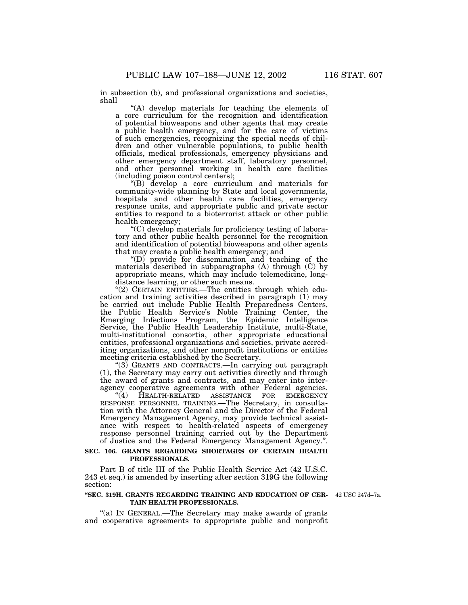in subsection (b), and professional organizations and societies,

"(A) develop materials for teaching the elements of a core curriculum for the recognition and identification of potential bioweapons and other agents that may create a public health emergency, and for the care of victims of such emergencies, recognizing the special needs of children and other vulnerable populations, to public health officials, medical professionals, emergency physicians and other emergency department staff, laboratory personnel, and other personnel working in health care facilities (including poison control centers); ''(B) develop a core curriculum and materials for

community-wide planning by State and local governments, hospitals and other health care facilities, emergency response units, and appropriate public and private sector entities to respond to a bioterrorist attack or other public health emergency;

"(C) develop materials for proficiency testing of laboratory and other public health personnel for the recognition and identification of potential bioweapons and other agents

"(D) provide for dissemination and teaching of the materials described in subparagraphs (A) through (C) by appropriate means, which may include telemedicine, longdistance learning, or other such means.

"(2) CERTAIN ENTITIES.—The entities through which education and training activities described in paragraph (1) may be carried out include Public Health Preparedness Centers, the Public Health Service's Noble Training Center, the Emerging Infections Program, the Epidemic Intelligence Service, the Public Health Leadership Institute, multi-State, multi-institutional consortia, other appropriate educational entities, professional organizations and societies, private accrediting organizations, and other nonprofit institutions or entities

meeting criteria established by the Secretary.<br>"(3) GRANTS AND CONTRACTS.—In carrying out paragraph (1), the Secretary may carry out activities directly and through the award of grants and contracts, and may enter into inter-<br>agency cooperative agreements with other Federal agencies. agency cooperative agreements with other Federal agencies. ''(4) HEALTH-RELATED ASSISTANCE FOR EMERGENCY

RESPONSE PERSONNEL TRAINING.—The Secretary, in consultation with the Attorney General and the Director of the Federal Emergency Management Agency, may provide technical assistance with respect to health-related aspects of emergency response personnel training carried out by the Department of Justice and the Federal Emergency Management Agency.''.

#### **SEC. 106. GRANTS REGARDING SHORTAGES OF CERTAIN HEALTH PROFESSIONALS.**

Part B of title III of the Public Health Service Act (42 U.S.C. 243 et seq.) is amended by inserting after section 319G the following section:

#### **''SEC. 319H. GRANTS REGARDING TRAINING AND EDUCATION OF CER-**42 USC 247d–7a. **TAIN HEALTH PROFESSIONALS.**

''(a) IN GENERAL.—The Secretary may make awards of grants and cooperative agreements to appropriate public and nonprofit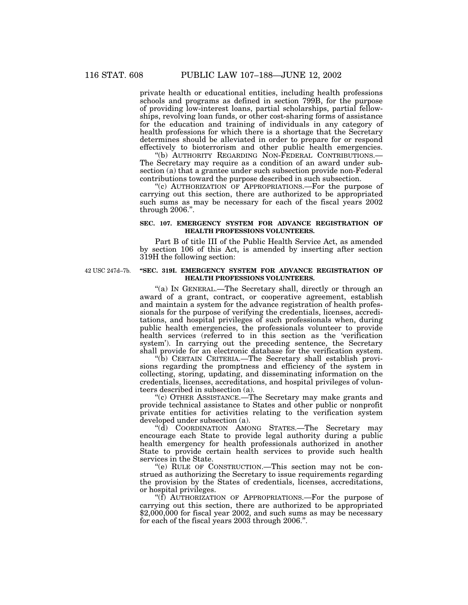private health or educational entities, including health professions schools and programs as defined in section 799B, for the purpose of providing low-interest loans, partial scholarships, partial fellowships, revolving loan funds, or other cost-sharing forms of assistance for the education and training of individuals in any category of health professions for which there is a shortage that the Secretary determines should be alleviated in order to prepare for or respond effectively to bioterrorism and other public health emergencies.

''(b) AUTHORITY REGARDING NON-FEDERAL CONTRIBUTIONS.— The Secretary may require as a condition of an award under subsection (a) that a grantee under such subsection provide non-Federal contributions toward the purpose described in such subsection.

"(c) AUTHORIZATION OF APPROPRIATIONS.—For the purpose of carrying out this section, there are authorized to be appropriated such sums as may be necessary for each of the fiscal years  $2002$ through 2006.''.

#### **SEC. 107. EMERGENCY SYSTEM FOR ADVANCE REGISTRATION OF HEALTH PROFESSIONS VOLUNTEERS.**

Part B of title III of the Public Health Service Act, as amended by section 106 of this Act, is amended by inserting after section 319H the following section:

42 USC 247d–7b.

#### **''SEC. 319I. EMERGENCY SYSTEM FOR ADVANCE REGISTRATION OF HEALTH PROFESSIONS VOLUNTEERS.**

"(a) IN GENERAL.—The Secretary shall, directly or through an award of a grant, contract, or cooperative agreement, establish and maintain a system for the advance registration of health professionals for the purpose of verifying the credentials, licenses, accreditations, and hospital privileges of such professionals when, during public health emergencies, the professionals volunteer to provide health services (referred to in this section as the 'verification system'). In carrying out the preceding sentence, the Secretary shall provide for an electronic database for the verification system.

''(b) CERTAIN CRITERIA.—The Secretary shall establish provisions regarding the promptness and efficiency of the system in collecting, storing, updating, and disseminating information on the credentials, licenses, accreditations, and hospital privileges of volunteers described in subsection (a).

''(c) OTHER ASSISTANCE.—The Secretary may make grants and provide technical assistance to States and other public or nonprofit private entities for activities relating to the verification system developed under subsection (a).

''(d) COORDINATION AMONG STATES.—The Secretary may encourage each State to provide legal authority during a public health emergency for health professionals authorized in another State to provide certain health services to provide such health services in the State.

''(e) RULE OF CONSTRUCTION.—This section may not be construed as authorizing the Secretary to issue requirements regarding the provision by the States of credentials, licenses, accreditations, or hospital privileges.

''(f) AUTHORIZATION OF APPROPRIATIONS.—For the purpose of carrying out this section, there are authorized to be appropriated  $$2,000,000$  for fiscal year 2002, and such sums as may be necessary for each of the fiscal years 2003 through 2006.''.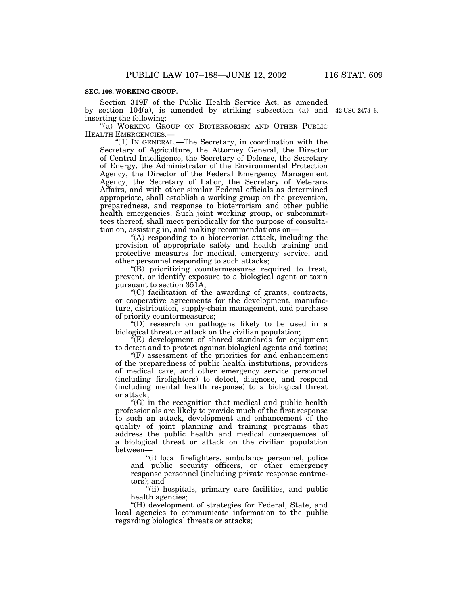#### **SEC. 108. WORKING GROUP.**

Section 319F of the Public Health Service Act, as amended by section 104(a), is amended by striking subsection (a) and 42 USC 247d–6. inserting the following:

"(a) WORKING GROUP ON BIOTERRORISM AND OTHER PUBLIC HEALTH EMERGENCIES.—

''(1) IN GENERAL.—The Secretary, in coordination with the Secretary of Agriculture, the Attorney General, the Director of Central Intelligence, the Secretary of Defense, the Secretary of Energy, the Administrator of the Environmental Protection Agency, the Director of the Federal Emergency Management Agency, the Secretary of Labor, the Secretary of Veterans Affairs, and with other similar Federal officials as determined appropriate, shall establish a working group on the prevention, preparedness, and response to bioterrorism and other public health emergencies. Such joint working group, or subcommittees thereof, shall meet periodically for the purpose of consultation on, assisting in, and making recommendations on—

''(A) responding to a bioterrorist attack, including the provision of appropriate safety and health training and protective measures for medical, emergency service, and other personnel responding to such attacks;

''(B) prioritizing countermeasures required to treat, prevent, or identify exposure to a biological agent or toxin pursuant to section 351A;

''(C) facilitation of the awarding of grants, contracts, or cooperative agreements for the development, manufacture, distribution, supply-chain management, and purchase of priority countermeasures;

''(D) research on pathogens likely to be used in a biological threat or attack on the civilian population;

''(E) development of shared standards for equipment to detect and to protect against biological agents and toxins;

 $f(F)$  assessment of the priorities for and enhancement of the preparedness of public health institutions, providers of medical care, and other emergency service personnel (including firefighters) to detect, diagnose, and respond (including mental health response) to a biological threat or attack;

''(G) in the recognition that medical and public health professionals are likely to provide much of the first response to such an attack, development and enhancement of the quality of joint planning and training programs that address the public health and medical consequences of a biological threat or attack on the civilian population between—

''(i) local firefighters, ambulance personnel, police and public security officers, or other emergency response personnel (including private response contractors); and

"(ii) hospitals, primary care facilities, and public health agencies;

''(H) development of strategies for Federal, State, and local agencies to communicate information to the public regarding biological threats or attacks;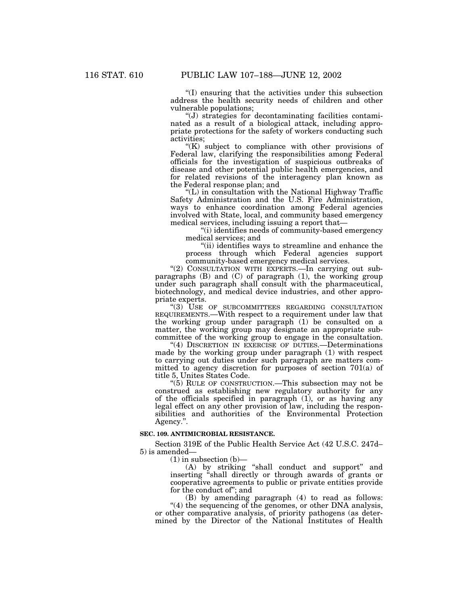''(I) ensuring that the activities under this subsection address the health security needs of children and other

"(J) strategies for decontaminating facilities contaminated as a result of a biological attack, including appropriate protections for the safety of workers conducting such activities;

 $K(K)$  subject to compliance with other provisions of Federal law, clarifying the responsibilities among Federal officials for the investigation of suspicious outbreaks of disease and other potential public health emergencies, and for related revisions of the interagency plan known as the Federal response plan; and

''(L) in consultation with the National Highway Traffic Safety Administration and the U.S. Fire Administration, ways to enhance coordination among Federal agencies involved with State, local, and community based emergency medical services, including issuing a report that—

''(i) identifies needs of community-based emergency medical services; and

''(ii) identifies ways to streamline and enhance the process through which Federal agencies support community-based emergency medical services.

"(2) CONSULTATION WITH EXPERTS.-In carrying out subparagraphs  $(B)$  and  $(C)$  of paragraph  $(1)$ , the working group under such paragraph shall consult with the pharmaceutical, biotechnology, and medical device industries, and other appropriate experts.

''(3) USE OF SUBCOMMITTEES REGARDING CONSULTATION REQUIREMENTS.—With respect to a requirement under law that the working group under paragraph (1) be consulted on a matter, the working group may designate an appropriate subcommittee of the working group to engage in the consultation.

"(4) DISCRETION IN EXERCISE OF DUTIES.—Determinations made by the working group under paragraph (1) with respect to carrying out duties under such paragraph are matters committed to agency discretion for purposes of section 701(a) of title 5, Unites States Code.

''(5) RULE OF CONSTRUCTION.—This subsection may not be construed as establishing new regulatory authority for any of the officials specified in paragraph (1), or as having any legal effect on any other provision of law, including the responsibilities and authorities of the Environmental Protection Agency.''.

#### **SEC. 109. ANTIMICROBIAL RESISTANCE.**

Section 319E of the Public Health Service Act (42 U.S.C. 247d– 5) is amended—

 $(1)$  in subsection  $(b)$ —

(A) by striking ''shall conduct and support'' and inserting ''shall directly or through awards of grants or cooperative agreements to public or private entities provide for the conduct of''; and

(B) by amending paragraph (4) to read as follows: ''(4) the sequencing of the genomes, or other DNA analysis, or other comparative analysis, of priority pathogens (as determined by the Director of the National Institutes of Health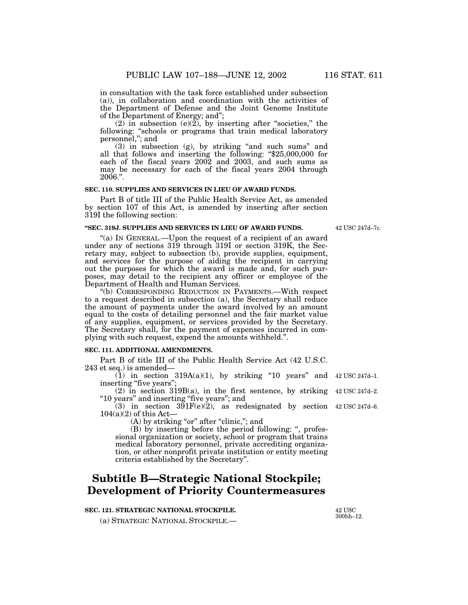in consultation with the task force established under subsection (a)), in collaboration and coordination with the activities of the Department of Defense and the Joint Genome Institute of the Department of Energy; and'';

 $(2)$  in subsection  $(e)(2)$ , by inserting after "societies," the following: "schools or programs that train medical laboratory personnel,"; and

(3) in subsection (g), by striking ''and such sums'' and all that follows and inserting the following: ''\$25,000,000 for each of the fiscal years 2002 and 2003, and such sums as may be necessary for each of the fiscal years 2004 through  $2006."$ .

#### **SEC. 110. SUPPLIES AND SERVICES IN LIEU OF AWARD FUNDS.**

Part B of title III of the Public Health Service Act, as amended by section 107 of this Act, is amended by inserting after section 319I the following section:

#### **''SEC. 319J. SUPPLIES AND SERVICES IN LIEU OF AWARD FUNDS.**

(a) IN GENERAL.—Upon the request of a recipient of an award under any of sections 319 through 319I or section 319K, the Secretary may, subject to subsection (b), provide supplies, equipment, and services for the purpose of aiding the recipient in carrying out the purposes for which the award is made and, for such purposes, may detail to the recipient any officer or employee of the Department of Health and Human Services.

''(b) CORRESPONDING REDUCTION IN PAYMENTS.—With respect to a request described in subsection (a), the Secretary shall reduce the amount of payments under the award involved by an amount equal to the costs of detailing personnel and the fair market value of any supplies, equipment, or services provided by the Secretary. The Secretary shall, for the payment of expenses incurred in complying with such request, expend the amounts withheld.''.

#### **SEC. 111. ADDITIONAL AMENDMENTS.**

Part B of title III of the Public Health Service Act (42 U.S.C. 243 et seq.) is amended—

(1) in section  $319A(a)(1)$ , by striking "10 years" and 42 USC 247d-1. inserting "five years";

(2) in section 319B(a), in the first sentence, by striking 42 USC 247d–2. ''10 years'' and inserting ''five years''; and

(3) in section  $3\overline{9}1F(e)(2)$ , as redesignated by section 42 USC 247d-6.  $104(a)(2)$  of this Act-

(A) by striking "or" after "clinic,"; and

(B) by inserting before the period following: '', professional organization or society, school or program that trains medical laboratory personnel, private accrediting organization, or other nonprofit private institution or entity meeting criteria established by the Secretary''.

### **Subtitle B—Strategic National Stockpile; Development of Priority Countermeasures**

#### **SEC. 121. STRATEGIC NATIONAL STOCKPILE.**

(a) STRATEGIC NATIONAL STOCKPILE.—

42 USC 247d–7c.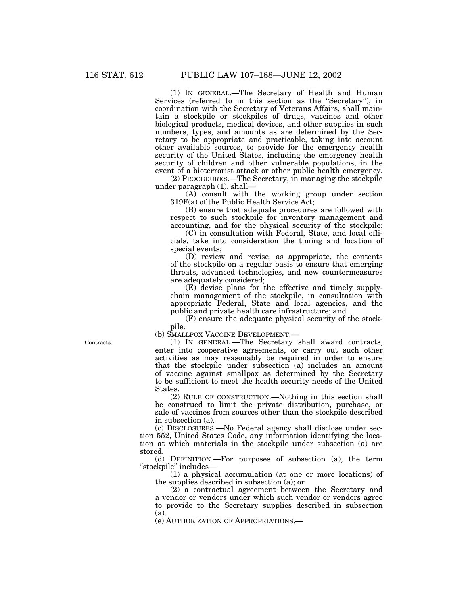(1) IN GENERAL.—The Secretary of Health and Human Services (referred to in this section as the "Secretary"), in coordination with the Secretary of Veterans Affairs, shall maintain a stockpile or stockpiles of drugs, vaccines and other biological products, medical devices, and other supplies in such numbers, types, and amounts as are determined by the Secretary to be appropriate and practicable, taking into account other available sources, to provide for the emergency health security of the United States, including the emergency health security of children and other vulnerable populations, in the event of a bioterrorist attack or other public health emergency.

(2) PROCEDURES.—The Secretary, in managing the stockpile under paragraph (1), shall—

(A) consult with the working group under section 319F(a) of the Public Health Service Act;

(B) ensure that adequate procedures are followed with respect to such stockpile for inventory management and accounting, and for the physical security of the stockpile;

(C) in consultation with Federal, State, and local officials, take into consideration the timing and location of special events;

(D) review and revise, as appropriate, the contents of the stockpile on a regular basis to ensure that emerging threats, advanced technologies, and new countermeasures are adequately considered;

(E) devise plans for the effective and timely supplychain management of the stockpile, in consultation with appropriate Federal, State and local agencies, and the public and private health care infrastructure; and

(F) ensure the adequate physical security of the stockpile.

(b) SMALLPOX VACCINE DEVELOPMENT.—

(1) IN GENERAL.—The Secretary shall award contracts, enter into cooperative agreements, or carry out such other activities as may reasonably be required in order to ensure that the stockpile under subsection (a) includes an amount of vaccine against smallpox as determined by the Secretary to be sufficient to meet the health security needs of the United States.

(2) RULE OF CONSTRUCTION.—Nothing in this section shall be construed to limit the private distribution, purchase, or sale of vaccines from sources other than the stockpile described in subsection (a).

(c) DISCLOSURES.—No Federal agency shall disclose under section 552, United States Code, any information identifying the location at which materials in the stockpile under subsection (a) are stored.

(d) DEFINITION.—For purposes of subsection (a), the term ''stockpile'' includes—

(1) a physical accumulation (at one or more locations) of the supplies described in subsection (a); or

(2) a contractual agreement between the Secretary and a vendor or vendors under which such vendor or vendors agree to provide to the Secretary supplies described in subsection (a).

(e) AUTHORIZATION OF APPROPRIATIONS.—

Contracts.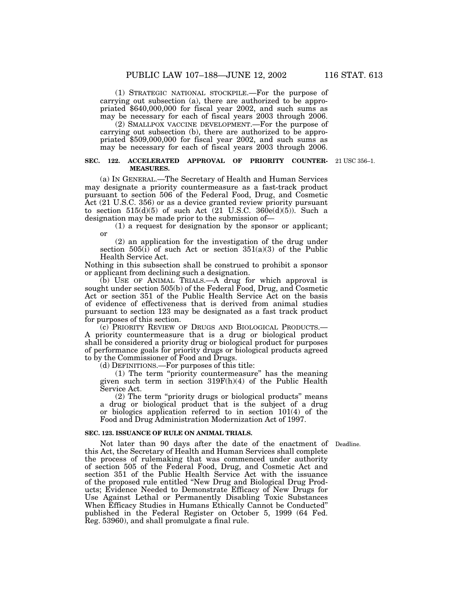(1) STRATEGIC NATIONAL STOCKPILE.—For the purpose of carrying out subsection (a), there are authorized to be appropriated \$640,000,000 for fiscal year 2002, and such sums as may be necessary for each of fiscal years 2003 through 2006.

(2) SMALLPOX VACCINE DEVELOPMENT.—For the purpose of carrying out subsection (b), there are authorized to be appropriated \$509,000,000 for fiscal year 2002, and such sums as may be necessary for each of fiscal years 2003 through 2006.

#### **SEC. 122. ACCELERATED APPROVAL OF PRIORITY COUNTER-**21 USC 356–1. **MEASURES.**

(a) IN GENERAL.—The Secretary of Health and Human Services may designate a priority countermeasure as a fast-track product pursuant to section 506 of the Federal Food, Drug, and Cosmetic Act (21 U.S.C. 356) or as a device granted review priority pursuant to section  $515(d)(5)$  of such Act  $(21 \text{ U.S.C. } 360e(d)(5))$ . Such a designation may be made prior to the submission of—

(1) a request for designation by the sponsor or applicant; or

(2) an application for the investigation of the drug under section 505(i) of such Act or section  $351(a)(3)$  of the Public Health Service Act.

Nothing in this subsection shall be construed to prohibit a sponsor or applicant from declining such a designation.

(b) USE OF ANIMAL TRIALS.—A drug for which approval is sought under section 505(b) of the Federal Food, Drug, and Cosmetic Act or section 351 of the Public Health Service Act on the basis of evidence of effectiveness that is derived from animal studies pursuant to section 123 may be designated as a fast track product for purposes of this section.

(c) PRIORITY REVIEW OF DRUGS AND BIOLOGICAL PRODUCTS.— A priority countermeasure that is a drug or biological product shall be considered a priority drug or biological product for purposes of performance goals for priority drugs or biological products agreed to by the Commissioner of Food and Drugs.

(d) DEFINITIONS.—For purposes of this title:

(1) The term ''priority countermeasure'' has the meaning given such term in section 319F(h)(4) of the Public Health Service Act.

(2) The term ''priority drugs or biological products'' means a drug or biological product that is the subject of a drug or biologics application referred to in section 101(4) of the Food and Drug Administration Modernization Act of 1997.

#### **SEC. 123. ISSUANCE OF RULE ON ANIMAL TRIALS.**

Not later than 90 days after the date of the enactment of Deadline. this Act, the Secretary of Health and Human Services shall complete the process of rulemaking that was commenced under authority of section 505 of the Federal Food, Drug, and Cosmetic Act and section 351 of the Public Health Service Act with the issuance of the proposed rule entitled ''New Drug and Biological Drug Products; Evidence Needed to Demonstrate Efficacy of New Drugs for Use Against Lethal or Permanently Disabling Toxic Substances When Efficacy Studies in Humans Ethically Cannot be Conducted'' published in the Federal Register on October 5, 1999 (64 Fed. Reg. 53960), and shall promulgate a final rule.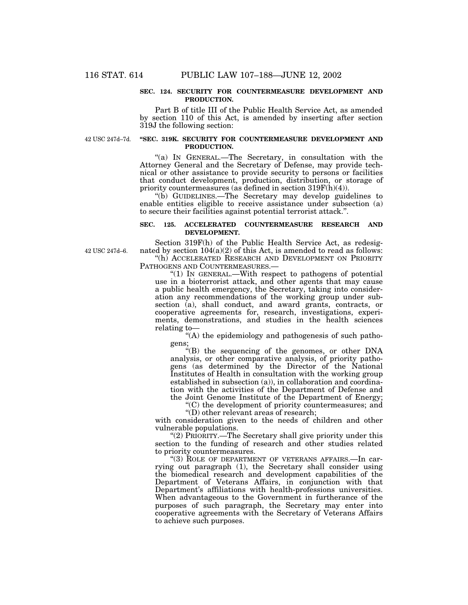#### **SEC. 124. SECURITY FOR COUNTERMEASURE DEVELOPMENT AND PRODUCTION.**

Part B of title III of the Public Health Service Act, as amended by section 110 of this Act, is amended by inserting after section 319J the following section:

42 USC 247d–7d.

#### **''SEC. 319K. SECURITY FOR COUNTERMEASURE DEVELOPMENT AND PRODUCTION.**

"(a) IN GENERAL.—The Secretary, in consultation with the Attorney General and the Secretary of Defense, may provide technical or other assistance to provide security to persons or facilities that conduct development, production, distribution, or storage of priority countermeasures (as defined in section 319F(h)(4)).

''(b) GUIDELINES.—The Secretary may develop guidelines to enable entities eligible to receive assistance under subsection (a) to secure their facilities against potential terrorist attack.''.

### **SEC. 125. ACCELERATED COUNTERMEASURE RESEARCH AND DEVELOPMENT.**

42 USC 247d–6.

Section 319F(h) of the Public Health Service Act, as redesignated by section  $104(a)(2)$  of this Act, is amended to read as follows: ''(h) ACCELERATED RESEARCH AND DEVELOPMENT ON PRIORITY PATHOGENS AND COUNTERMEASURES.—

" $(1)$  In GENERAL.—With respect to pathogens of potential use in a bioterrorist attack, and other agents that may cause a public health emergency, the Secretary, taking into consideration any recommendations of the working group under subsection (a), shall conduct, and award grants, contracts, or cooperative agreements for, research, investigations, experiments, demonstrations, and studies in the health sciences relating to—

''(A) the epidemiology and pathogenesis of such pathogens;

''(B) the sequencing of the genomes, or other DNA analysis, or other comparative analysis, of priority pathogens (as determined by the Director of the National Institutes of Health in consultation with the working group established in subsection (a)), in collaboration and coordination with the activities of the Department of Defense and the Joint Genome Institute of the Department of Energy;

''(C) the development of priority countermeasures; and ''(D) other relevant areas of research;

with consideration given to the needs of children and other vulnerable populations.

"(2) PRIORITY.—The Secretary shall give priority under this section to the funding of research and other studies related to priority countermeasures.

"(3) ROLE OF DEPARTMENT OF VETERANS AFFAIRS.—In carrying out paragraph (1), the Secretary shall consider using the biomedical research and development capabilities of the Department of Veterans Affairs, in conjunction with that Department's affiliations with health-professions universities. When advantageous to the Government in furtherance of the purposes of such paragraph, the Secretary may enter into cooperative agreements with the Secretary of Veterans Affairs to achieve such purposes.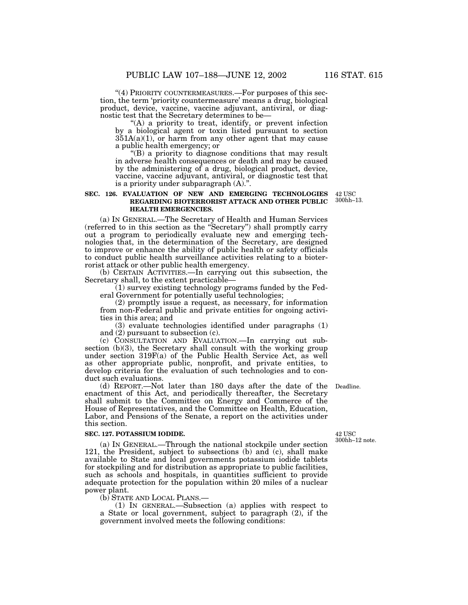"(4) PRIORITY COUNTERMEASURES.—For purposes of this section, the term 'priority countermeasure' means a drug, biological product, device, vaccine, vaccine adjuvant, antiviral, or diag-

 $(n)$  a priority to treat, identify, or prevent infection by a biological agent or toxin listed pursuant to section  $351A(a)(1)$ , or harm from any other agent that may cause a public health emergency; or

 $\mathrm{H}(B)$  a priority to diagnose conditions that may result in adverse health consequences or death and may be caused by the administering of a drug, biological product, device, vaccine, vaccine adjuvant, antiviral, or diagnostic test that is a priority under subparagraph (A).''.

#### **SEC. 126. EVALUATION OF NEW AND EMERGING TECHNOLOGIES REGARDING BIOTERRORIST ATTACK AND OTHER PUBLIC HEALTH EMERGENCIES.**

(a) IN GENERAL.—The Secretary of Health and Human Services (referred to in this section as the ''Secretary'') shall promptly carry out a program to periodically evaluate new and emerging technologies that, in the determination of the Secretary, are designed to improve or enhance the ability of public health or safety officials to conduct public health surveillance activities relating to a bioterrorist attack or other public health emergency.

(b) CERTAIN ACTIVITIES.—In carrying out this subsection, the Secretary shall, to the extent practicable— (1) survey existing technology programs funded by the Fed-

eral Government for potentially useful technologies;

(2) promptly issue a request, as necessary, for information from non-Federal public and private entities for ongoing activities in this area; and

(3) evaluate technologies identified under paragraphs (1) and (2) pursuant to subsection (c).

(c) CONSULTATION AND EVALUATION.—In carrying out subsection (b)(3), the Secretary shall consult with the working group under section 319F(a) of the Public Health Service Act, as well as other appropriate public, nonprofit, and private entities, to develop criteria for the evaluation of such technologies and to conduct such evaluations.

(d) REPORT.—Not later than 180 days after the date of the enactment of this Act, and periodically thereafter, the Secretary shall submit to the Committee on Energy and Commerce of the House of Representatives, and the Committee on Health, Education, Labor, and Pensions of the Senate, a report on the activities under this section.

#### **SEC. 127. POTASSIUM IODIDE.**

(a) IN GENERAL.—Through the national stockpile under section 121, the President, subject to subsections (b) and (c), shall make available to State and local governments potassium iodide tablets for stockpiling and for distribution as appropriate to public facilities, such as schools and hospitals, in quantities sufficient to provide adequate protection for the population within 20 miles of a nuclear power plant.

(b) STATE AND LOCAL PLANS.—

(1) IN GENERAL.—Subsection (a) applies with respect to a State or local government, subject to paragraph (2), if the government involved meets the following conditions:

42 USC 300hh–12 note.

Deadline.

42 USC 300hh–13.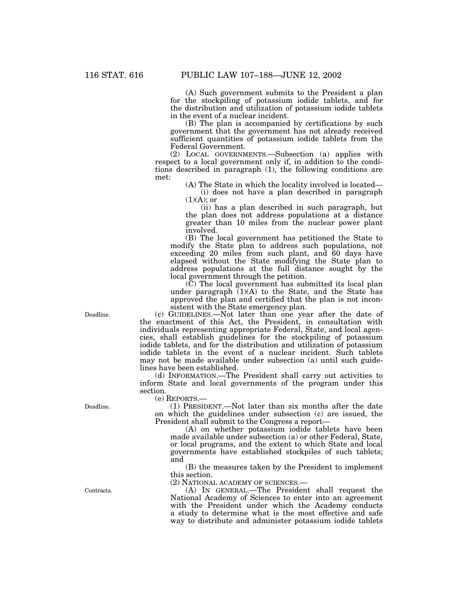(A) Such government submits to the President a plan for the stockpiling of potassium iodide tablets, and for the distribution and utilization of potassium iodide tablets in the event of a nuclear incident.

(B) The plan is accompanied by certifications by such government that the government has not already received sufficient quantities of potassium iodide tablets from the Federal Government.

(2) LOCAL GOVERNMENTS.—Subsection (a) applies with respect to a local government only if, in addition to the conditions described in paragraph (1), the following conditions are met:

(A) The State in which the locality involved is located— (i) does not have a plan described in paragraph  $(1)(A)$ ; or

(ii) has a plan described in such paragraph, but the plan does not address populations at a distance greater than 10 miles from the nuclear power plant involved.

(B) The local government has petitioned the State to modify the State plan to address such populations, not exceeding 20 miles from such plant, and 60 days have elapsed without the State modifying the State plan to address populations at the full distance sought by the local government through the petition.

(C) The local government has submitted its local plan under paragraph  $(1)(A)$  to the State, and the State has approved the plan and certified that the plan is not inconsistent with the State emergency plan.

(c) GUIDELINES.—Not later than one year after the date of the enactment of this Act, the President, in consultation with individuals representing appropriate Federal, State, and local agencies, shall establish guidelines for the stockpiling of potassium iodide tablets, and for the distribution and utilization of potassium iodide tablets in the event of a nuclear incident. Such tablets may not be made available under subsection (a) until such guidelines have been established.

(d) INFORMATION.—The President shall carry out activities to inform State and local governments of the program under this section.

(e) REPORTS.—

(1) PRESIDENT.—Not later than six months after the date on which the guidelines under subsection (c) are issued, the President shall submit to the Congress a report—

(A) on whether potassium iodide tablets have been made available under subsection (a) or other Federal, State, or local programs, and the extent to which State and local governments have established stockpiles of such tablets; and

(B) the measures taken by the President to implement this section.

(2) NATIONAL ACADEMY OF SCIENCES.—

(A) IN GENERAL.—The President shall request the National Academy of Sciences to enter into an agreement with the President under which the Academy conducts a study to determine what is the most effective and safe way to distribute and administer potassium iodide tablets

Deadline.

Contracts.

Deadline.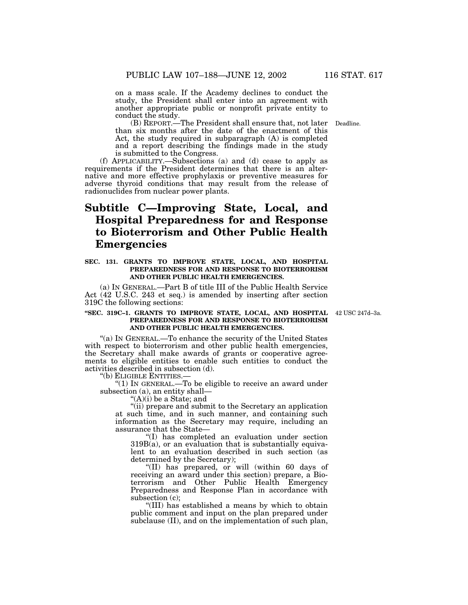on a mass scale. If the Academy declines to conduct the study, the President shall enter into an agreement with another appropriate public or nonprofit private entity to conduct the study.

(B) REPORT.—The President shall ensure that, not later Deadline. than six months after the date of the enactment of this Act, the study required in subparagraph (A) is completed and a report describing the findings made in the study is submitted to the Congress.

(f) APPLICABILITY.—Subsections (a) and (d) cease to apply as requirements if the President determines that there is an alternative and more effective prophylaxis or preventive measures for adverse thyroid conditions that may result from the release of radionuclides from nuclear power plants.

## **Subtitle C—Improving State, Local, and Hospital Preparedness for and Response to Bioterrorism and Other Public Health Emergencies**

#### **SEC. 131. GRANTS TO IMPROVE STATE, LOCAL, AND HOSPITAL PREPAREDNESS FOR AND RESPONSE TO BIOTERRORISM AND OTHER PUBLIC HEALTH EMERGENCIES.**

(a) IN GENERAL.—Part B of title III of the Public Health Service Act (42 U.S.C. 243 et seq.) is amended by inserting after section 319C the following sections:

#### **''SEC. 319C–1. GRANTS TO IMPROVE STATE, LOCAL, AND HOSPITAL** 42 USC 247d–3a. **PREPAREDNESS FOR AND RESPONSE TO BIOTERRORISM AND OTHER PUBLIC HEALTH EMERGENCIES.**

''(a) IN GENERAL.—To enhance the security of the United States with respect to bioterrorism and other public health emergencies, the Secretary shall make awards of grants or cooperative agreements to eligible entities to enable such entities to conduct the activities described in subsection  $(d)$ .

"(b) ELIGIBLE ENTITIES.—<br>"(1) IN GENERAL.—To be eligible to receive an award under subsection (a), an entity shall—<br>" $(A)(i)$  be a State; and

''(ii) prepare and submit to the Secretary an application at such time, and in such manner, and containing such information as the Secretary may require, including an assurance that the State—

''(I) has completed an evaluation under section 319B(a), or an evaluation that is substantially equivalent to an evaluation described in such section (as determined by the Secretary);

''(II) has prepared, or will (within 60 days of receiving an award under this section) prepare, a Bioterrorism and Other Public Health Emergency Preparedness and Response Plan in accordance with subsection (c);

''(III) has established a means by which to obtain public comment and input on the plan prepared under subclause (II), and on the implementation of such plan,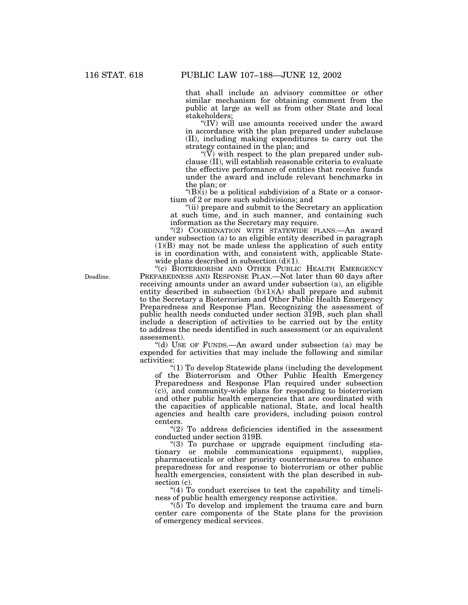that shall include an advisory committee or other similar mechanism for obtaining comment from the public at large as well as from other State and local stakeholders;

"(IV) will use amounts received under the award in accordance with the plan prepared under subclause (II), including making expenditures to carry out the strategy contained in the plan; and

" $(\breve{V})$  with respect to the plan prepared under subclause (II), will establish reasonable criteria to evaluate the effective performance of entities that receive funds under the award and include relevant benchmarks in the plan; or

" $(B)$ (i) be a political subdivision of a State or a consortium of 2 or more such subdivisions; and

''(ii) prepare and submit to the Secretary an application at such time, and in such manner, and containing such information as the Secretary may require.

"(2) COORDINATION WITH STATEWIDE PLANS.—An award under subsection (a) to an eligible entity described in paragraph  $(1)(B)$  may not be made unless the application of such entity is in coordination with, and consistent with, applicable Statewide plans described in subsection (d)(1).

''(c) BIOTERRORISM AND OTHER PUBLIC HEALTH EMERGENCY PREPAREDNESS AND RESPONSE PLAN.—Not later than 60 days after receiving amounts under an award under subsection (a), an eligible entity described in subsection  $(b)(1)(A)$  shall prepare and submit to the Secretary a Bioterrorism and Other Public Health Emergency Preparedness and Response Plan. Recognizing the assessment of public health needs conducted under section 319B, such plan shall include a description of activities to be carried out by the entity to address the needs identified in such assessment (or an equivalent assessment).

''(d) USE OF FUNDS.—An award under subsection (a) may be expended for activities that may include the following and similar activities:

''(1) To develop Statewide plans (including the development of the Bioterrorism and Other Public Health Emergency Preparedness and Response Plan required under subsection (c)), and community-wide plans for responding to bioterrorism and other public health emergencies that are coordinated with the capacities of applicable national, State, and local health agencies and health care providers, including poison control centers.

" $(2)$  To address deficiencies identified in the assessment conducted under section 319B.

"(3) To purchase or upgrade equipment (including stationary or mobile communications equipment), supplies, pharmaceuticals or other priority countermeasures to enhance preparedness for and response to bioterrorism or other public health emergencies, consistent with the plan described in subsection (c).

 $(4)$  To conduct exercises to test the capability and timeliness of public health emergency response activities.

" $(5)$  To develop and implement the trauma care and burn center care components of the State plans for the provision of emergency medical services.

Deadline.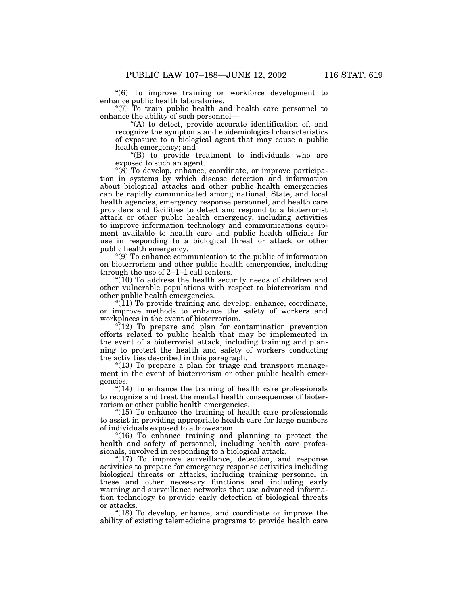''(6) To improve training or workforce development to enhance public health laboratories.

" $(7)$  To train public health and health care personnel to enhance the ability of such personnel—

''(A) to detect, provide accurate identification of, and recognize the symptoms and epidemiological characteristics of exposure to a biological agent that may cause a public health emergency; and

''(B) to provide treatment to individuals who are exposed to such an agent.

 $\cdot$ (8) To develop, enhance, coordinate, or improve participation in systems by which disease detection and information about biological attacks and other public health emergencies can be rapidly communicated among national, State, and local health agencies, emergency response personnel, and health care providers and facilities to detect and respond to a bioterrorist attack or other public health emergency, including activities to improve information technology and communications equipment available to health care and public health officials for use in responding to a biological threat or attack or other public health emergency.

''(9) To enhance communication to the public of information on bioterrorism and other public health emergencies, including through the use of 2–1–1 call centers.

''(10) To address the health security needs of children and other vulnerable populations with respect to bioterrorism and other public health emergencies.

" $(11)$  To provide training and develop, enhance, coordinate, or improve methods to enhance the safety of workers and workplaces in the event of bioterrorism.

''(12) To prepare and plan for contamination prevention efforts related to public health that may be implemented in the event of a bioterrorist attack, including training and planning to protect the health and safety of workers conducting the activities described in this paragraph.

"(13) To prepare a plan for triage and transport management in the event of bioterrorism or other public health emergencies.

" $(14)$  To enhance the training of health care professionals to recognize and treat the mental health consequences of bioterrorism or other public health emergencies.

" $(15)$  To enhance the training of health care professionals to assist in providing appropriate health care for large numbers of individuals exposed to a bioweapon.

"(16) To enhance training and planning to protect the health and safety of personnel, including health care professionals, involved in responding to a biological attack.

"(17) To improve surveillance, detection, and response activities to prepare for emergency response activities including biological threats or attacks, including training personnel in these and other necessary functions and including early warning and surveillance networks that use advanced information technology to provide early detection of biological threats or attacks.

"(18) To develop, enhance, and coordinate or improve the ability of existing telemedicine programs to provide health care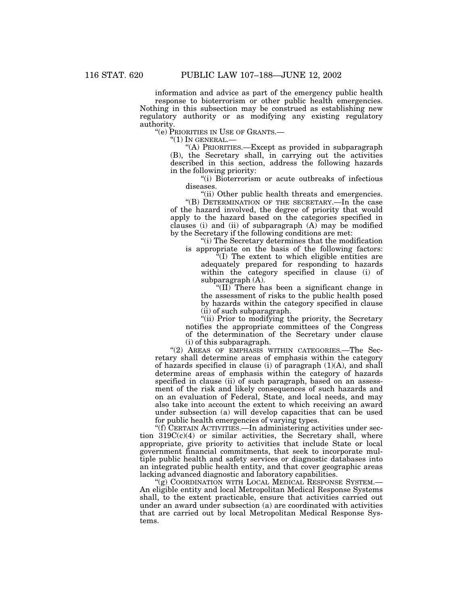information and advice as part of the emergency public health response to bioterrorism or other public health emergencies. Nothing in this subsection may be construed as establishing new regulatory authority or as modifying any existing regulatory authority.

''(e) PRIORITIES IN USE OF GRANTS.—

 $"(1)$  In GENERAL. $-$ 

''(A) PRIORITIES.—Except as provided in subparagraph (B), the Secretary shall, in carrying out the activities described in this section, address the following hazards in the following priority:

''(i) Bioterrorism or acute outbreaks of infectious diseases.

''(ii) Other public health threats and emergencies. ''(B) DETERMINATION OF THE SECRETARY.—In the case of the hazard involved, the degree of priority that would apply to the hazard based on the categories specified in

clauses (i) and (ii) of subparagraph (A) may be modified by the Secretary if the following conditions are met:

''(i) The Secretary determines that the modification is appropriate on the basis of the following factors:

 $f(I)$  The extent to which eligible entities are adequately prepared for responding to hazards within the category specified in clause (i) of subparagraph (A).

''(II) There has been a significant change in the assessment of risks to the public health posed by hazards within the category specified in clause (ii) of such subparagraph.

"(ii) Prior to modifying the priority, the Secretary notifies the appropriate committees of the Congress of the determination of the Secretary under clause (i) of this subparagraph.

''(2) AREAS OF EMPHASIS WITHIN CATEGORIES.—The Secretary shall determine areas of emphasis within the category of hazards specified in clause (i) of paragraph  $(1)(A)$ , and shall determine areas of emphasis within the category of hazards specified in clause (ii) of such paragraph, based on an assessment of the risk and likely consequences of such hazards and on an evaluation of Federal, State, and local needs, and may also take into account the extent to which receiving an award under subsection (a) will develop capacities that can be used for public health emergencies of varying types.

''(f) CERTAIN ACTIVITIES.—In administering activities under section 319C(c)(4) or similar activities, the Secretary shall, where appropriate, give priority to activities that include State or local government financial commitments, that seek to incorporate multiple public health and safety services or diagnostic databases into an integrated public health entity, and that cover geographic areas lacking advanced diagnostic and laboratory capabilities.

''(g) COORDINATION WITH LOCAL MEDICAL RESPONSE SYSTEM.— An eligible entity and local Metropolitan Medical Response Systems shall, to the extent practicable, ensure that activities carried out under an award under subsection (a) are coordinated with activities that are carried out by local Metropolitan Medical Response Systems.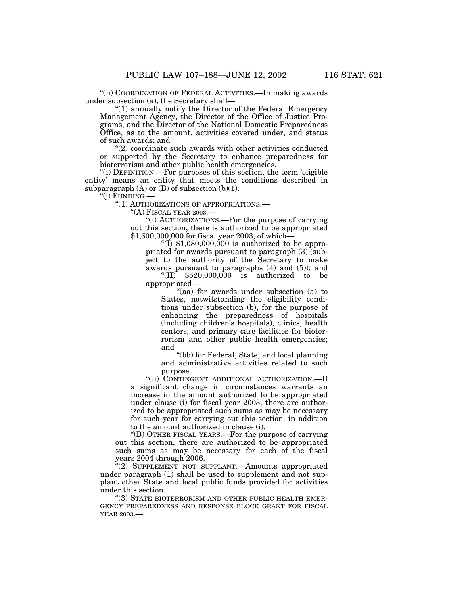''(h) COORDINATION OF FEDERAL ACTIVITIES.—In making awards under subsection (a), the Secretary shall—

''(1) annually notify the Director of the Federal Emergency Management Agency, the Director of the Office of Justice Programs, and the Director of the National Domestic Preparedness Office, as to the amount, activities covered under, and status of such awards; and

"(2) coordinate such awards with other activities conducted or supported by the Secretary to enhance preparedness for bioterrorism and other public health emergencies.

''(i) DEFINITION.—For purposes of this section, the term 'eligible entity' means an entity that meets the conditions described in subparagraph  $(A)$  or  $(B)$  of subsection  $(b)(1)$ .

''(j) FUNDING.—

''(1) AUTHORIZATIONS OF APPROPRIATIONS.—

''(A) FISCAL YEAR 2003.—

''(i) AUTHORIZATIONS.—For the purpose of carrying out this section, there is authorized to be appropriated \$1,600,000,000 for fiscal year 2003, of which—

"(I)  $$1,080,000,000$  is authorized to be appropriated for awards pursuant to paragraph (3) (subject to the authority of the Secretary to make awards pursuant to paragraphs (4) and (5)); and

"(II)  $$520,000,000$  is authorized to be appropriated—

''(aa) for awards under subsection (a) to States, notwitstanding the eligibility conditions under subsection (b), for the purpose of enhancing the preparedness of hospitals (including children's hospitals), clinics, health centers, and primary care facilities for bioterrorism and other public health emergencies; and

''(bb) for Federal, State, and local planning and administrative activities related to such purpose.

''(ii) CONTINGENT ADDITIONAL AUTHORIZATION.—If a significant change in circumstances warrants an increase in the amount authorized to be appropriated under clause (i) for fiscal year 2003, there are authorized to be appropriated such sums as may be necessary for such year for carrying out this section, in addition to the amount authorized in clause (i).

''(B) OTHER FISCAL YEARS.—For the purpose of carrying out this section, there are authorized to be appropriated such sums as may be necessary for each of the fiscal years 2004 through 2006.

''(2) SUPPLEMENT NOT SUPPLANT.—Amounts appropriated under paragraph (1) shall be used to supplement and not supplant other State and local public funds provided for activities under this section.

''(3) STATE BIOTERRORISM AND OTHER PUBLIC HEALTH EMER-GENCY PREPAREDNESS AND RESPONSE BLOCK GRANT FOR FISCAL YEAR 2003.—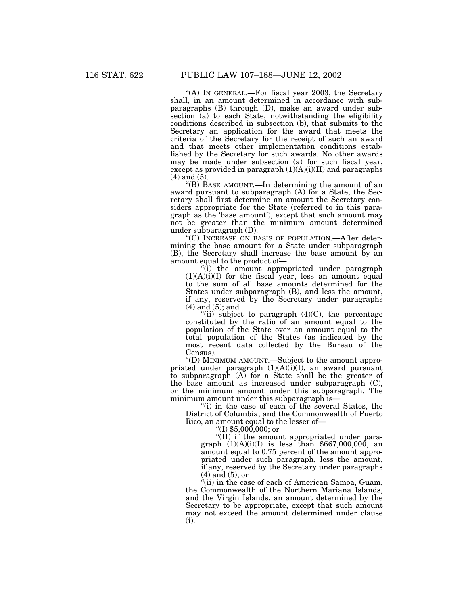''(A) IN GENERAL.—For fiscal year 2003, the Secretary shall, in an amount determined in accordance with subparagraphs (B) through (D), make an award under subsection (a) to each State, notwithstanding the eligibility conditions described in subsection (b), that submits to the Secretary an application for the award that meets the criteria of the Secretary for the receipt of such an award and that meets other implementation conditions established by the Secretary for such awards. No other awards may be made under subsection (a) for such fiscal year, except as provided in paragraph  $(1)(A)(i)(II)$  and paragraphs (4) and (5).

''(B) BASE AMOUNT.—In determining the amount of an award pursuant to subparagraph (A) for a State, the Secretary shall first determine an amount the Secretary considers appropriate for the State (referred to in this paragraph as the 'base amount'), except that such amount may not be greater than the minimum amount determined under subparagraph (D).

"(C) INCREASE ON BASIS OF POPULATION.—After determining the base amount for a State under subparagraph (B), the Secretary shall increase the base amount by an amount equal to the product of—

''(i) the amount appropriated under paragraph  $(1)(A)(i)(I)$  for the fiscal year, less an amount equal to the sum of all base amounts determined for the States under subparagraph (B), and less the amount, if any, reserved by the Secretary under paragraphs (4) and (5); and

"(ii) subject to paragraph  $(4)(C)$ , the percentage constituted by the ratio of an amount equal to the population of the State over an amount equal to the total population of the States (as indicated by the most recent data collected by the Bureau of the Census).

''(D) MINIMUM AMOUNT.—Subject to the amount appropriated under paragraph  $(1)(A)(i)(I)$ , an award pursuant to subparagraph (A) for a State shall be the greater of the base amount as increased under subparagraph (C), or the minimum amount under this subparagraph. The minimum amount under this subparagraph is-

"(i) in the case of each of the several States, the District of Columbia, and the Commonwealth of Puerto Rico, an amount equal to the lesser of—

''(I) \$5,000,000; or

''(II) if the amount appropriated under paragraph  $(1)(A)(i)(I)$  is less than \$667,000,000, an amount equal to 0.75 percent of the amount appropriated under such paragraph, less the amount, if any, reserved by the Secretary under paragraphs (4) and (5); or

''(ii) in the case of each of American Samoa, Guam, the Commonwealth of the Northern Mariana Islands, and the Virgin Islands, an amount determined by the Secretary to be appropriate, except that such amount may not exceed the amount determined under clause (i).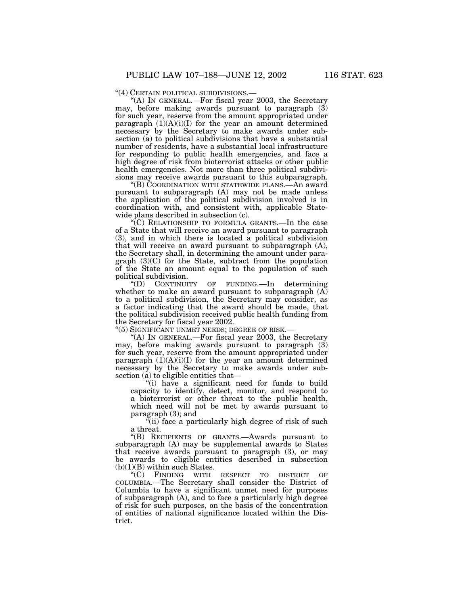''(4) CERTAIN POLITICAL SUBDIVISIONS.— ''(A) IN GENERAL.—For fiscal year 2003, the Secretary may, before making awards pursuant to paragraph  $(3)$ for such year, reserve from the amount appropriated under paragraph  $(1)(A)(i)(I)$  for the year an amount determined necessary by the Secretary to make awards under subsection (a) to political subdivisions that have a substantial number of residents, have a substantial local infrastructure for responding to public health emergencies, and face a high degree of risk from bioterrorist attacks or other public health emergencies. Not more than three political subdivisions may receive awards pursuant to this subparagraph.

''(B) COORDINATION WITH STATEWIDE PLANS.—An award pursuant to subparagraph (A) may not be made unless the application of the political subdivision involved is in coordination with, and consistent with, applicable Statewide plans described in subsection (c).<br>"(C) RELATIONSHIP TO FORMULA GRANTS.—In the case

of a State that will receive an award pursuant to paragraph (3), and in which there is located a political subdivision that will receive an award pursuant to subparagraph (A), the Secretary shall, in determining the amount under paragraph (3)(C) for the State, subtract from the population of the State an amount equal to the population of such political subdivision.

''(D) CONTINUITY OF FUNDING.—In determining whether to make an award pursuant to subparagraph  $(\overrightarrow{A})$ to a political subdivision, the Secretary may consider, as a factor indicating that the award should be made, that the political subdivision received public health funding from the Secretary for fiscal year 2002.

''(5) SIGNIFICANT UNMET NEEDS; DEGREE OF RISK.—

''(A) IN GENERAL.—For fiscal year 2003, the Secretary may, before making awards pursuant to paragraph (3) for such year, reserve from the amount appropriated under paragraph  $(1)(A)(i)(I)$  for the year an amount determined necessary by the Secretary to make awards under subsection (a) to eligible entities that—

''(i) have a significant need for funds to build capacity to identify, detect, monitor, and respond to a bioterrorist or other threat to the public health, which need will not be met by awards pursuant to paragraph (3); and

''(ii) face a particularly high degree of risk of such a threat.

''(B) RECIPIENTS OF GRANTS.—Awards pursuant to subparagraph (A) may be supplemental awards to States that receive awards pursuant to paragraph (3), or may be awards to eligible entities described in subsection  $(b)(1)(B)$  within such States.

''(C) FINDING WITH RESPECT TO DISTRICT OF COLUMBIA.—The Secretary shall consider the District of Columbia to have a significant unmet need for purposes of subparagraph (A), and to face a particularly high degree of risk for such purposes, on the basis of the concentration of entities of national significance located within the District.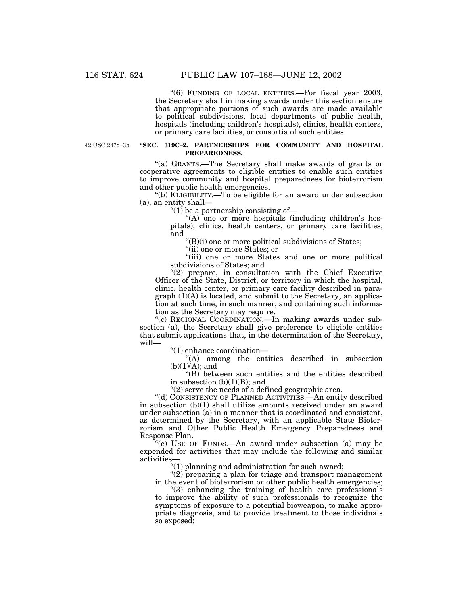''(6) FUNDING OF LOCAL ENTITIES.—For fiscal year 2003, the Secretary shall in making awards under this section ensure that appropriate portions of such awards are made available to political subdivisions, local departments of public health, hospitals (including children's hospitals), clinics, health centers, or primary care facilities, or consortia of such entities.

42 USC 247d–3b.

#### **''SEC. 319C–2. PARTNERSHIPS FOR COMMUNITY AND HOSPITAL PREPAREDNESS.**

''(a) GRANTS.—The Secretary shall make awards of grants or cooperative agreements to eligible entities to enable such entities to improve community and hospital preparedness for bioterrorism and other public health emergencies.

''(b) ELIGIBILITY.—To be eligible for an award under subsection (a), an entity shall—

 $''(1)$  be a partnership consisting of-

"(A) one or more hospitals (including children's hospitals), clinics, health centers, or primary care facilities; and

''(B)(i) one or more political subdivisions of States;

''(ii) one or more States; or

''(iii) one or more States and one or more political subdivisions of States; and

"(2) prepare, in consultation with the Chief Executive Officer of the State, District, or territory in which the hospital, clinic, health center, or primary care facility described in paragraph  $(1)(A)$  is located, and submit to the Secretary, an application at such time, in such manner, and containing such information as the Secretary may require.

''(c) REGIONAL COORDINATION.—In making awards under subsection (a), the Secretary shall give preference to eligible entities that submit applications that, in the determination of the Secretary, will—

''(1) enhance coordination—

''(A) among the entities described in subsection  $(b)(1)(A);$  and

''(B) between such entities and the entities described in subsection  $(b)(1)(B)$ ; and

" $(2)$  serve the needs of a defined geographic area.

''(d) CONSISTENCY OF PLANNED ACTIVITIES.—An entity described in subsection (b)(1) shall utilize amounts received under an award under subsection (a) in a manner that is coordinated and consistent, as determined by the Secretary, with an applicable State Bioterrorism and Other Public Health Emergency Preparedness and Response Plan.

''(e) USE OF FUNDS.—An award under subsection (a) may be expended for activities that may include the following and similar activities—

 $''(1)$  planning and administration for such award;

''(2) preparing a plan for triage and transport management in the event of bioterrorism or other public health emergencies;

''(3) enhancing the training of health care professionals to improve the ability of such professionals to recognize the symptoms of exposure to a potential bioweapon, to make appropriate diagnosis, and to provide treatment to those individuals so exposed;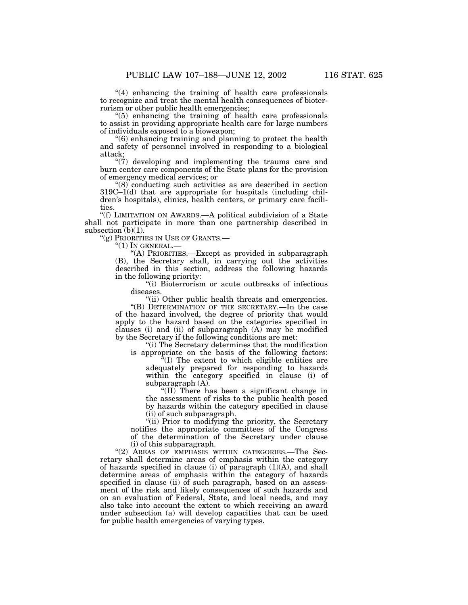"(4) enhancing the training of health care professionals to recognize and treat the mental health consequences of bioter-

rorism or other public health emergencies;<br>"(5) enhancing the training of health care professionals to assist in providing appropriate health care for large numbers of individuals exposed to a bioweapon;

''(6) enhancing training and planning to protect the health and safety of personnel involved in responding to a biological attack;

''(7) developing and implementing the trauma care and burn center care components of the State plans for the provision of emergency medical services; or

"(8) conducting such activities as are described in section 319C–1(d) that are appropriate for hospitals (including children's hospitals), clinics, health centers, or primary care facilities.

"(f) LIMITATION ON AWARDS.—A political subdivision of a State shall not participate in more than one partnership described in subsection  $(b)(1)$ .

''(g) PRIORITIES IN USE OF GRANTS.—

 $\mathrm{``(1)}$  In general.—

''(A) PRIORITIES.—Except as provided in subparagraph (B), the Secretary shall, in carrying out the activities described in this section, address the following hazards in the following priority:

''(i) Bioterrorism or acute outbreaks of infectious diseases.

''(ii) Other public health threats and emergencies. ''(B) DETERMINATION OF THE SECRETARY.—In the case of the hazard involved, the degree of priority that would apply to the hazard based on the categories specified in clauses (i) and (ii) of subparagraph  $(A)$  may be modified by the Secretary if the following conditions are met:

"(i) The Secretary determines that the modification is appropriate on the basis of the following factors:

 $\binom{k}{1}$  The extent to which eligible entities are adequately prepared for responding to hazards within the category specified in clause (i) of subparagraph (A).

''(II) There has been a significant change in the assessment of risks to the public health posed by hazards within the category specified in clause (ii) of such subparagraph.

''(ii) Prior to modifying the priority, the Secretary notifies the appropriate committees of the Congress of the determination of the Secretary under clause (i) of this subparagraph.

''(2) AREAS OF EMPHASIS WITHIN CATEGORIES.—The Secretary shall determine areas of emphasis within the category of hazards specified in clause (i) of paragraph  $(1)(A)$ , and shall determine areas of emphasis within the category of hazards specified in clause (ii) of such paragraph, based on an assessment of the risk and likely consequences of such hazards and on an evaluation of Federal, State, and local needs, and may also take into account the extent to which receiving an award under subsection (a) will develop capacities that can be used for public health emergencies of varying types.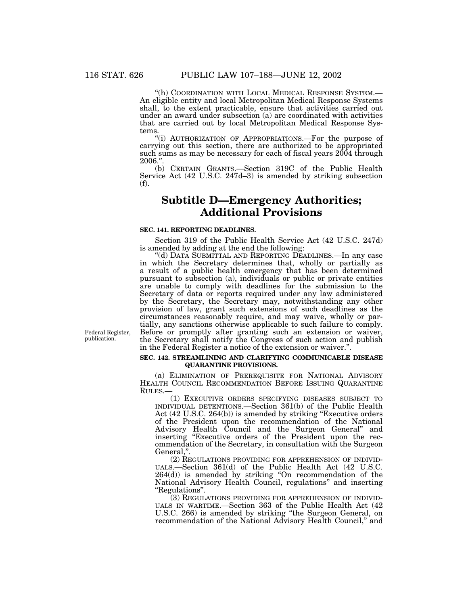''(h) COORDINATION WITH LOCAL MEDICAL RESPONSE SYSTEM.— An eligible entity and local Metropolitan Medical Response Systems shall, to the extent practicable, ensure that activities carried out under an award under subsection (a) are coordinated with activities that are carried out by local Metropolitan Medical Response Systems.<br>"(i) AUTHORIZATION OF APPROPRIATIONS.—For the purpose of

carrying out this section, there are authorized to be appropriated such sums as may be necessary for each of fiscal years  $2004$  through 2006.''.

(b) CERTAIN GRANTS.—Section 319C of the Public Health Service Act (42 U.S.C. 247d–3) is amended by striking subsection (f).

### **Subtitle D—Emergency Authorities; Additional Provisions**

#### **SEC. 141. REPORTING DEADLINES.**

Section 319 of the Public Health Service Act (42 U.S.C. 247d) is amended by adding at the end the following:

"(d) DATA SUBMITTAL AND REPORTING DEADLINES.—In any case in which the Secretary determines that, wholly or partially as a result of a public health emergency that has been determined pursuant to subsection (a), individuals or public or private entities are unable to comply with deadlines for the submission to the Secretary of data or reports required under any law administered by the Secretary, the Secretary may, notwithstanding any other provision of law, grant such extensions of such deadlines as the circumstances reasonably require, and may waive, wholly or partially, any sanctions otherwise applicable to such failure to comply. Before or promptly after granting such an extension or waiver, the Secretary shall notify the Congress of such action and publish in the Federal Register a notice of the extension or waiver.''.

Federal Register, publication.

#### **SEC. 142. STREAMLINING AND CLARIFYING COMMUNICABLE DISEASE QUARANTINE PROVISIONS.**

(a) ELIMINATION OF PREREQUISITE FOR NATIONAL ADVISORY HEALTH COUNCIL RECOMMENDATION BEFORE ISSUING QUARANTINE RULES.—

(1) EXECUTIVE ORDERS SPECIFYING DISEASES SUBJECT TO INDIVIDUAL DETENTIONS.—Section 361(b) of the Public Health Act (42 U.S.C. 264(b)) is amended by striking "Executive orders" of the President upon the recommendation of the National Advisory Health Council and the Surgeon General'' and inserting ''Executive orders of the President upon the recommendation of the Secretary, in consultation with the Surgeon General,''.

(2) REGULATIONS PROVIDING FOR APPREHENSION OF INDIVID-UALS.—Section 361(d) of the Public Health Act (42 U.S.C. 264(d)) is amended by striking ''On recommendation of the National Advisory Health Council, regulations'' and inserting ''Regulations''.

(3) REGULATIONS PROVIDING FOR APPREHENSION OF INDIVID-UALS IN WARTIME.—Section 363 of the Public Health Act (42 U.S.C. 266) is amended by striking ''the Surgeon General, on recommendation of the National Advisory Health Council,'' and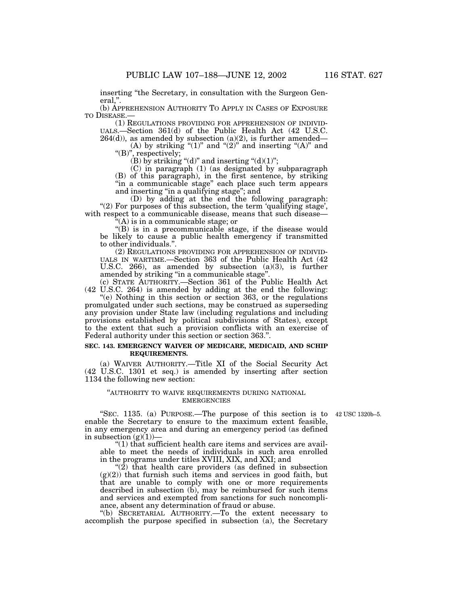eral,".<br>
(b) APPREHENSION AUTHORITY TO APPLY IN CASES OF EXPOSURE<br>
TO DISEASE.—

(1) REGULATIONS PROVIDING FOR APPREHENSION OF INDIVID-<br>UALS.—Section 361(d) of the Public Health Act (42 U.S.C.<br>264(d)), as amended by subsection (a)(2), is further amended—

264(d)), as amended by subsection (a)(2), is further amended—<br>(A) by striking "(1)" and "(2)" and inserting "(A)" and "(B)", respectively;

(B) by striking "(d)" and inserting "(d)(1)";

(C) in paragraph (1) (as designated by subparagraph (B) of this paragraph), in the first sentence, by striking "in a communicable stage" each place such term appears

and inserting "in a qualifying stage"; and<br>
(D) by adding at the end the following paragraph: "(2) For purposes of this subsection, the term 'qualifying stage', with respect to a communicable disease, means that such disease— " $(A)$  is in a communicable stage; or

 $'(B)$  is in a precommunicable stage, if the disease would be likely to cause a public health emergency if transmitted to other individuals.".

(2) REGULATIONS PROVIDING FOR APPREHENSION OF INDIVIDUALS IN WARTIME.—Section 363 of the Public Health Act (42 U.S.C. 266), as amended by subsection (a)(3), is further amended by striking "in a communicable stage". amended by striking ''in a communicable stage''. (c) STATE AUTHORITY.—Section 361 of the Public Health Act

(42 U.S.C. 264) is amended by adding at the end the following:

''(e) Nothing in this section or section 363, or the regulations promulgated under such sections, may be construed as superseding any provision under State law (including regulations and including provisions established by political subdivisions of States), except to the extent that such a provision conflicts with an exercise of Federal authority under this section or section 363.''.

#### **SEC. 143. EMERGENCY WAIVER OF MEDICARE, MEDICAID, AND SCHIP REQUIREMENTS.**

(a) WAIVER AUTHORITY.—Title XI of the Social Security Act (42 U.S.C. 1301 et seq.) is amended by inserting after section 1134 the following new section:

#### "AUTHORITY TO WAIVE REQUIREMENTS DURING NATIONAL EMERGENCIES

"SEC. 1135. (a) PURPOSE.—The purpose of this section is to  $\frac{42 \text{ USC}}{1320b-5}$ . enable the Secretary to ensure to the maximum extent feasible, in any emergency area and during an emergency period (as defined in subsection  $(g)(1)$ )

" $(1)$  that sufficient health care items and services are available to meet the needs of individuals in such area enrolled in the programs under titles XVIII, XIX, and XXI; and

" $(2)$  that health care providers (as defined in subsection  $(g)(2)$ ) that furnish such items and services in good faith, but that are unable to comply with one or more requirements described in subsection (b), may be reimbursed for such items and services and exempted from sanctions for such noncompliance, absent any determination of fraud or abuse.

''(b) SECRETARIAL AUTHORITY.—To the extent necessary to accomplish the purpose specified in subsection (a), the Secretary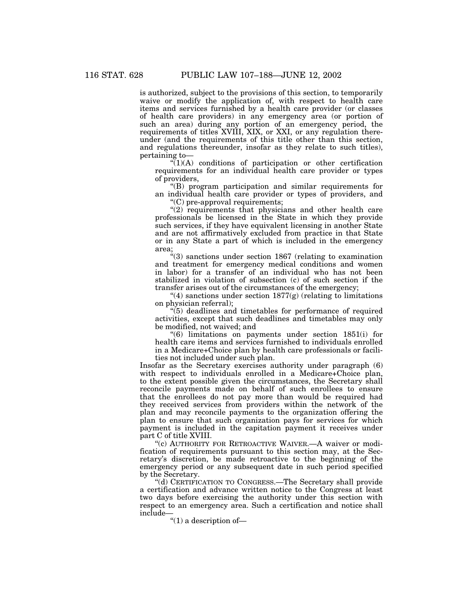is authorized, subject to the provisions of this section, to temporarily waive or modify the application of, with respect to health care items and services furnished by a health care provider (or classes of health care providers) in any emergency area (or portion of such an area) during any portion of an emergency period, the requirements of titles XVIII, XIX, or XXI, or any regulation thereunder (and the requirements of this title other than this section, and regulations thereunder, insofar as they relate to such titles), pertaining to—

 $\sqrt{\pi}(1)$ (A) conditions of participation or other certification requirements for an individual health care provider or types of providers,

''(B) program participation and similar requirements for an individual health care provider or types of providers, and

''(C) pre-approval requirements;

"(2) requirements that physicians and other health care professionals be licensed in the State in which they provide such services, if they have equivalent licensing in another State and are not affirmatively excluded from practice in that State or in any State a part of which is included in the emergency area;

 $\degree$ (3) sanctions under section 1867 (relating to examination and treatment for emergency medical conditions and women in labor) for a transfer of an individual who has not been stabilized in violation of subsection (c) of such section if the transfer arises out of the circumstances of the emergency;

"(4) sanctions under section  $1877(g)$  (relating to limitations on physician referral);

''(5) deadlines and timetables for performance of required activities, except that such deadlines and timetables may only be modified, not waived; and

 $(6)$  limitations on payments under section 1851(i) for health care items and services furnished to individuals enrolled in a Medicare+Choice plan by health care professionals or facilities not included under such plan.

Insofar as the Secretary exercises authority under paragraph (6) with respect to individuals enrolled in a Medicare+Choice plan, to the extent possible given the circumstances, the Secretary shall reconcile payments made on behalf of such enrollees to ensure that the enrollees do not pay more than would be required had they received services from providers within the network of the plan and may reconcile payments to the organization offering the plan to ensure that such organization pays for services for which payment is included in the capitation payment it receives under part C of title XVIII.

"(c) AUTHORITY FOR RETROACTIVE WAIVER.- A waiver or modification of requirements pursuant to this section may, at the Secretary's discretion, be made retroactive to the beginning of the emergency period or any subsequent date in such period specified by the Secretary.

''(d) CERTIFICATION TO CONGRESS.—The Secretary shall provide a certification and advance written notice to the Congress at least two days before exercising the authority under this section with respect to an emergency area. Such a certification and notice shall include—

''(1) a description of—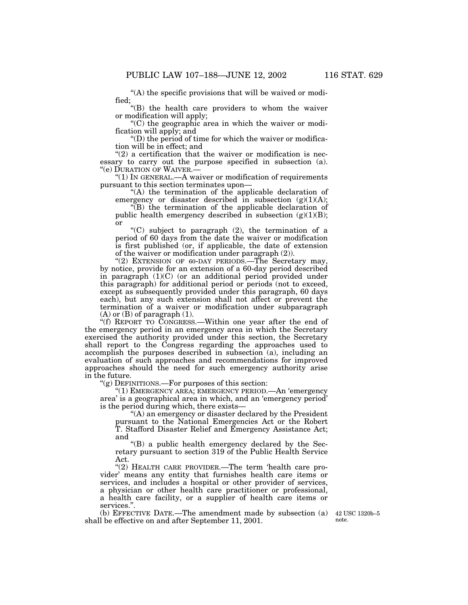$H(A)$  the specific provisions that will be waived or modi-fied:

"(B) the health care providers to whom the waiver or modification will apply;

 $C$ ) the geographic area in which the waiver or modification will apply; and

''(D) the period of time for which the waiver or modification will be in effect; and

" $(2)$  a certification that the waiver or modification is necessary to carry out the purpose specified in subsection (a).<br>"(e) DURATION OF WAIVER.—

"(1) IN GENERAL.—A waiver or modification of requirements pursuant to this section terminates upon—

"(A) the termination of the applicable declaration of emergency or disaster described in subsection  $(g)(1)(A)$ ;

 $\hat{H}$ ) the termination of the applicable declaration of public health emergency described in subsection  $(g)(1)(B)$ ;

or  $''(C)$  subject to paragraph (2), the termination of a period of 60 days from the date the waiver or modification is first published (or, if applicable, the date of extension of the waiver or modification under paragraph (2)).

"(2) EXTENSION OF 60-DAY PERIODS.—The Secretary may, by notice, provide for an extension of a 60-day period described in paragraph (1)(C) (or an additional period provided under this paragraph) for additional period or periods (not to exceed, except as subsequently provided under this paragraph, 60 days each), but any such extension shall not affect or prevent the termination of a waiver or modification under subparagraph  $(A)$  or  $(B)$  of paragraph  $(1)$ .

''(f) REPORT TO CONGRESS.—Within one year after the end of the emergency period in an emergency area in which the Secretary exercised the authority provided under this section, the Secretary shall report to the Congress regarding the approaches used to accomplish the purposes described in subsection (a), including an evaluation of such approaches and recommendations for improved approaches should the need for such emergency authority arise in the future.

 $'(g)$  DEFINITIONS.—For purposes of this section:

''(1) EMERGENCY AREA; EMERGENCY PERIOD.—An 'emergency area' is a geographical area in which, and an 'emergency period' is the period during which, there exists—

''(A) an emergency or disaster declared by the President pursuant to the National Emergencies Act or the Robert T. Stafford Disaster Relief and Emergency Assistance Act; and

''(B) a public health emergency declared by the Secretary pursuant to section 319 of the Public Health Service Act.

"(2) HEALTH CARE PROVIDER. The term 'health care provider' means any entity that furnishes health care items or services, and includes a hospital or other provider of services, a physician or other health care practitioner or professional, a health care facility, or a supplier of health care items or services.".

(b) EFFECTIVE DATE.—The amendment made by subsection (a) shall be effective on and after September 11, 2001.

42 USC 1320b–5 note.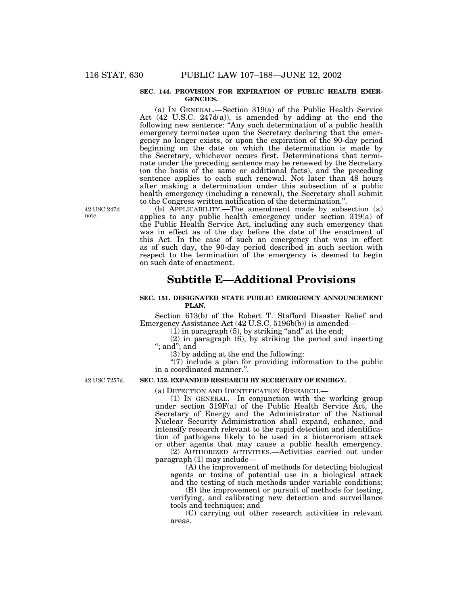### **SEC. 144. PROVISION FOR EXPIRATION OF PUBLIC HEALTH EMER-GENCIES.**

(a) IN GENERAL.—Section 319(a) of the Public Health Service Act (42 U.S.C. 247d(a)), is amended by adding at the end the following new sentence: "Any such determination of a public health emergency terminates upon the Secretary declaring that the emergency no longer exists, or upon the expiration of the 90-day period beginning on the date on which the determination is made by the Secretary, whichever occurs first. Determinations that terminate under the preceding sentence may be renewed by the Secretary (on the basis of the same or additional facts), and the preceding sentence applies to each such renewal. Not later than 48 hours after making a determination under this subsection of a public health emergency (including a renewal), the Secretary shall submit to the Congress written notification of the determination.''.

(b) APPLICABILITY.—The amendment made by subsection (a) applies to any public health emergency under section 319(a) of the Public Health Service Act, including any such emergency that was in effect as of the day before the date of the enactment of this Act. In the case of such an emergency that was in effect as of such day, the 90-day period described in such section with respect to the termination of the emergency is deemed to begin on such date of enactment.

# **Subtitle E—Additional Provisions**

## **SEC. 151. DESIGNATED STATE PUBLIC EMERGENCY ANNOUNCEMENT PLAN.**

Section 613(b) of the Robert T. Stafford Disaster Relief and Emergency Assistance Act (42 U.S.C. 5196b(b)) is amended—

 $(1)$  in paragraph  $(5)$ , by striking "and" at the end;

(2) in paragraph (6), by striking the period and inserting ''; and''; and

(3) by adding at the end the following:

" $(7)$  include a plan for providing information to the public in a coordinated manner.''.

42 USC 7257d.

# **SEC. 152. EXPANDED RESEARCH BY SECRETARY OF ENERGY.**

(a) DETECTION AND IDENTIFICATION RESEARCH.—

(1) IN GENERAL.—In conjunction with the working group under section 319F(a) of the Public Health Service Act, the Secretary of Energy and the Administrator of the National Nuclear Security Administration shall expand, enhance, and intensify research relevant to the rapid detection and identification of pathogens likely to be used in a bioterrorism attack or other agents that may cause a public health emergency.

(2) AUTHORIZED ACTIVITIES.—Activities carried out under paragraph (1) may include—

(A) the improvement of methods for detecting biological agents or toxins of potential use in a biological attack and the testing of such methods under variable conditions;

(B) the improvement or pursuit of methods for testing, verifying, and calibrating new detection and surveillance

tools and techniques; and

(C) carrying out other research activities in relevant areas.

42 USC 247d note.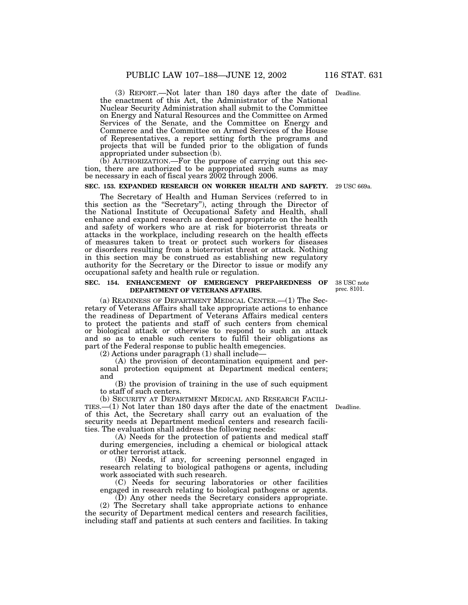(3) REPORT.—Not later than 180 days after the date of Deadline. the enactment of this Act, the Administrator of the National Nuclear Security Administration shall submit to the Committee on Energy and Natural Resources and the Committee on Armed Services of the Senate, and the Committee on Energy and Commerce and the Committee on Armed Services of the House of Representatives, a report setting forth the programs and projects that will be funded prior to the obligation of funds appropriated under subsection (b).

(b) AUTHORIZATION.—For the purpose of carrying out this section, there are authorized to be appropriated such sums as may be necessary in each of fiscal years  $2002$  through 2006.

#### **SEC. 153. EXPANDED RESEARCH ON WORKER HEALTH AND SAFETY.** 29 USC 669a.

The Secretary of Health and Human Services (referred to in this section as the ''Secretary''), acting through the Director of the National Institute of Occupational Safety and Health, shall enhance and expand research as deemed appropriate on the health and safety of workers who are at risk for bioterrorist threats or attacks in the workplace, including research on the health effects of measures taken to treat or protect such workers for diseases or disorders resulting from a bioterrorist threat or attack. Nothing in this section may be construed as establishing new regulatory authority for the Secretary or the Director to issue or modify any occupational safety and health rule or regulation.

### **SEC. 154. ENHANCEMENT OF EMERGENCY PREPAREDNESS OF DEPARTMENT OF VETERANS AFFAIRS.**

(a) READINESS OF DEPARTMENT MEDICAL CENTER.—(1) The Secretary of Veterans Affairs shall take appropriate actions to enhance the readiness of Department of Veterans Affairs medical centers to protect the patients and staff of such centers from chemical or biological attack or otherwise to respond to such an attack and so as to enable such centers to fulfil their obligations as part of the Federal response to public health emegencies.<br>(2) Actions under paragraph (1) shall include—

(A) the provision of decontamination equipment and personal protection equipment at Department medical centers; and

(B) the provision of training in the use of such equipment to staff of such centers.<br>(b) SECURITY AT DEPARTMENT MEDICAL AND RESEARCH FACILI-

(b) SECURITY AT DEPARTMENT MEDICAL AND RESEARCH FACILI- TIES.—(1) Not later than 180 days after the date of the enactment Deadline. of this Act, the Secretary shall carry out an evaluation of the security needs at Department medical centers and research facilities. The evaluation shall address the following needs:

(A) Needs for the protection of patients and medical staff during emergencies, including a chemical or biological attack or other terrorist attack.

(B) Needs, if any, for screening personnel engaged in research relating to biological pathogens or agents, including work associated with such research.

(C) Needs for securing laboratories or other facilities engaged in research relating to biological pathogens or agents.

(D) Any other needs the Secretary considers appropriate. (2) The Secretary shall take appropriate actions to enhance the security of Department medical centers and research facilities, including staff and patients at such centers and facilities. In taking

38 USC note prec. 8101.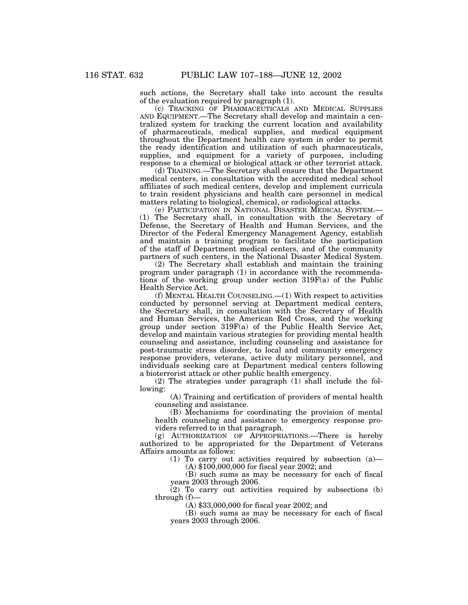such actions, the Secretary shall take into account the results of the evaluation required by paragraph (1).

(c) TRACKING OF PHARMACEUTICALS AND MEDICAL SUPPLIES AND EQUIPMENT.—The Secretary shall develop and maintain a centralized system for tracking the current location and availability of pharmaceuticals, medical supplies, and medical equipment throughout the Department health care system in order to permit the ready identification and utilization of such pharmaceuticals, supplies, and equipment for a variety of purposes, including response to a chemical or biological attack or other terrorist attack.

(d) TRAINING.—The Secretary shall ensure that the Department medical centers, in consultation with the accredited medical school affiliates of such medical centers, develop and implement curricula to train resident physicians and health care personnel in medical matters relating to biological, chemical, or radiological attacks.

(e) PARTICIPATION IN NATIONAL DISASTER MEDICAL SYSTEM.— (1) The Secretary shall, in consultation with the Secretary of Defense, the Secretary of Health and Human Services, and the Director of the Federal Emergency Management Agency, establish and maintain a training program to facilitate the participation of the staff of Department medical centers, and of the community partners of such centers, in the National Disaster Medical System.

(2) The Secretary shall establish and maintain the training program under paragraph (1) in accordance with the recommendations of the working group under section 319F(a) of the Public Health Service Act.

(f) MENTAL HEALTH COUNSELING.—(1) With respect to activities conducted by personnel serving at Department medical centers, the Secretary shall, in consultation with the Secretary of Health and Human Services, the American Red Cross, and the working group under section 319F(a) of the Public Health Service Act, develop and maintain various strategies for providing mental health counseling and assistance, including counseling and assistance for post-traumatic stress disorder, to local and community emergency response providers, veterans, active duty military personnel, and individuals seeking care at Department medical centers following a bioterrorist attack or other public health emergency.

(2) The strategies under paragraph (1) shall include the following:

(A) Training and certification of providers of mental health counseling and assistance.

(B) Mechanisms for coordinating the provision of mental health counseling and assistance to emergency response providers referred to in that paragraph.

(g) AUTHORIZATION OF APPROPRIATIONS.—There is hereby authorized to be appropriated for the Department of Veterans Affairs amounts as follows:

(1) To carry out activities required by subsection (a)—

(A) \$100,000,000 for fiscal year 2002; and

(B) such sums as may be necessary for each of fiscal years 2003 through 2006.

 $(2)$  To carry out activities required by subsections  $(b)$ through (f)—

(A) \$33,000,000 for fiscal year 2002; and

(B) such sums as may be necessary for each of fiscal years 2003 through 2006.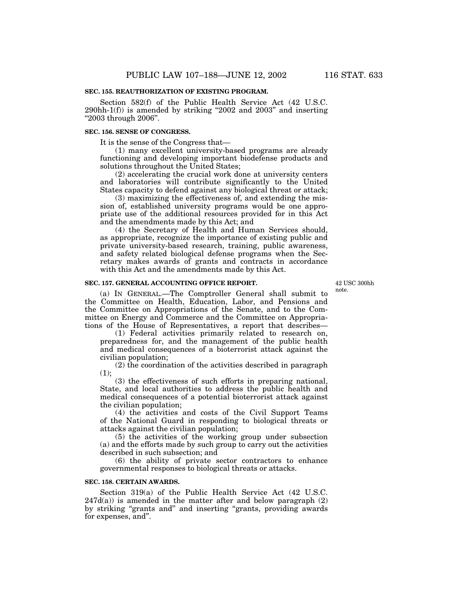## **SEC. 155. REAUTHORIZATION OF EXISTING PROGRAM.**

Section 582(f) of the Public Health Service Act (42 U.S.C.  $290hh-1(f)$  is amended by striking "2002 and 2003" and inserting ''2003 through 2006''.

# **SEC. 156. SENSE OF CONGRESS.**

It is the sense of the Congress that—

(1) many excellent university-based programs are already functioning and developing important biodefense products and solutions throughout the United States;

(2) accelerating the crucial work done at university centers and laboratories will contribute significantly to the United States capacity to defend against any biological threat or attack;

(3) maximizing the effectiveness of, and extending the mission of, established university programs would be one appropriate use of the additional resources provided for in this Act and the amendments made by this Act; and

(4) the Secretary of Health and Human Services should, as appropriate, recognize the importance of existing public and private university-based research, training, public awareness, and safety related biological defense programs when the Secretary makes awards of grants and contracts in accordance with this Act and the amendments made by this Act.

# **SEC. 157. GENERAL ACCOUNTING OFFICE REPORT.**

42 USC 300hh note.

(a) IN GENERAL.—The Comptroller General shall submit to the Committee on Health, Education, Labor, and Pensions and the Committee on Appropriations of the Senate, and to the Committee on Energy and Commerce and the Committee on Appropriations of the House of Representatives, a report that describes—

(1) Federal activities primarily related to research on, preparedness for, and the management of the public health and medical consequences of a bioterrorist attack against the civilian population;

(2) the coordination of the activities described in paragraph  $(1):$ 

(3) the effectiveness of such efforts in preparing national, State, and local authorities to address the public health and medical consequences of a potential bioterrorist attack against the civilian population;

(4) the activities and costs of the Civil Support Teams of the National Guard in responding to biological threats or attacks against the civilian population;

(5) the activities of the working group under subsection (a) and the efforts made by such group to carry out the activities described in such subsection; and

(6) the ability of private sector contractors to enhance governmental responses to biological threats or attacks.

#### **SEC. 158. CERTAIN AWARDS.**

Section 319(a) of the Public Health Service Act (42 U.S.C.  $247d(a)$ ) is amended in the matter after and below paragraph  $(2)$ by striking "grants and" and inserting "grants, providing awards for expenses, and''.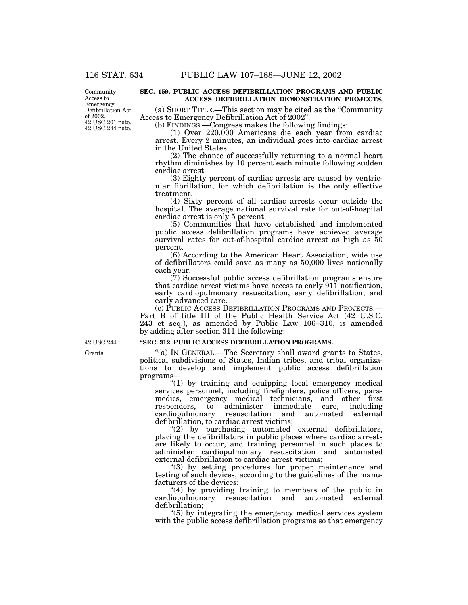42 USC 244 note. 42 USC 201 note. Community Access to Emergency Defibrillation Act of 2002.

# **SEC. 159. PUBLIC ACCESS DEFIBRILLATION PROGRAMS AND PUBLIC ACCESS DEFIBRILLATION DEMONSTRATION PROJECTS.**

(a) SHORT TITLE.—This section may be cited as the ''Community Access to Emergency Defibrillation Act of 2002''.

(b) FINDINGS.—Congress makes the following findings:

(1) Over 220,000 Americans die each year from cardiac arrest. Every 2 minutes, an individual goes into cardiac arrest in the United States.

(2) The chance of successfully returning to a normal heart rhythm diminishes by 10 percent each minute following sudden cardiac arrest.

(3) Eighty percent of cardiac arrests are caused by ventricular fibrillation, for which defibrillation is the only effective treatment.

(4) Sixty percent of all cardiac arrests occur outside the hospital. The average national survival rate for out-of-hospital cardiac arrest is only 5 percent.

(5) Communities that have established and implemented public access defibrillation programs have achieved average survival rates for out-of-hospital cardiac arrest as high as 50 percent.

(6) According to the American Heart Association, wide use of defibrillators could save as many as 50,000 lives nationally each year.

(7) Successful public access defibrillation programs ensure that cardiac arrest victims have access to early 911 notification, early cardiopulmonary resuscitation, early defibrillation, and early advanced care.

(c) PUBLIC ACCESS DEFIBRILLATION PROGRAMS AND PROJECTS.— Part B of title III of the Public Health Service Act (42 U.S.C. 243 et seq.), as amended by Public Law 106–310, is amended by adding after section 311 the following:

### **''SEC. 312. PUBLIC ACCESS DEFIBRILLATION PROGRAMS.**

"(a) IN GENERAL.—The Secretary shall award grants to States, political subdivisions of States, Indian tribes, and tribal organizations to develop and implement public access defibrillation programs—

 $(1)$  by training and equipping local emergency medical services personnel, including firefighters, police officers, paramedics, emergency medical technicians, and other first responders, to administer immediate care, including immediate care, including<br>and automated external cardiopulmonary resuscitation and defibrillation, to cardiac arrest victims;

''(2) by purchasing automated external defibrillators, placing the defibrillators in public places where cardiac arrests are likely to occur, and training personnel in such places to administer cardiopulmonary resuscitation and automated external defibrillation to cardiac arrest victims;

"(3) by setting procedures for proper maintenance and testing of such devices, according to the guidelines of the manufacturers of the devices;

''(4) by providing training to members of the public in cardiopulmonary resuscitation and automated external defibrillation;

''(5) by integrating the emergency medical services system with the public access defibrillation programs so that emergency

Grants. 42 USC 244.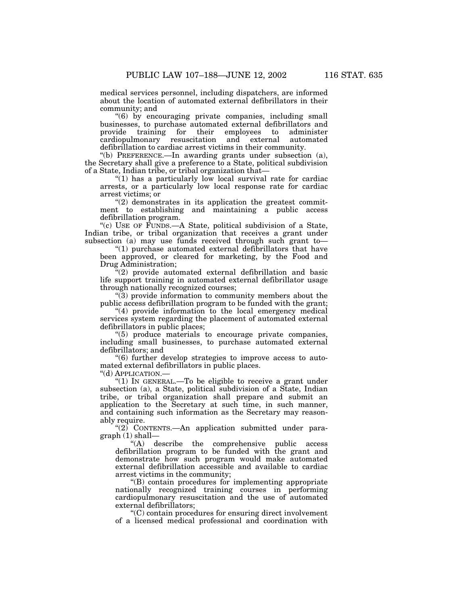medical services personnel, including dispatchers, are informed about the location of automated external defibrillators in their community; and

''(6) by encouraging private companies, including small businesses, to purchase automated external defibrillators and provide training for their employees to administer cardiopulmonary resuscitation and external automated defibrillation to cardiac arrest victims in their community.

''(b) PREFERENCE.—In awarding grants under subsection (a), the Secretary shall give a preference to a State, political subdivision of a State, Indian tribe, or tribal organization that—

" $(1)$  has a particularly low local survival rate for cardiac arrests, or a particularly low local response rate for cardiac arrest victims; or

 $''(2)$  demonstrates in its application the greatest commitment to establishing and maintaining a public access defibrillation program.

''(c) USE OF FUNDS.—A State, political subdivision of a State, Indian tribe, or tribal organization that receives a grant under subsection (a) may use funds received through such grant to—

''(1) purchase automated external defibrillators that have been approved, or cleared for marketing, by the Food and Drug Administration;

 $(2)$  provide automated external defibrillation and basic life support training in automated external defibrillator usage through nationally recognized courses;

 $\sqrt{\frac{3}{3}}$  provide information to community members about the public access defibrillation program to be funded with the grant;

"(4) provide information to the local emergency medical services system regarding the placement of automated external defibrillators in public places;

''(5) produce materials to encourage private companies, including small businesses, to purchase automated external defibrillators; and

''(6) further develop strategies to improve access to automated external defibrillators in public places.

''(d) APPLICATION.—

" $(1)$  In GENERAL.—To be eligible to receive a grant under subsection (a), a State, political subdivision of a State, Indian tribe, or tribal organization shall prepare and submit an application to the Secretary at such time, in such manner, and containing such information as the Secretary may reasonably require.

" $(2)$  CONTENTS.—An application submitted under paragraph (1) shall—

''(A) describe the comprehensive public access defibrillation program to be funded with the grant and demonstrate how such program would make automated external defibrillation accessible and available to cardiac arrest victims in the community;

''(B) contain procedures for implementing appropriate nationally recognized training courses in performing cardiopulmonary resuscitation and the use of automated external defibrillators;

''(C) contain procedures for ensuring direct involvement of a licensed medical professional and coordination with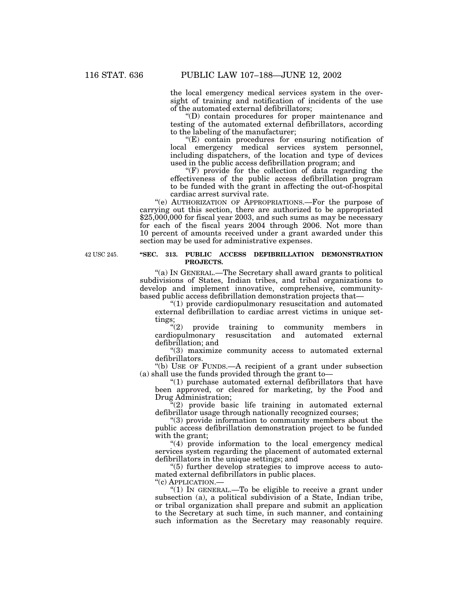the local emergency medical services system in the oversight of training and notification of incidents of the use of the automated external defibrillators;

''(D) contain procedures for proper maintenance and testing of the automated external defibrillators, according to the labeling of the manufacturer;

''(E) contain procedures for ensuring notification of local emergency medical services system personnel, including dispatchers, of the location and type of devices used in the public access defibrillation program; and

 $f(F)$  provide for the collection of data regarding the effectiveness of the public access defibrillation program to be funded with the grant in affecting the out-of-hospital cardiac arrest survival rate.

"(e) AUTHORIZATION OF APPROPRIATIONS.—For the purpose of carrying out this section, there are authorized to be appropriated \$25,000,000 for fiscal year 2003, and such sums as may be necessary for each of the fiscal years 2004 through 2006. Not more than 10 percent of amounts received under a grant awarded under this section may be used for administrative expenses.

## 42 USC 245.

### **''SEC. 313. PUBLIC ACCESS DEFIBRILLATION DEMONSTRATION PROJECTS.**

''(a) IN GENERAL.—The Secretary shall award grants to political subdivisions of States, Indian tribes, and tribal organizations to develop and implement innovative, comprehensive, communitybased public access defibrillation demonstration projects that—

''(1) provide cardiopulmonary resuscitation and automated external defibrillation to cardiac arrest victims in unique settings;<br> $\frac{u}{2}$ 

provide training to community members in<br>monary resuscitation and automated external cardiopulmonary resuscitation defibrillation; and

''(3) maximize community access to automated external defibrillators.

''(b) USE OF FUNDS.—A recipient of a grant under subsection (a) shall use the funds provided through the grant to—

''(1) purchase automated external defibrillators that have been approved, or cleared for marketing, by the Food and Drug Administration;

 $(2)$  provide basic life training in automated external defibrillator usage through nationally recognized courses;

''(3) provide information to community members about the public access defibrillation demonstration project to be funded with the grant;

"(4) provide information to the local emergency medical services system regarding the placement of automated external defibrillators in the unique settings; and

''(5) further develop strategies to improve access to automated external defibrillators in public places.

''(c) APPLICATION.—

" $(1)$  In GENERAL.—To be eligible to receive a grant under subsection (a), a political subdivision of a State, Indian tribe, or tribal organization shall prepare and submit an application to the Secretary at such time, in such manner, and containing such information as the Secretary may reasonably require.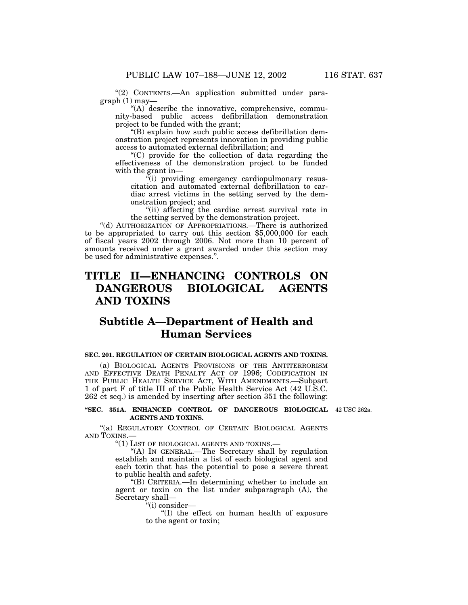''(2) CONTENTS.—An application submitted under paragraph (1) may—

"(A) describe the innovative, comprehensive, community-based public access defibrillation demonstration project to be funded with the grant;

''(B) explain how such public access defibrillation demonstration project represents innovation in providing public access to automated external defibrillation; and

''(C) provide for the collection of data regarding the effectiveness of the demonstration project to be funded with the grant in—

 $\tilde{f}(i)$  providing emergency cardiopulmonary resuscitation and automated external defibrillation to cardiac arrest victims in the setting served by the demonstration project; and

''(ii) affecting the cardiac arrest survival rate in the setting served by the demonstration project.

''(d) AUTHORIZATION OF APPROPRIATIONS.—There is authorized to be appropriated to carry out this section \$5,000,000 for each of fiscal years 2002 through 2006. Not more than 10 percent of amounts received under a grant awarded under this section may be used for administrative expenses.''.

# **TITLE II—ENHANCING CONTROLS ON DANGEROUS BIOLOGICAL AGENTS AND TOXINS**

# **Subtitle A—Department of Health and Human Services**

# **SEC. 201. REGULATION OF CERTAIN BIOLOGICAL AGENTS AND TOXINS.**

(a) BIOLOGICAL AGENTS PROVISIONS OF THE ANTITERRORISM AND EFFECTIVE DEATH PENALTY ACT OF 1996; CODIFICATION IN THE PUBLIC HEALTH SERVICE ACT, WITH AMENDMENTS.—Subpart 1 of part F of title III of the Public Health Service Act (42 U.S.C. 262 et seq.) is amended by inserting after section 351 the following:

#### **''SEC. 351A. ENHANCED CONTROL OF DANGEROUS BIOLOGICAL** 42 USC 262a. **AGENTS AND TOXINS.**

''(a) REGULATORY CONTROL OF CERTAIN BIOLOGICAL AGENTS AND TOXINS.—

''(1) LIST OF BIOLOGICAL AGENTS AND TOXINS.—

''(A) IN GENERAL.—The Secretary shall by regulation establish and maintain a list of each biological agent and each toxin that has the potential to pose a severe threat to public health and safety.

''(B) CRITERIA.—In determining whether to include an agent or toxin on the list under subparagraph (A), the Secretary shall—

''(i) consider—

''(I) the effect on human health of exposure to the agent or toxin;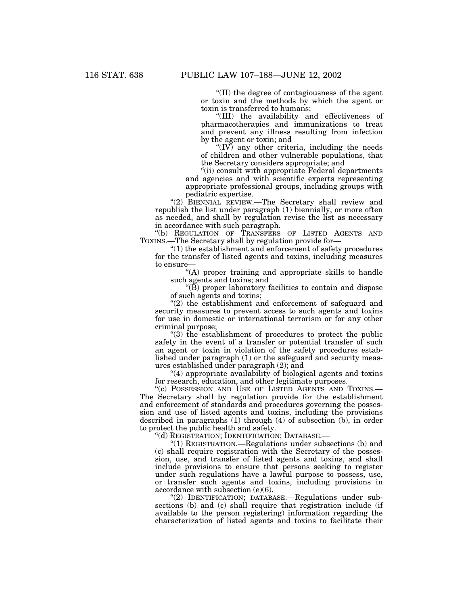''(II) the degree of contagiousness of the agent or toxin and the methods by which the agent or toxin is transferred to humans;

''(III) the availability and effectiveness of pharmacotherapies and immunizations to treat and prevent any illness resulting from infection by the agent or toxin; and

" $(IV)$  any other criteria, including the needs of children and other vulnerable populations, that the Secretary considers appropriate; and

"(ii) consult with appropriate Federal departments and agencies and with scientific experts representing appropriate professional groups, including groups with pediatric expertise.

"(2) BIENNIAL REVIEW.—The Secretary shall review and republish the list under paragraph (1) biennially, or more often as needed, and shall by regulation revise the list as necessary in accordance with such paragraph.

''(b) REGULATION OF TRANSFERS OF LISTED AGENTS AND TOXINS.—The Secretary shall by regulation provide for—

''(1) the establishment and enforcement of safety procedures for the transfer of listed agents and toxins, including measures to ensure—

''(A) proper training and appropriate skills to handle such agents and toxins; and

''(B) proper laboratory facilities to contain and dispose of such agents and toxins;

"(2) the establishment and enforcement of safeguard and security measures to prevent access to such agents and toxins for use in domestic or international terrorism or for any other criminal purpose;

''(3) the establishment of procedures to protect the public safety in the event of a transfer or potential transfer of such an agent or toxin in violation of the safety procedures established under paragraph (1) or the safeguard and security measures established under paragraph (2); and

"(4) appropriate availability of biological agents and toxins for research, education, and other legitimate purposes.

''(c) POSSESSION AND USE OF LISTED AGENTS AND TOXINS.— The Secretary shall by regulation provide for the establishment and enforcement of standards and procedures governing the possession and use of listed agents and toxins, including the provisions described in paragraphs (1) through (4) of subsection (b), in order to protect the public health and safety.

''(d) REGISTRATION; IDENTIFICATION; DATABASE.—

''(1) REGISTRATION.—Regulations under subsections (b) and (c) shall require registration with the Secretary of the possession, use, and transfer of listed agents and toxins, and shall include provisions to ensure that persons seeking to register under such regulations have a lawful purpose to possess, use, or transfer such agents and toxins, including provisions in accordance with subsection (e)(6).

"(2) IDENTIFICATION; DATABASE.—Regulations under subsections (b) and (c) shall require that registration include (if available to the person registering) information regarding the characterization of listed agents and toxins to facilitate their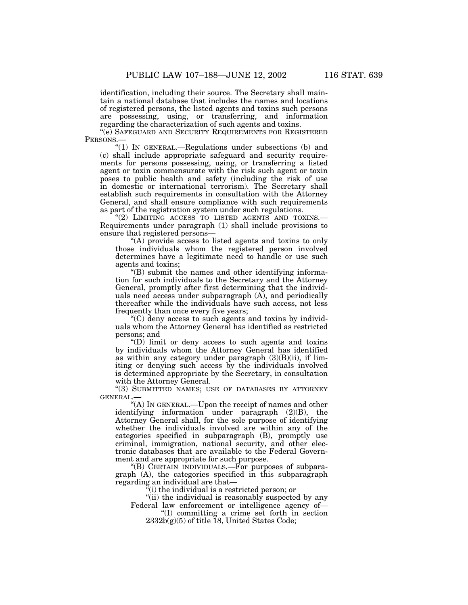identification, including their source. The Secretary shall maintain a national database that includes the names and locations of registered persons, the listed agents and toxins such persons are possessing, using, or transferring, and information regarding the characterization of such agents and toxins.

''(e) SAFEGUARD AND SECURITY REQUIREMENTS FOR REGISTERED PERSONS.-

"(1) IN GENERAL.—Regulations under subsections (b) and (c) shall include appropriate safeguard and security requirements for persons possessing, using, or transferring a listed agent or toxin commensurate with the risk such agent or toxin poses to public health and safety (including the risk of use in domestic or international terrorism). The Secretary shall establish such requirements in consultation with the Attorney General, and shall ensure compliance with such requirements as part of the registration system under such regulations.

''(2) LIMITING ACCESS TO LISTED AGENTS AND TOXINS.— Requirements under paragraph (1) shall include provisions to ensure that registered persons—

''(A) provide access to listed agents and toxins to only those individuals whom the registered person involved determines have a legitimate need to handle or use such agents and toxins;

''(B) submit the names and other identifying information for such individuals to the Secretary and the Attorney General, promptly after first determining that the individuals need access under subparagraph (A), and periodically thereafter while the individuals have such access, not less frequently than once every five years;

''(C) deny access to such agents and toxins by individuals whom the Attorney General has identified as restricted persons; and

''(D) limit or deny access to such agents and toxins by individuals whom the Attorney General has identified as within any category under paragraph  $(3)(B)(ii)$ , if limiting or denying such access by the individuals involved is determined appropriate by the Secretary, in consultation with the Attorney General.

''(3) SUBMITTED NAMES; USE OF DATABASES BY ATTORNEY GENERAL.—

''(A) IN GENERAL.—Upon the receipt of names and other identifying information under paragraph (2)(B), the Attorney General shall, for the sole purpose of identifying whether the individuals involved are within any of the categories specified in subparagraph (B), promptly use criminal, immigration, national security, and other electronic databases that are available to the Federal Government and are appropriate for such purpose.

''(B) CERTAIN INDIVIDUALS.—For purposes of subparagraph (A), the categories specified in this subparagraph regarding an individual are that—

''(i) the individual is a restricted person; or

"(ii) the individual is reasonably suspected by any Federal law enforcement or intelligence agency of—

''(I) committing a crime set forth in section  $2332b(g)(5)$  of title 18, United States Code;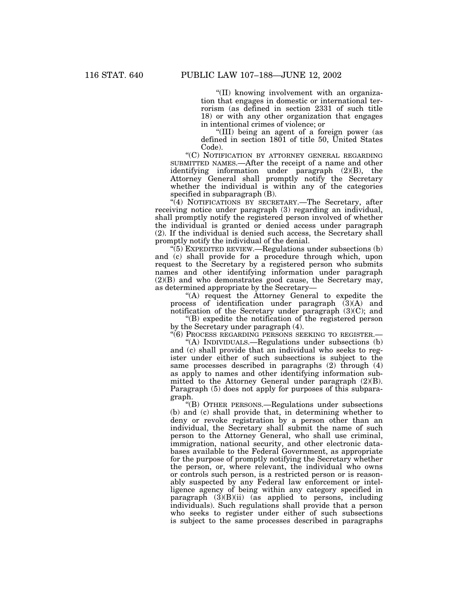''(II) knowing involvement with an organization that engages in domestic or international terrorism (as defined in section 2331 of such title 18) or with any other organization that engages in intentional crimes of violence; or

''(III) being an agent of a foreign power (as defined in section 1801 of title 50, United States Code).

''(C) NOTIFICATION BY ATTORNEY GENERAL REGARDING SUBMITTED NAMES.—After the receipt of a name and other identifying information under paragraph (2)(B), the Attorney General shall promptly notify the Secretary whether the individual is within any of the categories specified in subparagraph (B).

"(4) NOTIFICATIONS BY SECRETARY.—The Secretary, after receiving notice under paragraph (3) regarding an individual, shall promptly notify the registered person involved of whether the individual is granted or denied access under paragraph (2). If the individual is denied such access, the Secretary shall promptly notify the individual of the denial.

 $\sqrt[4]{(5)}$  EXPEDITED REVIEW.—Regulations under subsections (b) and (c) shall provide for a procedure through which, upon request to the Secretary by a registered person who submits names and other identifying information under paragraph (2)(B) and who demonstrates good cause, the Secretary may, as determined appropriate by the Secretary—

"(A) request the Attorney General to expedite the process of identification under paragraph  $(\hat{3})(A)$  and notification of the Secretary under paragraph (3)(C); and

''(B) expedite the notification of the registered person by the Secretary under paragraph (4).

''(6) PROCESS REGARDING PERSONS SEEKING TO REGISTER.—

''(A) INDIVIDUALS.—Regulations under subsections (b) and (c) shall provide that an individual who seeks to register under either of such subsections is subject to the same processes described in paragraphs (2) through (4) as apply to names and other identifying information submitted to the Attorney General under paragraph  $(2)(B)$ . Paragraph (5) does not apply for purposes of this subparagraph.

''(B) OTHER PERSONS.—Regulations under subsections (b) and (c) shall provide that, in determining whether to deny or revoke registration by a person other than an individual, the Secretary shall submit the name of such person to the Attorney General, who shall use criminal, immigration, national security, and other electronic databases available to the Federal Government, as appropriate for the purpose of promptly notifying the Secretary whether the person, or, where relevant, the individual who owns or controls such person, is a restricted person or is reasonably suspected by any Federal law enforcement or intelligence agency of being within any category specified in paragraph (3)(B)(ii) (as applied to persons, including individuals). Such regulations shall provide that a person who seeks to register under either of such subsections is subject to the same processes described in paragraphs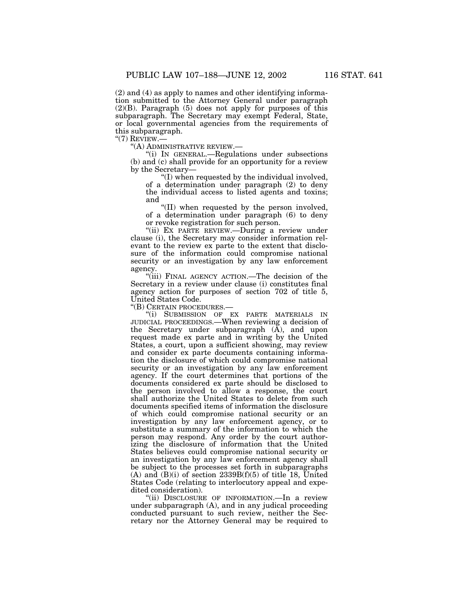(2) and (4) as apply to names and other identifying information submitted to the Attorney General under paragraph  $(2)(B)$ . Paragraph  $(5)$  does not apply for purposes of this subparagraph. The Secretary may exempt Federal, State, or local governmental agencies from the requirements of this subparagraph.<br>"(7) REVIEW.—

"(A) ADMINISTRATIVE REVIEW.—<br>"(i) IN GENERAL.—Regulations under subsections" (b) and (c) shall provide for an opportunity for a review by the Secretary—

" $(I)$  when requested by the individual involved, of a determination under paragraph (2) to deny the individual access to listed agents and toxins;

and "(II) when requested by the person involved, of a determination under paragraph (6) to deny or revoke registration for such person.

"(ii) EX PARTE REVIEW.—During a review under clause (i), the Secretary may consider information relevant to the review ex parte to the extent that disclosure of the information could compromise national security or an investigation by any law enforcement agency.

''(iii) FINAL AGENCY ACTION.—The decision of the Secretary in a review under clause (i) constitutes final agency action for purposes of section 702 of title 5, United States Code.

''(B) CERTAIN PROCEDURES.—

''(i) SUBMISSION OF EX PARTE MATERIALS IN JUDICIAL PROCEEDINGS.—When reviewing a decision of the Secretary under subparagraph  $(\tilde{A})$ , and upon request made ex parte and in writing by the United States, a court, upon a sufficient showing, may review and consider ex parte documents containing information the disclosure of which could compromise national security or an investigation by any law enforcement agency. If the court determines that portions of the documents considered ex parte should be disclosed to the person involved to allow a response, the court shall authorize the United States to delete from such documents specified items of information the disclosure of which could compromise national security or an investigation by any law enforcement agency, or to substitute a summary of the information to which the person may respond. Any order by the court authorizing the disclosure of information that the United States believes could compromise national security or an investigation by any law enforcement agency shall be subject to the processes set forth in subparagraphs (A) and  $(B)(i)$  of section 2339 $B(f)(5)$  of title 18, United States Code (relating to interlocutory appeal and expedited consideration).

''(ii) DISCLOSURE OF INFORMATION.—In a review under subparagraph (A), and in any judical proceeding conducted pursuant to such review, neither the Secretary nor the Attorney General may be required to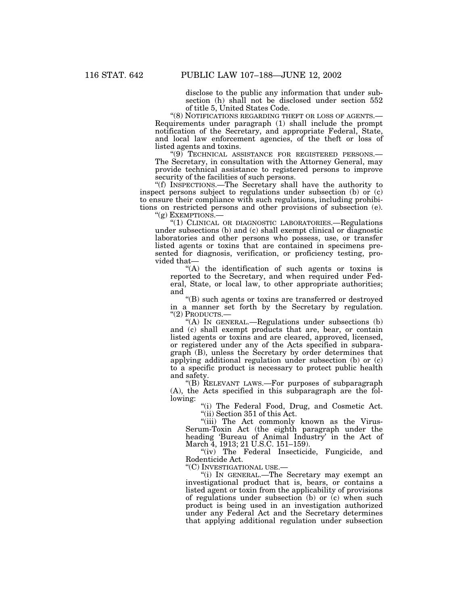disclose to the public any information that under subsection (h) shall not be disclosed under section 552

of title 5, United States Code. ''(8) NOTIFICATIONS REGARDING THEFT OR LOSS OF AGENTS.— Requirements under paragraph (1) shall include the prompt notification of the Secretary, and appropriate Federal, State, and local law enforcement agencies, of the theft or loss of

listed agents and toxins.<br>
"(9) TECHNICAL ASSISTANCE FOR REGISTERED PERSONS.—<br>
The Secretary, in consultation with the Attorney General, may provide technical assistance to registered persons to improve security of the facilities of such persons.

''(f) INSPECTIONS.—The Secretary shall have the authority to inspect persons subject to regulations under subsection (b) or (c) to ensure their compliance with such regulations, including prohibitions on restricted persons and other provisions of subsection (e).  $"({g})$  EXEMPTIONS.—

''(1) CLINICAL OR DIAGNOSTIC LABORATORIES.—Regulations under subsections (b) and (c) shall exempt clinical or diagnostic laboratories and other persons who possess, use, or transfer listed agents or toxins that are contained in specimens presented for diagnosis, verification, or proficiency testing, provided that—

"(A) the identification of such agents or toxins is reported to the Secretary, and when required under Federal, State, or local law, to other appropriate authorities; and

''(B) such agents or toxins are transferred or destroyed in a manner set forth by the Secretary by regulation. "(2) PRODUCTS.-

''(A) IN GENERAL.—Regulations under subsections (b) and (c) shall exempt products that are, bear, or contain listed agents or toxins and are cleared, approved, licensed, or registered under any of the Acts specified in subparagraph (B), unless the Secretary by order determines that applying additional regulation under subsection (b) or (c) to a specific product is necessary to protect public health and safety.

 $f(B)$  RELEVANT LAWS.—For purposes of subparagraph (A), the Acts specified in this subparagraph are the following:

''(i) The Federal Food, Drug, and Cosmetic Act. ''(ii) Section 351 of this Act.

"(iii) The Act commonly known as the Virus-Serum-Toxin Act (the eighth paragraph under the heading 'Bureau of Animal Industry' in the Act of March 4, 1913; 21 U.S.C. 151–159).

"(iv) The Federal Insecticide, Fungicide, and Rodenticide Act.

''(C) INVESTIGATIONAL USE.—

''(i) IN GENERAL.—The Secretary may exempt an investigational product that is, bears, or contains a listed agent or toxin from the applicability of provisions of regulations under subsection (b) or (c) when such product is being used in an investigation authorized under any Federal Act and the Secretary determines that applying additional regulation under subsection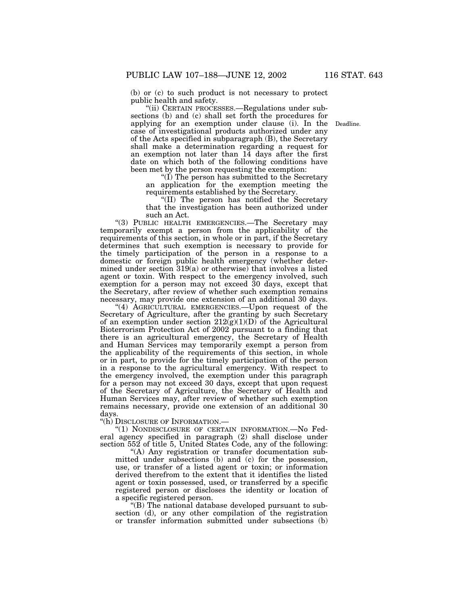(b) or (c) to such product is not necessary to protect

"(ii) CERTAIN PROCESSES.—Regulations under subsections (b) and (c) shall set forth the procedures for applying for an exemption under clause (i). In the Deadline. case of investigational products authorized under any of the Acts specified in subparagraph (B), the Secretary shall make a determination regarding a request for an exemption not later than 14 days after the first date on which both of the following conditions have been met by the person requesting the exemption:<br>"(I) The person has submitted to the Secretary

an application for the exemption meeting the requirements established by the Secretary.

"(II) The person has notified the Secretary. that the investigation has been authorized under

such an Act.<br>
"(3) PUBLIC HEALTH EMERGENCIES.—The Secretary may temporarily exempt a person from the applicability of the requirements of this section, in whole or in part, if the Secretary determines that such exemption is necessary to provide for the timely participation of the person in a response to a domestic or foreign public health emergency (whether determined under section 319(a) or otherwise) that involves a listed agent or toxin. With respect to the emergency involved, such exemption for a person may not exceed 30 days, except that the Secretary, after review of whether such exemption remains necessary, may provide one extension of an additional 30 days.

''(4) AGRICULTURAL EMERGENCIES.—Upon request of the Secretary of Agriculture, after the granting by such Secretary of an exemption under section  $212(g)(1)(D)$  of the Agricultural Bioterrorism Protection Act of 2002 pursuant to a finding that there is an agricultural emergency, the Secretary of Health and Human Services may temporarily exempt a person from the applicability of the requirements of this section, in whole or in part, to provide for the timely participation of the person in a response to the agricultural emergency. With respect to the emergency involved, the exemption under this paragraph for a person may not exceed 30 days, except that upon request of the Secretary of Agriculture, the Secretary of Health and Human Services may, after review of whether such exemption remains necessary, provide one extension of an additional 30 days.

''(h) DISCLOSURE OF INFORMATION.—

"(1) NONDISCLOSURE OF CERTAIN INFORMATION.—No Federal agency specified in paragraph (2) shall disclose under section 552 of title 5, United States Code, any of the following:

"(A) Any registration or transfer documentation submitted under subsections (b) and (c) for the possession, use, or transfer of a listed agent or toxin; or information derived therefrom to the extent that it identifies the listed agent or toxin possessed, used, or transferred by a specific registered person or discloses the identity or location of a specific registered person.

''(B) The national database developed pursuant to subsection (d), or any other compilation of the registration or transfer information submitted under subsections (b)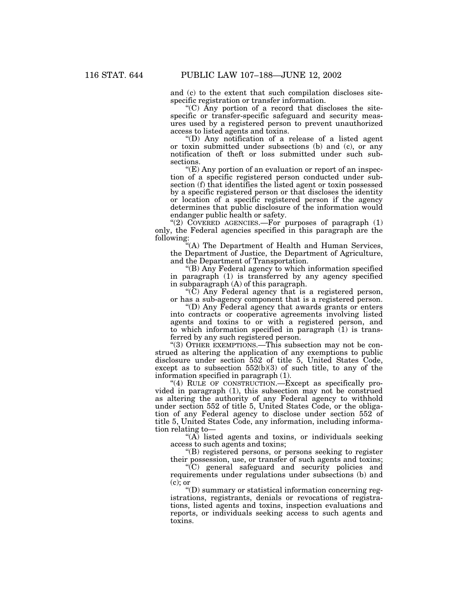and (c) to the extent that such compilation discloses site-<br>specific registration or transfer information.

"(C) Any portion of a record that discloses the sitespecific or transfer-specific safeguard and security measures used by a registered person to prevent unauthorized access to listed agents and toxins.

''(D) Any notification of a release of a listed agent or toxin submitted under subsections (b) and (c), or any notification of theft or loss submitted under such subsections.

 $E(E)$  Any portion of an evaluation or report of an inspection of a specific registered person conducted under subsection (f) that identifies the listed agent or toxin possessed by a specific registered person or that discloses the identity or location of a specific registered person if the agency determines that public disclosure of the information would endanger public health or safety.

"(2)  $Cov$ ERED AGENCIES.—For purposes of paragraph  $(1)$ only, the Federal agencies specified in this paragraph are the following:

"(A) The Department of Health and Human Services, the Department of Justice, the Department of Agriculture, and the Department of Transportation.

''(B) Any Federal agency to which information specified in paragraph (1) is transferred by any agency specified in subparagraph (A) of this paragraph.

" $(C)$  Any Federal agency that is a registered person, or has a sub-agency component that is a registered person.

''(D) Any Federal agency that awards grants or enters into contracts or cooperative agreements involving listed agents and toxins to or with a registered person, and to which information specified in paragraph (1) is transferred by any such registered person.

"(3) OTHER EXEMPTIONS.—This subsection may not be construed as altering the application of any exemptions to public disclosure under section 552 of title 5, United States Code, except as to subsection  $552(b)(3)$  of such title, to any of the information specified in paragraph (1).

"(4) RULE OF CONSTRUCTION.—Except as specifically provided in paragraph (1), this subsection may not be construed as altering the authority of any Federal agency to withhold under section 552 of title 5, United States Code, or the obligation of any Federal agency to disclose under section 552 of title 5, United States Code, any information, including information relating to—

''(A) listed agents and toxins, or individuals seeking access to such agents and toxins;

''(B) registered persons, or persons seeking to register their possession, use, or transfer of such agents and toxins;

''(C) general safeguard and security policies and requirements under regulations under subsections (b) and (c); or

''(D) summary or statistical information concerning registrations, registrants, denials or revocations of registrations, listed agents and toxins, inspection evaluations and reports, or individuals seeking access to such agents and toxins.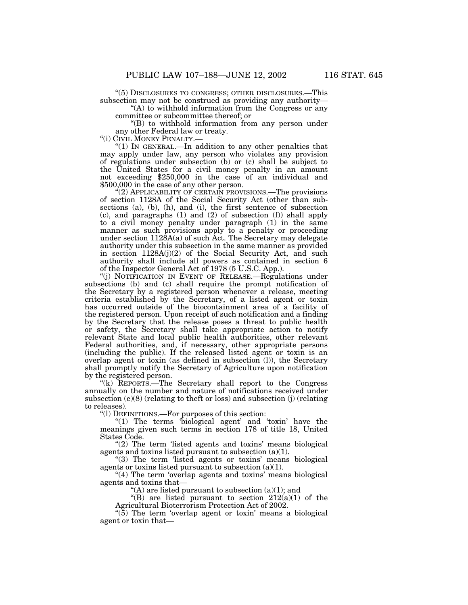''(5) DISCLOSURES TO CONGRESS; OTHER DISCLOSURES.—This subsection may not be construed as providing any authority—<br>"(A) to withhold information from the Congress or any

committee or subcommittee thereof; or

''(B) to withhold information from any person under any other Federal law or treaty.<br>"(i) CIVIL MONEY PENALTY.—

" $(1)$  In GENERAL.—In addition to any other penalties that may apply under law, any person who violates any provision of regulations under subsection (b) or (c) shall be subject to the United States for a civil money penalty in an amount not exceeding \$250,000 in the case of an individual and \$500,000 in the case of any other person.<br>"(2) APPLICABILITY OF CERTAIN PROVISIONS.—The provisions"

of section 1128A of the Social Security Act (other than subsections (a), (b), (h), and (i), the first sentence of subsection (c), and paragraphs (1) and (2) of subsection (f)) shall apply to a civil money penalty under paragraph (1) in the same manner as such provisions apply to a penalty or proceeding under section 1128A(a) of such Act. The Secretary may delegate authority under this subsection in the same manner as provided in section 1128A(j)(2) of the Social Security Act, and such authority shall include all powers as contained in section 6 of the Inspector General Act of 1978 (5 U.S.C. App.).

''(j) NOTIFICATION IN EVENT OF RELEASE.—Regulations under subsections (b) and (c) shall require the prompt notification of the Secretary by a registered person whenever a release, meeting criteria established by the Secretary, of a listed agent or toxin has occurred outside of the biocontainment area of a facility of the registered person. Upon receipt of such notification and a finding by the Secretary that the release poses a threat to public health or safety, the Secretary shall take appropriate action to notify relevant State and local public health authorities, other relevant Federal authorities, and, if necessary, other appropriate persons (including the public). If the released listed agent or toxin is an overlap agent or toxin (as defined in subsection (l)), the Secretary shall promptly notify the Secretary of Agriculture upon notification by the registered person.

''(k) REPORTS.—The Secretary shall report to the Congress annually on the number and nature of notifications received under subsection (e)(8) (relating to theft or loss) and subsection (j) (relating to releases).

''(l) DEFINITIONS.—For purposes of this section:

"(1) The terms 'biological agent' and 'toxin' have the meanings given such terms in section 178 of title 18, United States Code.

"(2) The term 'listed agents and toxins' means biological agents and toxins listed pursuant to subsection (a)(1).

''(3) The term 'listed agents or toxins' means biological agents or toxins listed pursuant to subsection (a)(1).

" $(4)$  The term 'overlap agents and toxins' means biological agents and toxins that—

"(A) are listed pursuant to subsection  $(a)(1)$ ; and

"(B) are listed pursuant to section  $212(a)(1)$  of the Agricultural Bioterrorism Protection Act of 2002.

"( $\check{5}$ ) The term 'overlap agent or toxin' means a biological agent or toxin that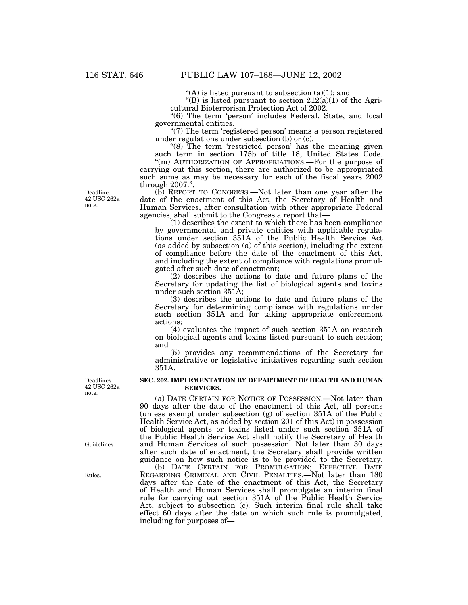"(A) is listed pursuant to subsection  $(a)(1)$ ; and

"(B) is listed pursuant to section  $212(a)(1)$  of the Agricultural Bioterrorism Protection Act of 2002.

''(6) The term 'person' includes Federal, State, and local governmental entities.

"(7) The term 'registered person' means a person registered under regulations under subsection (b) or (c).

"(8) The term 'restricted person' has the meaning given such term in section 175b of title 18, United States Code.

"(m) AUTHORIZATION OF APPROPRIATIONS.—For the purpose of carrying out this section, there are authorized to be appropriated such sums as may be necessary for each of the fiscal years 2002 through 2007.".

(b) REPORT TO CONGRESS.—Not later than one year after the date of the enactment of this Act, the Secretary of Health and Human Services, after consultation with other appropriate Federal agencies, shall submit to the Congress a report that— (1) describes the extent to which there has been compliance

by governmental and private entities with applicable regulations under section 351A of the Public Health Service Act (as added by subsection (a) of this section), including the extent of compliance before the date of the enactment of this Act, and including the extent of compliance with regulations promulgated after such date of enactment;

(2) describes the actions to date and future plans of the Secretary for updating the list of biological agents and toxins under such section 351A;

(3) describes the actions to date and future plans of the Secretary for determining compliance with regulations under such section 351A and for taking appropriate enforcement actions;

(4) evaluates the impact of such section 351A on research on biological agents and toxins listed pursuant to such section; and

(5) provides any recommendations of the Secretary for administrative or legislative initiatives regarding such section 351A.

**SEC. 202. IMPLEMENTATION BY DEPARTMENT OF HEALTH AND HUMAN SERVICES.**

(a) DATE CERTAIN FOR NOTICE OF POSSESSION.—Not later than 90 days after the date of the enactment of this Act, all persons (unless exempt under subsection (g) of section 351A of the Public Health Service Act, as added by section 201 of this Act) in possession of biological agents or toxins listed under such section 351A of the Public Health Service Act shall notify the Secretary of Health and Human Services of such possession. Not later than 30 days after such date of enactment, the Secretary shall provide written guidance on how such notice is to be provided to the Secretary.

(b) DATE CERTAIN FOR PROMULGATION; EFFECTIVE DATE REGARDING CRIMINAL AND CIVIL PENALTIES.—Not later than 180 days after the date of the enactment of this Act, the Secretary of Health and Human Services shall promulgate an interim final rule for carrying out section 351A of the Public Health Service Act, subject to subsection (c). Such interim final rule shall take effect 60 days after the date on which such rule is promulgated, including for purposes of—

Deadline. 42 USC 262a note.

Deadlines. 42 USC 262a note.

Guidelines.

Rules.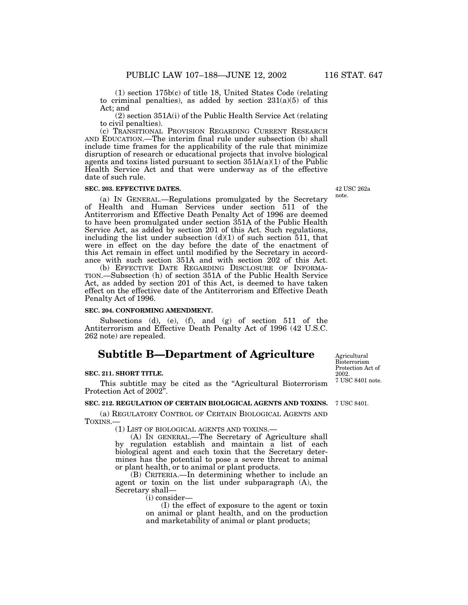(1) section 175b(c) of title 18, United States Code (relating to criminal penalties), as added by section  $231(a)(5)$  of this Act; and

(2) section 351A(i) of the Public Health Service Act (relating to civil penalties).

(c) TRANSITIONAL PROVISION REGARDING CURRENT RESEARCH AND EDUCATION.—The interim final rule under subsection (b) shall include time frames for the applicability of the rule that minimize disruption of research or educational projects that involve biological agents and toxins listed pursuant to section  $351A(a)(1)$  of the Public Health Service Act and that were underway as of the effective date of such rule.

#### **SEC. 203. EFFECTIVE DATES.**

(a) IN GENERAL.—Regulations promulgated by the Secretary of Health and Human Services under section 511 of the Antiterrorism and Effective Death Penalty Act of 1996 are deemed to have been promulgated under section 351A of the Public Health Service Act, as added by section 201 of this Act. Such regulations, including the list under subsection  $(d)(1)$  of such section 511, that were in effect on the day before the date of the enactment of this Act remain in effect until modified by the Secretary in accordance with such section 351A and with section 202 of this Act.

(b) EFFECTIVE DATE REGARDING DISCLOSURE OF INFORMA-TION.—Subsection (h) of section 351A of the Public Health Service Act, as added by section 201 of this Act, is deemed to have taken effect on the effective date of the Antiterrorism and Effective Death Penalty Act of 1996.

# **SEC. 204. CONFORMING AMENDMENT.**

Subsections (d), (e), (f), and (g) of section 511 of the Antiterrorism and Effective Death Penalty Act of 1996 (42 U.S.C. 262 note) are repealed.

# **Subtitle B—Department of Agriculture**

## **SEC. 211. SHORT TITLE.**

This subtitle may be cited as the ''Agricultural Bioterrorism Protection Act of 2002".

# **SEC. 212. REGULATION OF CERTAIN BIOLOGICAL AGENTS AND TOXINS.**

(a) REGULATORY CONTROL OF CERTAIN BIOLOGICAL AGENTS AND TOXINS.—

(1) LIST OF BIOLOGICAL AGENTS AND TOXINS.—

(A) IN GENERAL.—The Secretary of Agriculture shall by regulation establish and maintain a list of each biological agent and each toxin that the Secretary determines has the potential to pose a severe threat to animal or plant health, or to animal or plant products.

(B) CRITERIA.—In determining whether to include an agent or toxin on the list under subparagraph (A), the Secretary shall—

(i) consider—

(I) the effect of exposure to the agent or toxin on animal or plant health, and on the production and marketability of animal or plant products;

7 USC 8401 note. Agricultural Bioterrorism Protection Act of 2002.

7 USC 8401.

42 USC 262a note.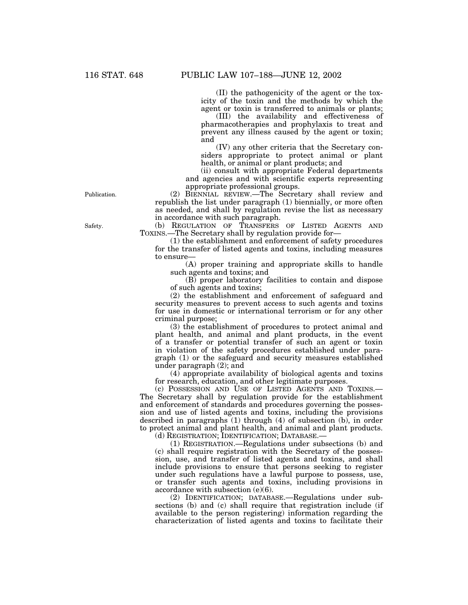(II) the pathogenicity of the agent or the toxicity of the toxin and the methods by which the agent or toxin is transferred to animals or plants;

(III) the availability and effectiveness of pharmacotherapies and prophylaxis to treat and prevent any illness caused by the agent or toxin; and

(IV) any other criteria that the Secretary considers appropriate to protect animal or plant health, or animal or plant products; and

(ii) consult with appropriate Federal departments and agencies and with scientific experts representing appropriate professional groups.

(2) BIENNIAL REVIEW.—The Secretary shall review and republish the list under paragraph (1) biennially, or more often as needed, and shall by regulation revise the list as necessary in accordance with such paragraph.

(b) REGULATION OF TRANSFERS OF LISTED AGENTS AND TOXINS.—The Secretary shall by regulation provide for—

(1) the establishment and enforcement of safety procedures for the transfer of listed agents and toxins, including measures to ensure—

(A) proper training and appropriate skills to handle such agents and toxins; and

(B) proper laboratory facilities to contain and dispose of such agents and toxins;

(2) the establishment and enforcement of safeguard and security measures to prevent access to such agents and toxins for use in domestic or international terrorism or for any other criminal purpose;

(3) the establishment of procedures to protect animal and plant health, and animal and plant products, in the event of a transfer or potential transfer of such an agent or toxin in violation of the safety procedures established under paragraph (1) or the safeguard and security measures established under paragraph (2); and

(4) appropriate availability of biological agents and toxins for research, education, and other legitimate purposes.

(c) POSSESSION AND USE OF LISTED AGENTS AND TOXINS.— The Secretary shall by regulation provide for the establishment and enforcement of standards and procedures governing the possession and use of listed agents and toxins, including the provisions described in paragraphs (1) through (4) of subsection (b), in order to protect animal and plant health, and animal and plant products.

(d) REGISTRATION; IDENTIFICATION; DATABASE.—

(1) REGISTRATION.—Regulations under subsections (b) and (c) shall require registration with the Secretary of the possession, use, and transfer of listed agents and toxins, and shall include provisions to ensure that persons seeking to register under such regulations have a lawful purpose to possess, use, or transfer such agents and toxins, including provisions in accordance with subsection (e)(6).

(2) IDENTIFICATION; DATABASE.—Regulations under subsections (b) and (c) shall require that registration include (if available to the person registering) information regarding the characterization of listed agents and toxins to facilitate their

Publication.

Safety.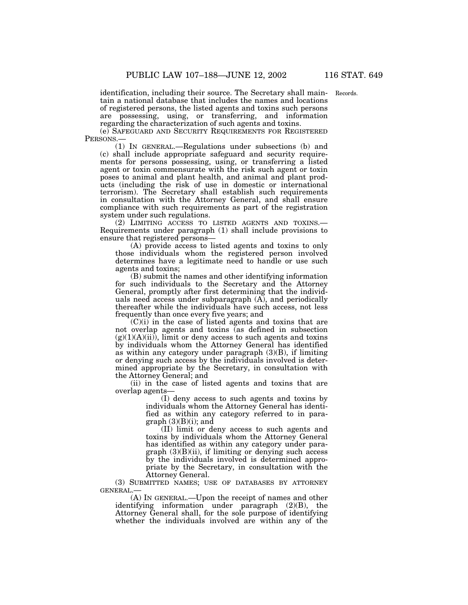identification, including their source. The Secretary shall main-Records. tain a national database that includes the names and locations of registered persons, the listed agents and toxins such persons are possessing, using, or transferring, and information regarding the characterization of such agents and toxins.

(e) SAFEGUARD AND SECURITY REQUIREMENTS FOR REGISTERED PERSONS.

(1) IN GENERAL.—Regulations under subsections (b) and (c) shall include appropriate safeguard and security requirements for persons possessing, using, or transferring a listed agent or toxin commensurate with the risk such agent or toxin poses to animal and plant health, and animal and plant products (including the risk of use in domestic or international terrorism). The Secretary shall establish such requirements in consultation with the Attorney General, and shall ensure compliance with such requirements as part of the registration system under such regulations.

(2) LIMITING ACCESS TO LISTED AGENTS AND TOXINS.— Requirements under paragraph (1) shall include provisions to ensure that registered persons—

(A) provide access to listed agents and toxins to only those individuals whom the registered person involved determines have a legitimate need to handle or use such agents and toxins;

(B) submit the names and other identifying information for such individuals to the Secretary and the Attorney General, promptly after first determining that the individuals need access under subparagraph (A), and periodically thereafter while the individuals have such access, not less frequently than once every five years; and

(C)(i) in the case of listed agents and toxins that are not overlap agents and toxins (as defined in subsection  $(g)(1)(A)(ii)$ , limit or deny access to such agents and toxins by individuals whom the Attorney General has identified as within any category under paragraph (3)(B), if limiting or denying such access by the individuals involved is determined appropriate by the Secretary, in consultation with the Attorney General; and

(ii) in the case of listed agents and toxins that are overlap agents—

(I) deny access to such agents and toxins by individuals whom the Attorney General has identified as within any category referred to in paragraph  $(3)(B)(i)$ ; and

(II) limit or deny access to such agents and toxins by individuals whom the Attorney General has identified as within any category under para $graph (3)(B)(ii)$ , if limiting or denying such access by the individuals involved is determined appropriate by the Secretary, in consultation with the Attorney General.

(3) SUBMITTED NAMES; USE OF DATABASES BY ATTORNEY GENERAL.—

(A) IN GENERAL.—Upon the receipt of names and other identifying information under paragraph (2)(B), the Attorney General shall, for the sole purpose of identifying whether the individuals involved are within any of the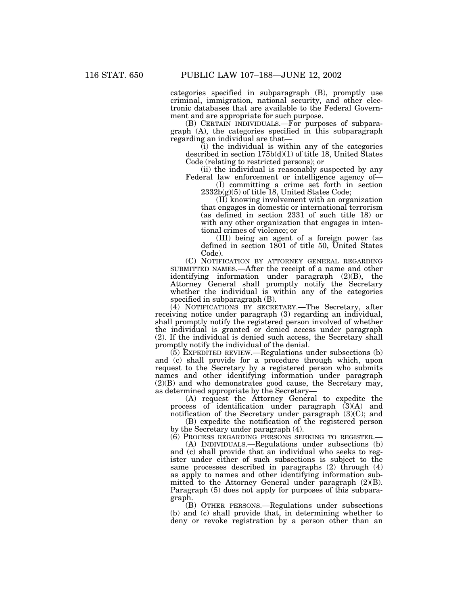categories specified in subparagraph (B), promptly use criminal, immigration, national security, and other electronic databases that are available to the Federal Government and are appropriate for such purpose.

(B) CERTAIN INDIVIDUALS.—For purposes of subparagraph (A), the categories specified in this subparagraph

 $\overline{u}$  (i) the individual is within any of the categories described in section  $175b(d)(1)$  of title 18, United States Code (relating to restricted persons); or

(ii) the individual is reasonably suspected by any Federal law enforcement or intelligence agency of— (I) committing a crime set forth in section

2332b(g)(5) of title 18, United States Code;

(II) knowing involvement with an organization that engages in domestic or international terrorism (as defined in section 2331 of such title 18) or with any other organization that engages in intentional crimes of violence; or

(III) being an agent of a foreign power (as defined in section 1801 of title 50, United States Code).

(C) NOTIFICATION BY ATTORNEY GENERAL REGARDING SUBMITTED NAMES.—After the receipt of a name and other identifying information under paragraph (2)(B), the Attorney General shall promptly notify the Secretary whether the individual is within any of the categories specified in subparagraph (B).

(4) NOTIFICATIONS BY SECRETARY.—The Secretary, after receiving notice under paragraph (3) regarding an individual, shall promptly notify the registered person involved of whether the individual is granted or denied access under paragraph (2). If the individual is denied such access, the Secretary shall promptly notify the individual of the denial.

(5) EXPEDITED REVIEW.—Regulations under subsections (b) and (c) shall provide for a procedure through which, upon request to the Secretary by a registered person who submits names and other identifying information under paragraph (2)(B) and who demonstrates good cause, the Secretary may, as determined appropriate by the Secretary—

(A) request the Attorney General to expedite the process of identification under paragraph  $(3)(A)$  and notification of the Secretary under paragraph (3)(C); and

(B) expedite the notification of the registered person by the Secretary under paragraph (4).

(6) PROCESS REGARDING PERSONS SEEKING TO REGISTER.—

(A) INDIVIDUALS.—Regulations under subsections (b) and (c) shall provide that an individual who seeks to register under either of such subsections is subject to the same processes described in paragraphs (2) through (4) as apply to names and other identifying information submitted to the Attorney General under paragraph (2)(B). Paragraph (5) does not apply for purposes of this subparagraph.

(B) OTHER PERSONS.—Regulations under subsections (b) and (c) shall provide that, in determining whether to deny or revoke registration by a person other than an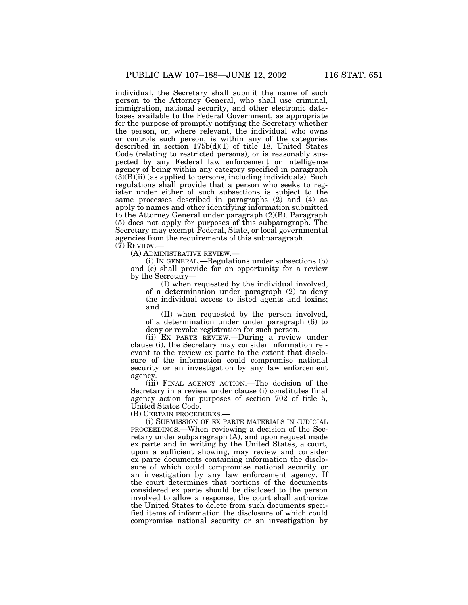individual, the Secretary shall submit the name of such person to the Attorney General, who shall use criminal, immigration, national security, and other electronic databases available to the Federal Government, as appropriate for the purpose of promptly notifying the Secretary whether the person, or, where relevant, the individual who owns or controls such person, is within any of the categories described in section 175b(d)(1) of title 18, United States Code (relating to restricted persons), or is reasonably suspected by any Federal law enforcement or intelligence agency of being within any category specified in paragraph  $(3)(B)(ii)$  (as applied to persons, including individuals). Such regulations shall provide that a person who seeks to register under either of such subsections is subject to the same processes described in paragraphs (2) and (4) as apply to names and other identifying information submitted to the Attorney General under paragraph (2)(B). Paragraph (5) does not apply for purposes of this subparagraph. The Secretary may exempt Federal, State, or local governmental agencies from the requirements of this subparagraph.

(7) REVIEW.—

(A) ADMINISTRATIVE REVIEW.—

(i) IN GENERAL.—Regulations under subsections (b) and (c) shall provide for an opportunity for a review by the Secretary—

(I) when requested by the individual involved, of a determination under paragraph (2) to deny the individual access to listed agents and toxins; and

(II) when requested by the person involved, of a determination under under paragraph (6) to deny or revoke registration for such person.

(ii) EX PARTE REVIEW.—During a review under clause (i), the Secretary may consider information relevant to the review ex parte to the extent that disclosure of the information could compromise national security or an investigation by any law enforcement agency.

(iii) FINAL AGENCY ACTION.—The decision of the Secretary in a review under clause (i) constitutes final agency action for purposes of section 702 of title 5, United States Code.

(B) CERTAIN PROCEDURES.—

(i) SUBMISSION OF EX PARTE MATERIALS IN JUDICIAL PROCEEDINGS.—When reviewing a decision of the Secretary under subparagraph (A), and upon request made ex parte and in writing by the United States, a court, upon a sufficient showing, may review and consider ex parte documents containing information the disclosure of which could compromise national security or an investigation by any law enforcement agency. If the court determines that portions of the documents considered ex parte should be disclosed to the person involved to allow a response, the court shall authorize the United States to delete from such documents specified items of information the disclosure of which could compromise national security or an investigation by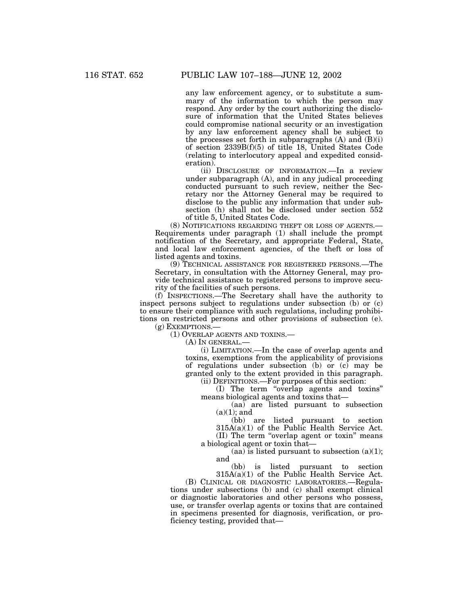any law enforcement agency, or to substitute a summary of the information to which the person may respond. Any order by the court authorizing the disclosure of information that the United States believes could compromise national security or an investigation by any law enforcement agency shall be subject to the processes set forth in subparagraphs  $(A)$  and  $(B)(i)$ of section 2339B(f)(5) of title 18, United States Code (relating to interlocutory appeal and expedited consideration).

(ii) DISCLOSURE OF INFORMATION.—In a review under subparagraph (A), and in any judical proceeding conducted pursuant to such review, neither the Secretary nor the Attorney General may be required to disclose to the public any information that under subsection (h) shall not be disclosed under section 552 of title 5, United States Code.

(8) NOTIFICATIONS REGARDING THEFT OR LOSS OF AGENTS.— Requirements under paragraph (1) shall include the prompt notification of the Secretary, and appropriate Federal, State, and local law enforcement agencies, of the theft or loss of listed agents and toxins.

(9) TECHNICAL ASSISTANCE FOR REGISTERED PERSONS.—The Secretary, in consultation with the Attorney General, may provide technical assistance to registered persons to improve security of the facilities of such persons.

(f) INSPECTIONS.—The Secretary shall have the authority to inspect persons subject to regulations under subsection (b) or (c) to ensure their compliance with such regulations, including prohibitions on restricted persons and other provisions of subsection (e). (g) EXEMPTIONS.—

(1) OVERLAP AGENTS AND TOXINS.—

(A) IN GENERAL.—

(i) LIMITATION.—In the case of overlap agents and toxins, exemptions from the applicability of provisions of regulations under subsection (b) or (c) may be granted only to the extent provided in this paragraph. (ii) DEFINITIONS.—For purposes of this section:

(I) The term ''overlap agents and toxins'' means biological agents and toxins that—

(aa) are listed pursuant to subsection  $(a)(1);$  and

(bb) are listed pursuant to section 315A(a)(1) of the Public Health Service Act.

(II) The term ''overlap agent or toxin'' means a biological agent or toxin that—

(aa) is listed pursuant to subsection  $(a)(1)$ ; and

(bb) is listed pursuant to section 315A(a)(1) of the Public Health Service Act.

(B) CLINICAL OR DIAGNOSTIC LABORATORIES.—Regulations under subsections (b) and (c) shall exempt clinical or diagnostic laboratories and other persons who possess, use, or transfer overlap agents or toxins that are contained in specimens presented for diagnosis, verification, or proficiency testing, provided that—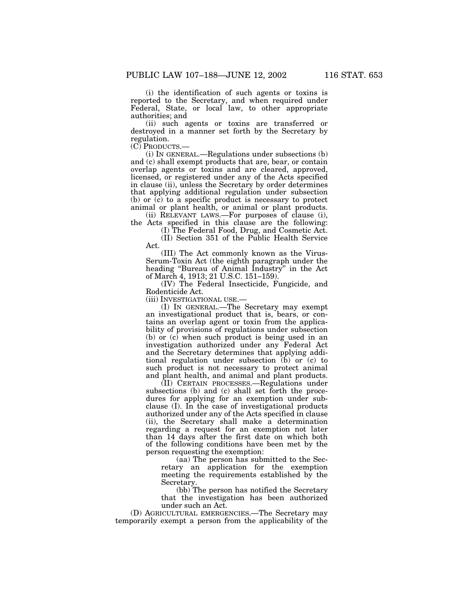(i) the identification of such agents or toxins is reported to the Secretary, and when required under Federal, State, or local law, to other appropriate authorities; and

(ii) such agents or toxins are transferred or destroyed in a manner set forth by the Secretary by regulation.<br>(C) Products.—

 $(i)$  In GENERAL.—Regulations under subsections  $(b)$ and (c) shall exempt products that are, bear, or contain overlap agents or toxins and are cleared, approved, licensed, or registered under any of the Acts specified in clause (ii), unless the Secretary by order determines that applying additional regulation under subsection (b) or (c) to a specific product is necessary to protect animal or plant health, or animal or plant products.

(ii) RELEVANT LAWS.—For purposes of clause (i), the Acts specified in this clause are the following:

(I) The Federal Food, Drug, and Cosmetic Act. (II) Section 351 of the Public Health Service Act.

(III) The Act commonly known as the Virus-Serum-Toxin Act (the eighth paragraph under the heading ''Bureau of Animal Industry'' in the Act of March 4, 1913; 21 U.S.C. 151–159).

(IV) The Federal Insecticide, Fungicide, and Rodenticide Act.

(iii) INVESTIGATIONAL USE.—

(I) IN GENERAL.—The Secretary may exempt an investigational product that is, bears, or contains an overlap agent or toxin from the applicability of provisions of regulations under subsection (b) or (c) when such product is being used in an investigation authorized under any Federal Act and the Secretary determines that applying additional regulation under subsection (b) or (c) to such product is not necessary to protect animal and plant health, and animal and plant products.

(II) CERTAIN PROCESSES.—Regulations under subsections (b) and (c) shall set forth the procedures for applying for an exemption under subclause (I). In the case of investigational products authorized under any of the Acts specified in clause (ii), the Secretary shall make a determination regarding a request for an exemption not later than 14 days after the first date on which both of the following conditions have been met by the person requesting the exemption:

(aa) The person has submitted to the Secretary an application for the exemption meeting the requirements established by the Secretary.

(bb) The person has notified the Secretary that the investigation has been authorized under such an Act.

(D) AGRICULTURAL EMERGENCIES.—The Secretary may temporarily exempt a person from the applicability of the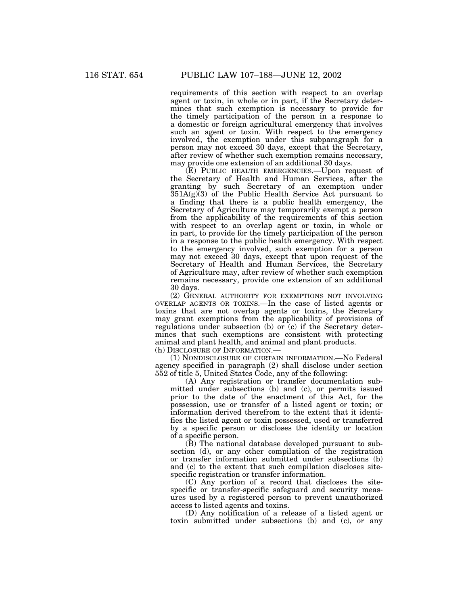requirements of this section with respect to an overlap agent or toxin, in whole or in part, if the Secretary determines that such exemption is necessary to provide for the timely participation of the person in a response to a domestic or foreign agricultural emergency that involves such an agent or toxin. With respect to the emergency involved, the exemption under this subparagraph for a person may not exceed 30 days, except that the Secretary, after review of whether such exemption remains necessary, may provide one extension of an additional 30 days.

(E) PUBLIC HEALTH EMERGENCIES.—Upon request of the Secretary of Health and Human Services, after the granting by such Secretary of an exemption under 351A(g)(3) of the Public Health Service Act pursuant to a finding that there is a public health emergency, the Secretary of Agriculture may temporarily exempt a person from the applicability of the requirements of this section with respect to an overlap agent or toxin, in whole or in part, to provide for the timely participation of the person in a response to the public health emergency. With respect to the emergency involved, such exemption for a person may not exceed 30 days, except that upon request of the Secretary of Health and Human Services, the Secretary of Agriculture may, after review of whether such exemption remains necessary, provide one extension of an additional 30 days.

(2) GENERAL AUTHORITY FOR EXEMPTIONS NOT INVOLVING OVERLAP AGENTS OR TOXINS.—In the case of listed agents or toxins that are not overlap agents or toxins, the Secretary may grant exemptions from the applicability of provisions of regulations under subsection (b) or (c) if the Secretary determines that such exemptions are consistent with protecting animal and plant health, and animal and plant products. (h) DISCLOSURE OF INFORMATION.—

(1) NONDISCLOSURE OF CERTAIN INFORMATION.—No Federal agency specified in paragraph (2) shall disclose under section 552 of title 5, United States Code, any of the following:

(A) Any registration or transfer documentation submitted under subsections (b) and (c), or permits issued prior to the date of the enactment of this Act, for the possession, use or transfer of a listed agent or toxin; or information derived therefrom to the extent that it identifies the listed agent or toxin possessed, used or transferred by a specific person or discloses the identity or location of a specific person.

(B) The national database developed pursuant to subsection (d), or any other compilation of the registration or transfer information submitted under subsections (b) and (c) to the extent that such compilation discloses sitespecific registration or transfer information.

(C) Any portion of a record that discloses the sitespecific or transfer-specific safeguard and security measures used by a registered person to prevent unauthorized access to listed agents and toxins.

(D) Any notification of a release of a listed agent or toxin submitted under subsections (b) and (c), or any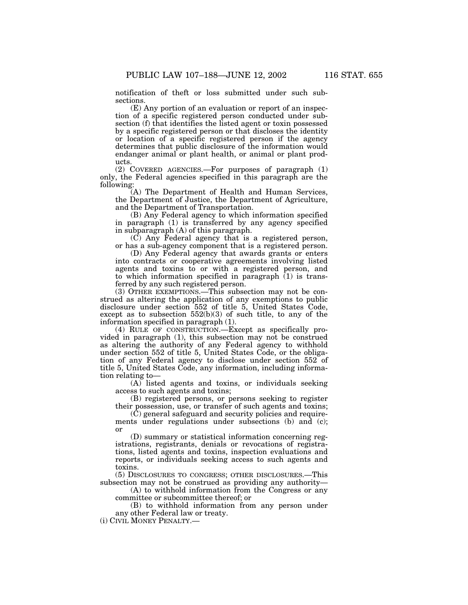notification of theft or loss submitted under such subsections.

(E) Any portion of an evaluation or report of an inspection of a specific registered person conducted under subsection (f) that identifies the listed agent or toxin possessed by a specific registered person or that discloses the identity or location of a specific registered person if the agency determines that public disclosure of the information would endanger animal or plant health, or animal or plant products.

(2) COVERED AGENCIES.—For purposes of paragraph (1) only, the Federal agencies specified in this paragraph are the following:

(A) The Department of Health and Human Services, the Department of Justice, the Department of Agriculture, and the Department of Transportation.

(B) Any Federal agency to which information specified in paragraph (1) is transferred by any agency specified in subparagraph (A) of this paragraph.

(C) Any Federal agency that is a registered person, or has a sub-agency component that is a registered person.

(D) Any Federal agency that awards grants or enters into contracts or cooperative agreements involving listed agents and toxins to or with a registered person, and to which information specified in paragraph  $(1)$  is transferred by any such registered person.

(3) OTHER EXEMPTIONS.—This subsection may not be construed as altering the application of any exemptions to public disclosure under section 552 of title 5, United States Code, except as to subsection  $552(b)(3)$  of such title, to any of the information specified in paragraph (1).

(4) RULE OF CONSTRUCTION.—Except as specifically provided in paragraph (1), this subsection may not be construed as altering the authority of any Federal agency to withhold under section 552 of title 5, United States Code, or the obligation of any Federal agency to disclose under section 552 of title 5, United States Code, any information, including information relating to—

(A) listed agents and toxins, or individuals seeking access to such agents and toxins;

(B) registered persons, or persons seeking to register their possession, use, or transfer of such agents and toxins;

(C) general safeguard and security policies and requirements under regulations under subsections (b) and (c); or

(D) summary or statistical information concerning registrations, registrants, denials or revocations of registrations, listed agents and toxins, inspection evaluations and reports, or individuals seeking access to such agents and toxins.

(5) DISCLOSURES TO CONGRESS; OTHER DISCLOSURES.—This subsection may not be construed as providing any authority—

(A) to withhold information from the Congress or any committee or subcommittee thereof; or

(B) to withhold information from any person under any other Federal law or treaty.

(i) CIVIL MONEY PENALTY.—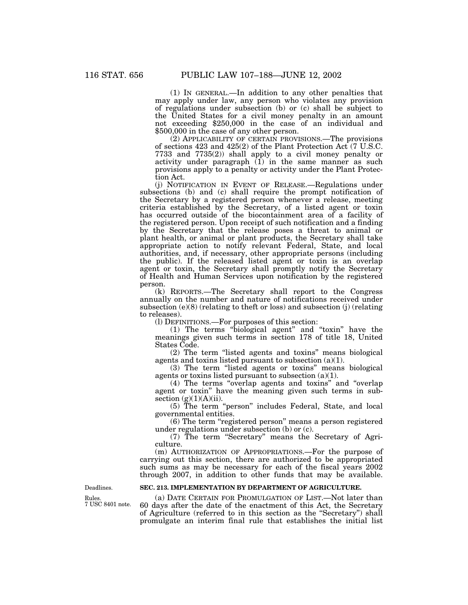(1) IN GENERAL.—In addition to any other penalties that may apply under law, any person who violates any provision of regulations under subsection (b) or (c) shall be subject to the United States for a civil money penalty in an amount not exceeding \$250,000 in the case of an individual and \$500,000 in the case of any other person.

(2) APPLICABILITY OF CERTAIN PROVISIONS.—The provisions of sections 423 and 425(2) of the Plant Protection Act (7 U.S.C. 7733 and 7735(2)) shall apply to a civil money penalty or activity under paragraph  $(I)$  in the same manner as such provisions apply to a penalty or activity under the Plant Protection Act.

(j) NOTIFICATION IN EVENT OF RELEASE.—Regulations under subsections (b) and (c) shall require the prompt notification of the Secretary by a registered person whenever a release, meeting criteria established by the Secretary, of a listed agent or toxin has occurred outside of the biocontainment area of a facility of the registered person. Upon receipt of such notification and a finding by the Secretary that the release poses a threat to animal or plant health, or animal or plant products, the Secretary shall take appropriate action to notify relevant Federal, State, and local authorities, and, if necessary, other appropriate persons (including the public). If the released listed agent or toxin is an overlap agent or toxin, the Secretary shall promptly notify the Secretary of Health and Human Services upon notification by the registered person.

(k) REPORTS.—The Secretary shall report to the Congress annually on the number and nature of notifications received under subsection (e)(8) (relating to theft or loss) and subsection (j) (relating to releases).

(l) DEFINITIONS.—For purposes of this section:

(1) The terms ''biological agent'' and ''toxin'' have the meanings given such terms in section 178 of title 18, United States Code.

(2) The term ''listed agents and toxins'' means biological agents and toxins listed pursuant to subsection (a)(1).

(3) The term ''listed agents or toxins'' means biological agents or toxins listed pursuant to subsection (a)(1).

(4) The terms ''overlap agents and toxins'' and ''overlap agent or toxin'' have the meaning given such terms in subsection  $(g)(1)(A)(ii)$ .

(5) The term ''person'' includes Federal, State, and local governmental entities.

(6) The term ''registered person'' means a person registered under regulations under subsection (b) or (c).

(7) The term ''Secretary'' means the Secretary of Agriculture.

(m) AUTHORIZATION OF APPROPRIATIONS.—For the purpose of carrying out this section, there are authorized to be appropriated such sums as may be necessary for each of the fiscal years 2002 through 2007, in addition to other funds that may be available.

Deadlines.

#### Rules. 7 USC 8401 note.

## **SEC. 213. IMPLEMENTATION BY DEPARTMENT OF AGRICULTURE.**

(a) DATE CERTAIN FOR PROMULGATION OF LIST.—Not later than 60 days after the date of the enactment of this Act, the Secretary of Agriculture (referred to in this section as the ''Secretary'') shall promulgate an interim final rule that establishes the initial list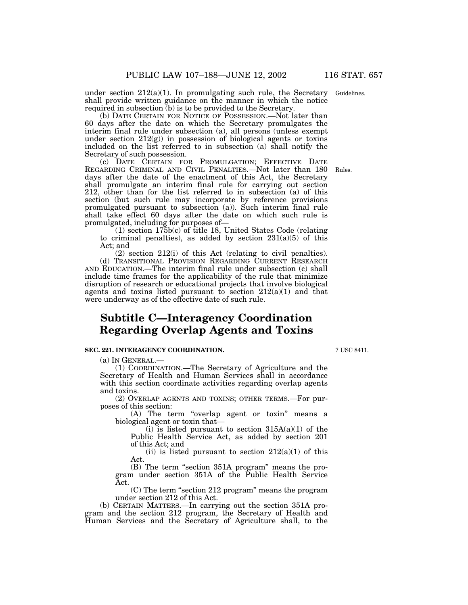under section  $212(a)(1)$ . In promulgating such rule, the Secretary shall provide written guidance on the manner in which the notice required in subsection (b) is to be provided to the Secretary.

(b) DATE CERTAIN FOR NOTICE OF POSSESSION.—Not later than 60 days after the date on which the Secretary promulgates the interim final rule under subsection (a), all persons (unless exempt under section  $212(g)$  in possession of biological agents or toxins included on the list referred to in subsection (a) shall notify the Secretary of such possession.

(c) DATE CERTAIN FOR PROMULGATION; EFFECTIVE DATE REGARDING CRIMINAL AND CIVIL PENALTIES.—Not later than 180 days after the date of the enactment of this Act, the Secretary shall promulgate an interim final rule for carrying out section 212, other than for the list referred to in subsection (a) of this section (but such rule may incorporate by reference provisions promulgated pursuant to subsection (a)). Such interim final rule shall take effect 60 days after the date on which such rule is promulgated, including for purposes of—

(1) section  $175b(c)$  of title 18, United States Code (relating to criminal penalties), as added by section  $231(a)(5)$  of this Act; and

(2) section 212(i) of this Act (relating to civil penalties). (d) TRANSITIONAL PROVISION REGARDING CURRENT RESEARCH AND EDUCATION.—The interim final rule under subsection (c) shall include time frames for the applicability of the rule that minimize disruption of research or educational projects that involve biological agents and toxins listed pursuant to section  $212(a)(1)$  and that were underway as of the effective date of such rule.

# **Subtitle C—Interagency Coordination Regarding Overlap Agents and Toxins**

# **SEC. 221. INTERAGENCY COORDINATION.**

(a) IN GENERAL.—

(1) COORDINATION.—The Secretary of Agriculture and the Secretary of Health and Human Services shall in accordance with this section coordinate activities regarding overlap agents and toxins.

(2) OVERLAP AGENTS AND TOXINS; OTHER TERMS.—For purposes of this section:

(A) The term "overlap agent or toxin" means a biological agent or toxin that—

(i) is listed pursuant to section  $315A(a)(1)$  of the Public Health Service Act, as added by section 201 of this Act; and

(ii) is listed pursuant to section  $212(a)(1)$  of this Act.

(B) The term ''section 351A program'' means the program under section 351A of the Public Health Service Act.

(C) The term ''section 212 program'' means the program under section 212 of this Act.

(b) CERTAIN MATTERS.—In carrying out the section 351A program and the section 212 program, the Secretary of Health and Human Services and the Secretary of Agriculture shall, to the

7 USC 8411.

Rules.

Guidelines.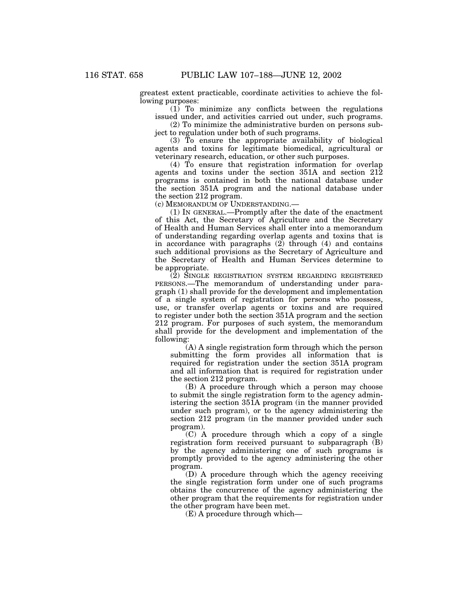greatest extent practicable, coordinate activities to achieve the following purposes:

 $(1)$  To minimize any conflicts between the regulations issued under, and activities carried out under, such programs.

(2) To minimize the administrative burden on persons subject to regulation under both of such programs.

(3) To ensure the appropriate availability of biological agents and toxins for legitimate biomedical, agricultural or veterinary research, education, or other such purposes.

(4) To ensure that registration information for overlap agents and toxins under the section 351A and section 212 programs is contained in both the national database under the section 351A program and the national database under the section 212 program.

(c) MEMORANDUM OF UNDERSTANDING.—

(1) IN GENERAL.—Promptly after the date of the enactment of this Act, the Secretary of Agriculture and the Secretary of Health and Human Services shall enter into a memorandum of understanding regarding overlap agents and toxins that is in accordance with paragraphs  $(2)$  through  $(4)$  and contains such additional provisions as the Secretary of Agriculture and the Secretary of Health and Human Services determine to be appropriate.

(2) SINGLE REGISTRATION SYSTEM REGARDING REGISTERED PERSONS.—The memorandum of understanding under paragraph (1) shall provide for the development and implementation of a single system of registration for persons who possess, use, or transfer overlap agents or toxins and are required to register under both the section 351A program and the section 212 program. For purposes of such system, the memorandum shall provide for the development and implementation of the following:

(A) A single registration form through which the person submitting the form provides all information that is required for registration under the section 351A program and all information that is required for registration under the section 212 program.

(B) A procedure through which a person may choose to submit the single registration form to the agency administering the section 351A program (in the manner provided under such program), or to the agency administering the section 212 program (in the manner provided under such program).

(C) A procedure through which a copy of a single registration form received pursuant to subparagraph (B) by the agency administering one of such programs is promptly provided to the agency administering the other program.

 $(D)$  A procedure through which the agency receiving the single registration form under one of such programs obtains the concurrence of the agency administering the other program that the requirements for registration under the other program have been met.

(E) A procedure through which—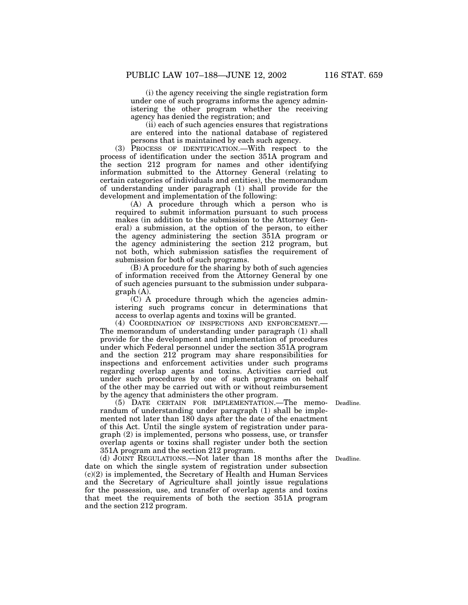(i) the agency receiving the single registration form under one of such programs informs the agency administering the other program whether the receiving agency has denied the registration; and

(ii) each of such agencies ensures that registrations are entered into the national database of registered persons that is maintained by each such agency.

(3) PROCESS OF IDENTIFICATION.—With respect to the process of identification under the section 351A program and the section 212 program for names and other identifying information submitted to the Attorney General (relating to certain categories of individuals and entities), the memorandum of understanding under paragraph (1) shall provide for the development and implementation of the following:

(A) A procedure through which a person who is required to submit information pursuant to such process makes (in addition to the submission to the Attorney General) a submission, at the option of the person, to either the agency administering the section 351A program or the agency administering the section 212 program, but not both, which submission satisfies the requirement of submission for both of such programs.

(B) A procedure for the sharing by both of such agencies of information received from the Attorney General by one of such agencies pursuant to the submission under subparagraph (A).

(C) A procedure through which the agencies administering such programs concur in determinations that access to overlap agents and toxins will be granted.

(4) COORDINATION OF INSPECTIONS AND ENFORCEMENT.— The memorandum of understanding under paragraph (1) shall provide for the development and implementation of procedures under which Federal personnel under the section 351A program and the section 212 program may share responsibilities for inspections and enforcement activities under such programs regarding overlap agents and toxins. Activities carried out under such procedures by one of such programs on behalf of the other may be carried out with or without reimbursement by the agency that administers the other program.

(5) DATE CERTAIN FOR IMPLEMENTATION.—The memorandum of understanding under paragraph (1) shall be implemented not later than 180 days after the date of the enactment of this Act. Until the single system of registration under paragraph (2) is implemented, persons who possess, use, or transfer overlap agents or toxins shall register under both the section 351A program and the section 212 program.

Deadline.

Deadline.

(d) JOINT REGULATIONS.—Not later than 18 months after the date on which the single system of registration under subsection  $(c)(2)$  is implemented, the Secretary of Health and Human Services and the Secretary of Agriculture shall jointly issue regulations for the possession, use, and transfer of overlap agents and toxins that meet the requirements of both the section 351A program and the section 212 program.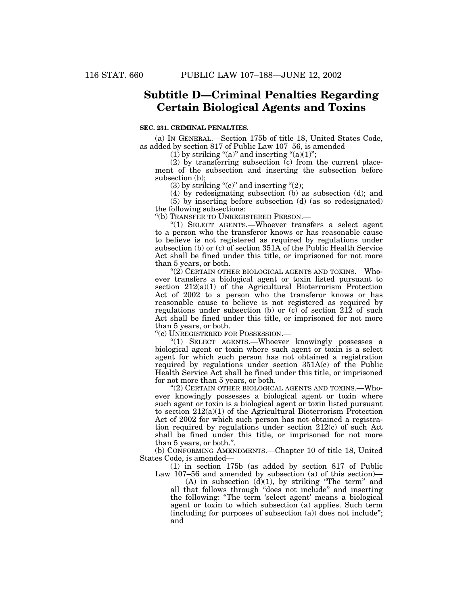# **Subtitle D—Criminal Penalties Regarding Certain Biological Agents and Toxins**

# **SEC. 231. CRIMINAL PENALTIES.**

(a) IN GENERAL.—Section 175b of title 18, United States Code, as added by section 817 of Public Law 107–56, is amended—

(1) by striking "(a)" and inserting " $(a)(1)$ ";

(2) by transferring subsection (c) from the current placement of the subsection and inserting the subsection before subsection (b);

 $(3)$  by striking "(c)" and inserting "(2);

(4) by redesignating subsection (b) as subsection (d); and (5) by inserting before subsection (d) (as so redesignated) the following subsections:

''(b) TRANSFER TO UNREGISTERED PERSON.—

"(1) SELECT AGENTS.-Whoever transfers a select agent to a person who the transferor knows or has reasonable cause to believe is not registered as required by regulations under subsection (b) or (c) of section 351A of the Public Health Service Act shall be fined under this title, or imprisoned for not more than 5 years, or both.

''(2) CERTAIN OTHER BIOLOGICAL AGENTS AND TOXINS.—Whoever transfers a biological agent or toxin listed pursuant to section 212(a)(1) of the Agricultural Bioterrorism Protection Act of 2002 to a person who the transferor knows or has reasonable cause to believe is not registered as required by regulations under subsection (b) or (c) of section 212 of such Act shall be fined under this title, or imprisoned for not more than 5 years, or both.

''(c) UNREGISTERED FOR POSSESSION.—

"(1) SELECT AGENTS. - Whoever knowingly possesses a biological agent or toxin where such agent or toxin is a select agent for which such person has not obtained a registration required by regulations under section 351A(c) of the Public Health Service Act shall be fined under this title, or imprisoned for not more than 5 years, or both.

''(2) CERTAIN OTHER BIOLOGICAL AGENTS AND TOXINS.—Whoever knowingly possesses a biological agent or toxin where such agent or toxin is a biological agent or toxin listed pursuant to section 212(a)(1) of the Agricultural Bioterrorism Protection Act of 2002 for which such person has not obtained a registration required by regulations under section 212(c) of such Act shall be fined under this title, or imprisoned for not more than 5 years, or both.''.

(b) CONFORMING AMENDMENTS.—Chapter 10 of title 18, United States Code, is amended—

(1) in section 175b (as added by section 817 of Public Law 107–56 and amended by subsection (a) of this section)—

(A) in subsection  $(d)(1)$ , by striking "The term" and all that follows through ''does not include'' and inserting the following: ''The term 'select agent' means a biological agent or toxin to which subsection (a) applies. Such term (including for purposes of subsection (a)) does not include''; and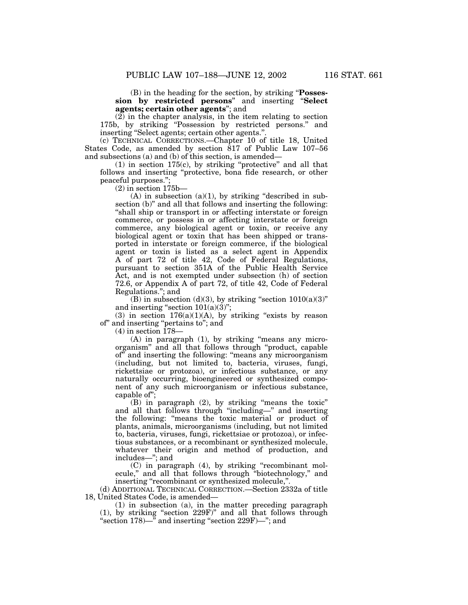(B) in the heading for the section, by striking ''**Possession by restricted persons**'' and inserting ''**Select agents; certain other agents**''; and

 $(2)$  in the chapter analysis, in the item relating to section 175b, by striking "Possession by restricted persons." and inserting "Select agents; certain other agents.'

(c) TECHNICAL CORRECTIONS.—Chapter 10 of title 18, United States Code, as amended by section 817 of Public Law 107–56 and subsections (a) and (b) of this section, is amended—

(1) in section 175(c), by striking ''protective'' and all that follows and inserting ''protective, bona fide research, or other peaceful purposes.'';

(2) in section 175b—

 $(A)$  in subsection  $(a)(1)$ , by striking "described in subsection (b)" and all that follows and inserting the following: ''shall ship or transport in or affecting interstate or foreign commerce, or possess in or affecting interstate or foreign commerce, any biological agent or toxin, or receive any biological agent or toxin that has been shipped or transported in interstate or foreign commerce, if the biological agent or toxin is listed as a select agent in Appendix A of part 72 of title 42, Code of Federal Regulations, pursuant to section 351A of the Public Health Service Act, and is not exempted under subsection (h) of section 72.6, or Appendix A of part 72, of title 42, Code of Federal Regulations.''; and

(B) in subsection (d)(3), by striking "section  $1010(a)(3)$ " and inserting "section  $101(a)(3)$ ";

(3) in section  $176(a)(1)(A)$ , by striking "exists by reason of'' and inserting ''pertains to''; and

(4) in section 178—

(A) in paragraph (1), by striking ''means any microorganism'' and all that follows through ''product, capable of" and inserting the following: "means any microorganism (including, but not limited to, bacteria, viruses, fungi, rickettsiae or protozoa), or infectious substance, or any naturally occurring, bioengineered or synthesized component of any such microorganism or infectious substance, capable of'';

(B) in paragraph (2), by striking ''means the toxic'' and all that follows through ''including—'' and inserting the following: "means the toxic material or product of plants, animals, microorganisms (including, but not limited to, bacteria, viruses, fungi, rickettsiae or protozoa), or infectious substances, or a recombinant or synthesized molecule, whatever their origin and method of production, and includes—''; and

(C) in paragraph (4), by striking ''recombinant molecule,'' and all that follows through ''biotechnology,'' and inserting "recombinant or synthesized molecule,".

(d) ADDITIONAL TECHNICAL CORRECTION.—Section 2332a of title 18, United States Code, is amended—

(1) in subsection (a), in the matter preceding paragraph (1), by striking ''section 229F)'' and all that follows through ''section 178)—'' and inserting ''section 229F)—''; and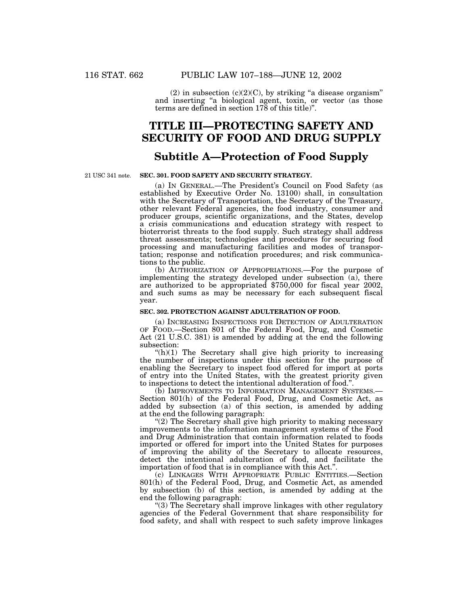(2) in subsection (c)(2)(C), by striking "a disease organism" and inserting "a biological agent, toxin, or vector (as those terms are defined in section 178 of this title)''.

# **TITLE III—PROTECTING SAFETY AND SECURITY OF FOOD AND DRUG SUPPLY**

# **Subtitle A—Protection of Food Supply**

21 USC 341 note.

# **SEC. 301. FOOD SAFETY AND SECURITY STRATEGY.**

(a) IN GENERAL.—The President's Council on Food Safety (as established by Executive Order No. 13100) shall, in consultation with the Secretary of Transportation, the Secretary of the Treasury, other relevant Federal agencies, the food industry, consumer and producer groups, scientific organizations, and the States, develop a crisis communications and education strategy with respect to bioterrorist threats to the food supply. Such strategy shall address threat assessments; technologies and procedures for securing food processing and manufacturing facilities and modes of transportation; response and notification procedures; and risk communications to the public.

(b) AUTHORIZATION OF APPROPRIATIONS.—For the purpose of implementing the strategy developed under subsection (a), there are authorized to be appropriated \$750,000 for fiscal year 2002, and such sums as may be necessary for each subsequent fiscal year.

#### **SEC. 302. PROTECTION AGAINST ADULTERATION OF FOOD.**

(a) INCREASING INSPECTIONS FOR DETECTION OF ADULTERATION OF FOOD.—Section 801 of the Federal Food, Drug, and Cosmetic Act (21 U.S.C. 381) is amended by adding at the end the following subsection:

" $(h)(1)$  The Secretary shall give high priority to increasing the number of inspections under this section for the purpose of enabling the Secretary to inspect food offered for import at ports of entry into the United States, with the greatest priority given to inspections to detect the intentional adulteration of food.''.

(b) IMPROVEMENTS TO INFORMATION MANAGEMENT SYSTEMS.— Section 801(h) of the Federal Food, Drug, and Cosmetic Act, as added by subsection (a) of this section, is amended by adding at the end the following paragraph:

"(2) The Secretary shall give high priority to making necessary improvements to the information management systems of the Food and Drug Administration that contain information related to foods imported or offered for import into the United States for purposes of improving the ability of the Secretary to allocate resources, detect the intentional adulteration of food, and facilitate the importation of food that is in compliance with this Act."

(c) LINKAGES WITH APPROPRIATE PUBLIC ENTITIES.—Section 801(h) of the Federal Food, Drug, and Cosmetic Act, as amended by subsection (b) of this section, is amended by adding at the end the following paragraph:

''(3) The Secretary shall improve linkages with other regulatory agencies of the Federal Government that share responsibility for food safety, and shall with respect to such safety improve linkages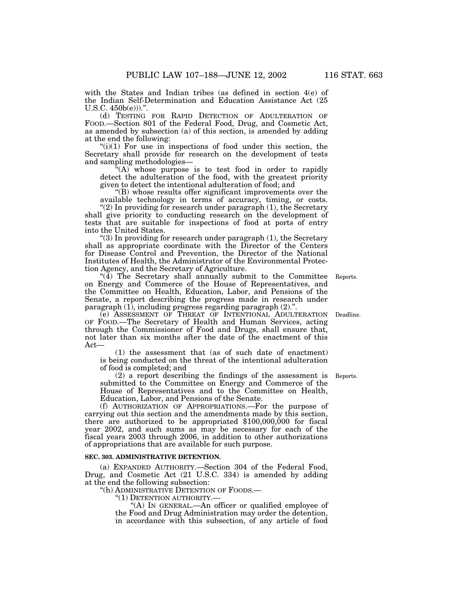with the States and Indian tribes (as defined in section 4(e) of the Indian Self-Determination and Education Assistance Act (25 U.S.C. 450b(e))).".

(d) TESTING FOR RAPID DETECTION OF ADULTERATION OF FOOD.—Section 801 of the Federal Food, Drug, and Cosmetic Act, as amended by subsection (a) of this section, is amended by adding

" $(i)(1)$  For use in inspections of food under this section, the Secretary shall provide for research on the development of tests and sampling methodologies and sampling methodologies—<br>"(A) whose purpose is to test food in order to rapidly

detect the adulteration of the food, with the greatest priority given to detect the intentional adulteration of food; and ''(B) whose results offer significant improvements over the

available technology in terms of accuracy, timing, or costs.

" $(2)$  In providing for research under paragraph  $(1)$ , the Secretary shall give priority to conducting research on the development of tests that are suitable for inspections of food at ports of entry into the United States.

into the United States. ''(3) In providing for research under paragraph (1), the Secretary shall as appropriate coordinate with the Director of the Centers for Disease Control and Prevention, the Director of the National Institutes of Health, the Administrator of the Environmental Protec-

 $\left(4\right)$  The Secretary shall annually submit to the Committee. on Energy and Commerce of the House of Representatives, and the Committee on Health, Education, Labor, and Pensions of the Senate, a report describing the progress made in research under paragraph (1), including progress regarding paragraph (2).''.

(e) ASSESSMENT OF THREAT OF INTENTIONAL ADULTERATION OF FOOD.—The Secretary of Health and Human Services, acting through the Commissioner of Food and Drugs, shall ensure that, not later than six months after the date of the enactment of this Act— Deadline.

(1) the assessment that (as of such date of enactment) is being conducted on the threat of the intentional adulteration of food is completed; and

(2) a report describing the findings of the assessment is Reports. submitted to the Committee on Energy and Commerce of the House of Representatives and to the Committee on Health, Education, Labor, and Pensions of the Senate.

(f) AUTHORIZATION OF APPROPRIATIONS.—For the purpose of carrying out this section and the amendments made by this section, there are authorized to be appropriated \$100,000,000 for fiscal year 2002, and such sums as may be necessary for each of the fiscal years 2003 through 2006, in addition to other authorizations of appropriations that are available for such purpose.

#### **SEC. 303. ADMINISTRATIVE DETENTION.**

(a) EXPANDED AUTHORITY.—Section 304 of the Federal Food, Drug, and Cosmetic Act (21 U.S.C. 334) is amended by adding at the end the following subsection:

''(h) ADMINISTRATIVE DETENTION OF FOODS.—

''(1) DETENTION AUTHORITY.—

''(A) IN GENERAL.—An officer or qualified employee of the Food and Drug Administration may order the detention, in accordance with this subsection, of any article of food

Reports.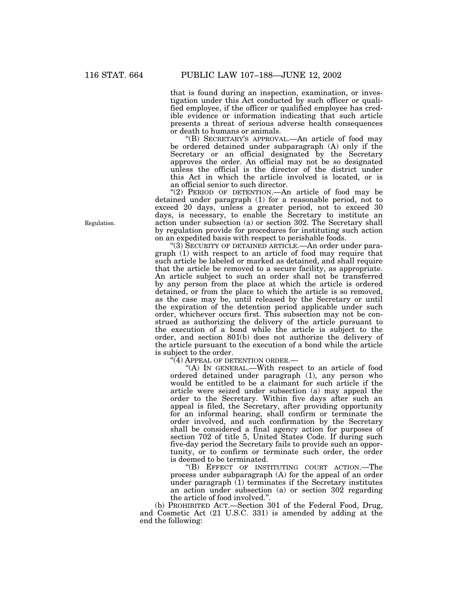that is found during an inspection, examination, or investigation under this Act conducted by such officer or qualified employee, if the officer or qualified employee has credible evidence or information indicating that such article presents a threat of serious adverse health consequences or death to humans or animals.

''(B) SECRETARY'S APPROVAL.—An article of food may be ordered detained under subparagraph (A) only if the Secretary or an official designated by the Secretary approves the order. An official may not be so designated unless the official is the director of the district under this Act in which the article involved is located, or is an official senior to such director.

"(2) PERIOD OF DETENTION.—An article of food may be detained under paragraph (1) for a reasonable period, not to exceed 20 days, unless a greater period, not to exceed 30 days, is necessary, to enable the Secretary to institute an action under subsection (a) or section 302. The Secretary shall by regulation provide for procedures for instituting such action on an expedited basis with respect to perishable foods. ''(3) SECURITY OF DETAINED ARTICLE.—An order under para-

graph (1) with respect to an article of food may require that such article be labeled or marked as detained, and shall require that the article be removed to a secure facility, as appropriate. An article subject to such an order shall not be transferred by any person from the place at which the article is ordered detained, or from the place to which the article is so removed, as the case may be, until released by the Secretary or until the expiration of the detention period applicable under such order, whichever occurs first. This subsection may not be construed as authorizing the delivery of the article pursuant to the execution of a bond while the article is subject to the order, and section 801(b) does not authorize the delivery of the article pursuant to the execution of a bond while the article

 $\cdot$  (4) APPEAL OF DETENTION ORDER.—

''(A) IN GENERAL.—With respect to an article of food ordered detained under paragraph (1), any person who would be entitled to be a claimant for such article if the article were seized under subsection (a) may appeal the order to the Secretary. Within five days after such an appeal is filed, the Secretary, after providing opportunity for an informal hearing, shall confirm or terminate the order involved, and such confirmation by the Secretary shall be considered a final agency action for purposes of section 702 of title 5, United States Code. If during such five-day period the Secretary fails to provide such an opportunity, or to confirm or terminate such order, the order is deemed to be terminated.

''(B) EFFECT OF INSTITUTING COURT ACTION.—The process under subparagraph (A) for the appeal of an order under paragraph (1) terminates if the Secretary institutes an action under subsection (a) or section 302 regarding the article of food involved.''.

(b) PROHIBITED ACT.—Section 301 of the Federal Food, Drug, and Cosmetic Act (21 U.S.C. 331) is amended by adding at the end the following:

Regulation.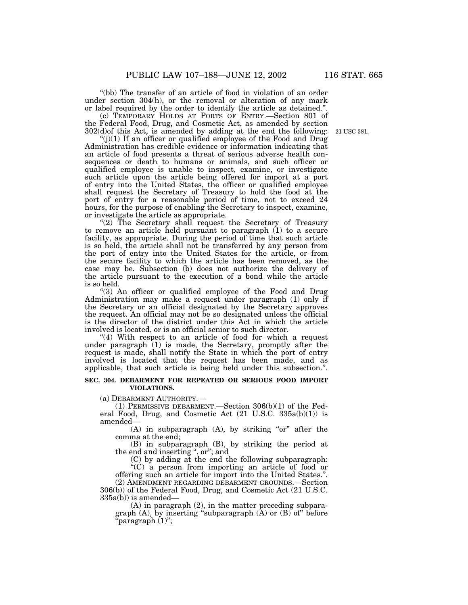''(bb) The transfer of an article of food in violation of an order under section 304(h), or the removal or alteration of any mark or label required by the order to identify the article as detained.".

(c) TEMPORARY HOLDS AT PORTS OF ENTRY.—Section 801 of the Federal Food, Drug, and Cosmetic Act, as amended by section 302(d) of this Act, is amended by adding at the end the following:

" $(j)(1)$  If an officer or qualified employee of the Food and Drug Administration has credible evidence or information indicating that an article of food presents a threat of serious adverse health consequences or death to humans or animals, and such officer or qualified employee is unable to inspect, examine, or investigate such article upon the article being offered for import at a port of entry into the United States, the officer or qualified employee shall request the Secretary of Treasury to hold the food at the port of entry for a reasonable period of time, not to exceed 24 hours, for the purpose of enabling the Secretary to inspect, examine,

or investigate the article as appropriate. ''(2) The Secretary shall request the Secretary of Treasury to remove an article held pursuant to paragraph (1) to a secure facility, as appropriate. During the period of time that such article is so held, the article shall not be transferred by any person from the port of entry into the United States for the article, or from the secure facility to which the article has been removed, as the case may be. Subsection (b) does not authorize the delivery of the article pursuant to the execution of a bond while the article

is so held. ''(3) An officer or qualified employee of the Food and Drug Administration may make a request under paragraph (1) only if the Secretary or an official designated by the Secretary approves the request. An official may not be so designated unless the official is the director of the district under this Act in which the article involved is located, or is an official senior to such director.

" $(4)$  With respect to an article of food for which a request under paragraph (1) is made, the Secretary, promptly after the request is made, shall notify the State in which the port of entry involved is located that the request has been made, and as applicable, that such article is being held under this subsection.''.

#### **SEC. 304. DEBARMENT FOR REPEATED OR SERIOUS FOOD IMPORT VIOLATIONS.**

(a) DEBARMENT AUTHORITY.—

(1) PERMISSIVE DEBARMENT.—Section 306(b)(1) of the Federal Food, Drug, and Cosmetic Act (21 U.S.C. 335a(b)(1)) is amended—

 $(A)$  in subparagraph  $(A)$ , by striking "or" after the comma at the end;

(B) in subparagraph (B), by striking the period at the end and inserting ", or"; and

(C) by adding at the end the following subparagraph: ''(C) a person from importing an article of food or

offering such an article for import into the United States.''. (2) AMENDMENT REGARDING DEBARMENT GROUNDS.—Section 306(b)) of the Federal Food, Drug, and Cosmetic Act (21 U.S.C. 335a(b)) is amended—

(A) in paragraph (2), in the matter preceding subparagraph (A), by inserting "subparagraph (A) or (B) of" before  $\sum_{i=1}^{n}$ 

21 USC 381.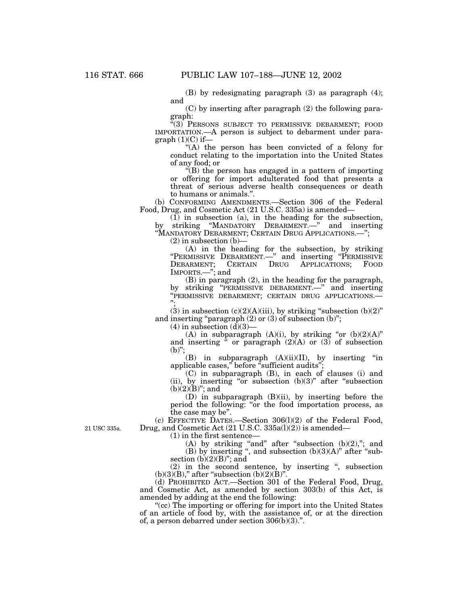(B) by redesignating paragraph (3) as paragraph (4); and

(C) by inserting after paragraph (2) the following paragraph:

"(3) PERSONS SUBJECT TO PERMISSIVE DEBARMENT; FOOD IMPORTATION.—A person is subject to debarment under para $graph (1)(C)$  if-

"(A) the person has been convicted of a felony for conduct relating to the importation into the United States of any food; or

''(B) the person has engaged in a pattern of importing or offering for import adulterated food that presents a threat of serious adverse health consequences or death to humans or animals.''.

(b) CONFORMING AMENDMENTS.—Section 306 of the Federal Food, Drug, and Cosmetic Act (21 U.S.C. 335a) is amended—

(1) in subsection (a), in the heading for the subsection, by striking ''MANDATORY DEBARMENT.—'' and inserting ''MANDATORY DEBARMENT; CERTAIN DRUG APPLICATIONS.—'';

 $(2)$  in subsection  $(b)$ –

(A) in the heading for the subsection, by striking ''PERMISSIVE DEBARMENT.—'' and inserting ''PERMISSIVE DEBARMENT; CERTAIN DRUG APPLICATIONS; FOOD IMPORTS.—''; and

(B) in paragraph (2), in the heading for the paragraph, by striking ''PERMISSIVE DEBARMENT.—'' and inserting ''PERMISSIVE DEBARMENT; CERTAIN DRUG APPLICATIONS.— '';

(3) in subsection  $(c)(2)(A)(iii)$ , by striking "subsection  $(b)(2)$ " and inserting "paragraph  $(2)$  or  $(3)$  of subsection  $(b)$ ";

 $(4)$  in subsection  $(d)(3)$ —

(A) in subparagraph  $(A)(i)$ , by striking "or  $(b)(2)(A)$ " and inserting " or paragraph  $(2)(A)$  or  $(3)$  of subsection  $(b)$ ";

(B) in subparagraph (A)(ii)(II), by inserting ''in applicable cases," before "sufficient audits";

(C) in subparagraph (B), in each of clauses (i) and (ii), by inserting "or subsection  $(b)(3)$ " after "subsection  $(b)(2)(B)$ "; and

(D) in subparagraph (B)(ii), by inserting before the period the following: ''or the food importation process, as the case may be''.

(c) EFFECTIVE DATES.—Section  $306(1)(2)$  of the Federal Food, Drug, and Cosmetic Act  $(21 \text{ U.S.C. } 335a(l)(2))$  is amended—

(1) in the first sentence—

(A) by striking "and" after "subsection  $(b)(2)$ ,"; and (B) by inserting ", and subsection  $(b)(3)(A)$ " after "subsection  $(b)(2)(B)$ "; and

(2) in the second sentence, by inserting '', subsection  $(b)(3)(B)$ ," after "subsection  $(b)(2)(B)$ ".

(d) PROHIBITED ACT.—Section 301 of the Federal Food, Drug, and Cosmetic Act, as amended by section 303(b) of this Act, is amended by adding at the end the following:

"(cc) The importing or offering for import into the United States of an article of food by, with the assistance of, or at the direction of, a person debarred under section 306(b)(3).''.

21 USC 335a.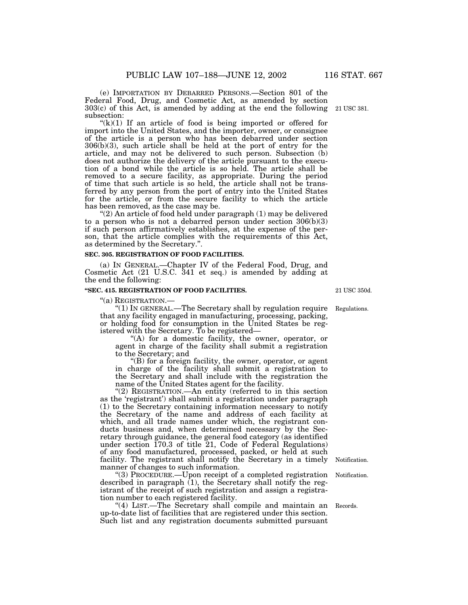(e) IMPORTATION BY DEBARRED PERSONS.—Section 801 of the Federal Food, Drug, and Cosmetic Act, as amended by section 303(c) of this Act, is amended by adding at the end the following subsection:<br>" $(k)(1)$  If an article of food is being imported or offered for

import into the United States, and the importer, owner, or consignee of the article is a person who has been debarred under section 306(b)(3), such article shall be held at the port of entry for the article, and may not be delivered to such person. Subsection (b) does not authorize the delivery of the article pursuant to the execution of a bond while the article is so held. The article shall be removed to a secure facility, as appropriate. During the period of time that such article is so held, the article shall not be transferred by any person from the port of entry into the United States for the article, or from the secure facility to which the article has been removed, as the case may be.

"(2) An article of food held under paragraph (1) may be delivered to a person who is not a debarred person under section 306(b)(3) if such person affirmatively establishes, at the expense of the person, that the article complies with the requirements of this Act, as determined by the Secretary.''.

#### **SEC. 305. REGISTRATION OF FOOD FACILITIES.**

(a) IN GENERAL.—Chapter IV of the Federal Food, Drug, and Cosmetic Act (21 U.S.C. 341 et seq.) is amended by adding at the end the following:

### **''SEC. 415. REGISTRATION OF FOOD FACILITIES.**

''(a) REGISTRATION.— ''(1) IN GENERAL.—The Secretary shall by regulation require that any facility engaged in manufacturing, processing, packing, or holding food for consumption in the United States be registered—

"(A) for a domestic facility, the owner, operator, or agent in charge of the facility shall submit a registration

" $(B)$  for a foreign facility, the owner, operator, or agent in charge of the facility shall submit a registration to the Secretary and shall include with the registration the name of the United States agent for the facility.

''(2) REGISTRATION.—An entity (referred to in this section as the 'registrant') shall submit a registration under paragraph (1) to the Secretary containing information necessary to notify the Secretary of the name and address of each facility at which, and all trade names under which, the registrant conducts business and, when determined necessary by the Secretary through guidance, the general food category (as identified under section 170.3 of title 21, Code of Federal Regulations) of any food manufactured, processed, packed, or held at such facility. The registrant shall notify the Secretary in a timely manner of changes to such information.

''(3) PROCEDURE.—Upon receipt of a completed registration Notification. described in paragraph (1), the Secretary shall notify the registrant of the receipt of such registration and assign a registration number to each registered facility.

"(4) LIST.—The Secretary shall compile and maintain an Records. up-to-date list of facilities that are registered under this section. Such list and any registration documents submitted pursuant

Notification.

Regulations.

21 USC 350d.

21 USC 381.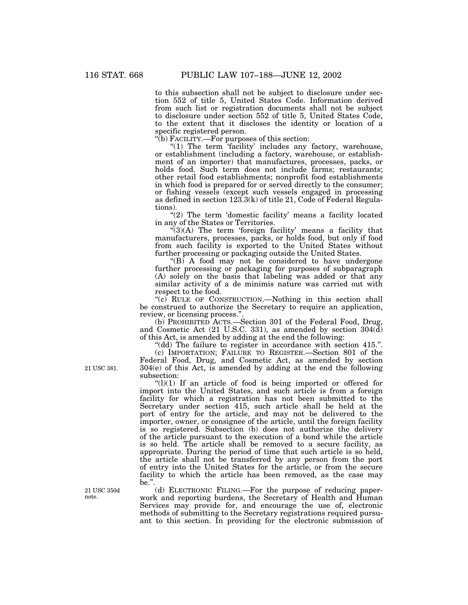to this subsection shall not be subject to disclosure under section 552 of title 5, United States Code. Information derived from such list or registration documents shall not be subject to disclosure under section 552 of title 5, United States Code, to the extent that it discloses the identity or location of a specific registered person.<br>"(b) FACILITY.—For purposes of this section:

"(1) The term 'facility' includes any factory, warehouse, or establishment (including a factory, warehouse, or establishment of an importer) that manufactures, processes, packs, or holds food. Such term does not include farms; restaurants; other retail food establishments; nonprofit food establishments in which food is prepared for or served directly to the consumer; or fishing vessels (except such vessels engaged in processing as defined in section 123.3(k) of title 21, Code of Federal Regula-

tions).<br>
"(2) The term 'domestic facility' means a facility located<br>
in any of the States or Territories.

 $i(3)(A)$  The term 'foreign facility' means a facility that manufacturers, processes, packs, or holds food, but only if food from such facility is exported to the United States without further processing or packaging outside the United States. ''(B) A food may not be considered to have undergone

further processing or packaging for purposes of subparagraph (A) solely on the basis that labeling was added or that any similar activity of a de minimis nature was carried out with respect to the food.

"(c) RULE OF CONSTRUCTION.—Nothing in this section shall be construed to authorize the Secretary to require an application, review, or licensing process.''.

(b) PROHIBITED ACTS.—Section 301 of the Federal Food, Drug, and Cosmetic Act (21 U.S.C. 331), as amended by section 304(d) of this Act, is amended by adding at the end the following:

"(dd) The failure to register in accordance with section 415.".

(c) IMPORTATION; FAILURE TO REGISTER.—Section 801 of the Federal Food, Drug, and Cosmetic Act, as amended by section 304(e) of this Act, is amended by adding at the end the following subsection:

 $f'(l)(1)$  If an article of food is being imported or offered for import into the United States, and such article is from a foreign facility for which a registration has not been submitted to the Secretary under section 415, such article shall be held at the port of entry for the article, and may not be delivered to the importer, owner, or consignee of the article, until the foreign facility is so registered. Subsection (b) does not authorize the delivery of the article pursuant to the execution of a bond while the article is so held. The article shall be removed to a secure facility, as appropriate. During the period of time that such article is so held, the article shall not be transferred by any person from the port of entry into the United States for the article, or from the secure facility to which the article has been removed, as the case may be.''.

(d) ELECTRONIC FILING.—For the purpose of reducing paperwork and reporting burdens, the Secretary of Health and Human Services may provide for, and encourage the use of, electronic methods of submitting to the Secretary registrations required pursuant to this section. In providing for the electronic submission of

21 USC 381.

21 USC 350d note.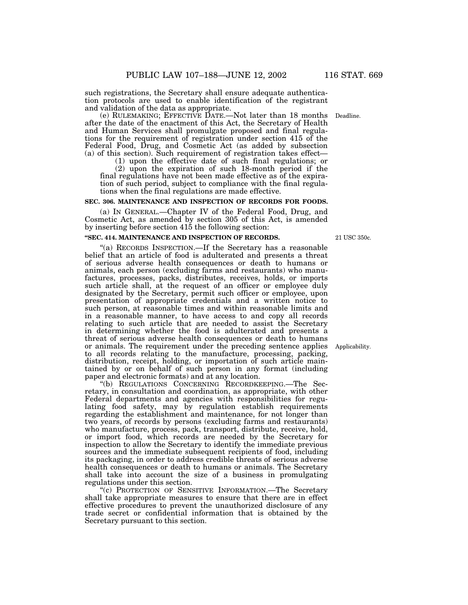such registrations, the Secretary shall ensure adequate authentication protocols are used to enable identification of the registrant and validation of the data as appropriate.

(e) RULEMAKING; EFFECTIVE DATE.—Not later than 18 months Deadline. after the date of the enactment of this Act, the Secretary of Health and Human Services shall promulgate proposed and final regulations for the requirement of registration under section 415 of the Federal Food, Drug, and Cosmetic Act (as added by subsection (a) of this section). Such requirement of registration takes effect— (1) upon the effective date of such final regulations; or

(2) upon the expiration of such 18-month period if the final regulations have not been made effective as of the expiration of such period, subject to compliance with the final regulations when the final regulations are made effective.

#### **SEC. 306. MAINTENANCE AND INSPECTION OF RECORDS FOR FOODS.**

(a) IN GENERAL.—Chapter IV of the Federal Food, Drug, and Cosmetic Act, as amended by section 305 of this Act, is amended by inserting before section 415 the following section:

# **''SEC. 414. MAINTENANCE AND INSPECTION OF RECORDS.**

''(a) RECORDS INSPECTION.—If the Secretary has a reasonable belief that an article of food is adulterated and presents a threat of serious adverse health consequences or death to humans or animals, each person (excluding farms and restaurants) who manufactures, processes, packs, distributes, receives, holds, or imports such article shall, at the request of an officer or employee duly designated by the Secretary, permit such officer or employee, upon presentation of appropriate credentials and a written notice to such person, at reasonable times and within reasonable limits and in a reasonable manner, to have access to and copy all records relating to such article that are needed to assist the Secretary in determining whether the food is adulterated and presents a threat of serious adverse health consequences or death to humans or animals. The requirement under the preceding sentence applies to all records relating to the manufacture, processing, packing, distribution, receipt, holding, or importation of such article maintained by or on behalf of such person in any format (including paper and electronic formats) and at any location.

"(b) REGULATIONS CONCERNING RECORDKEEPING.—The Secretary, in consultation and coordination, as appropriate, with other Federal departments and agencies with responsibilities for regulating food safety, may by regulation establish requirements regarding the establishment and maintenance, for not longer than two years, of records by persons (excluding farms and restaurants) who manufacture, process, pack, transport, distribute, receive, hold, or import food, which records are needed by the Secretary for inspection to allow the Secretary to identify the immediate previous sources and the immediate subsequent recipients of food, including its packaging, in order to address credible threats of serious adverse health consequences or death to humans or animals. The Secretary shall take into account the size of a business in promulgating regulations under this section.

''(c) PROTECTION OF SENSITIVE INFORMATION.—The Secretary shall take appropriate measures to ensure that there are in effect effective procedures to prevent the unauthorized disclosure of any trade secret or confidential information that is obtained by the Secretary pursuant to this section.

21 USC 350c.

Applicability.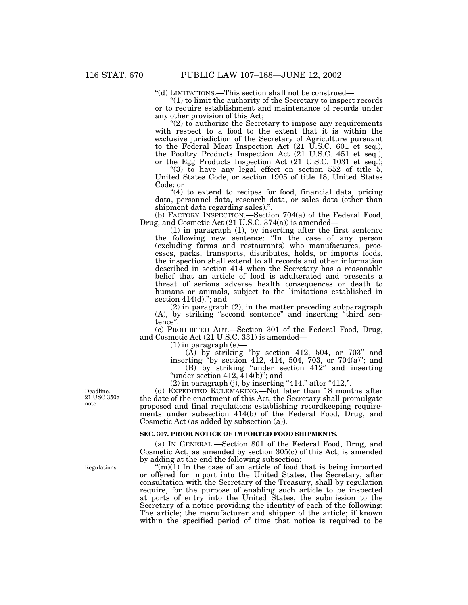''(d) LIMITATIONS.—This section shall not be construed— ''(1) to limit the authority of the Secretary to inspect records

or to require establishment and maintenance of records under any other provision of this Act;

 $''(2)$  to authorize the Secretary to impose any requirements with respect to a food to the extent that it is within the exclusive jurisdiction of the Secretary of Agriculture pursuant to the Federal Meat Inspection Act (21 U.S.C. 601 et seq.), the Poultry Products Inspection Act (21 U.S.C. 451 et seq.), or the Egg Products Inspection Act (21 U.S.C. 1031 et seq.);

" $(3)$  to have any legal effect on section 552 of title 5, United States Code, or section 1905 of title 18, United States Code; or

 $\mathcal{H}(4)$  to extend to recipes for food, financial data, pricing data, personnel data, research data, or sales data (other than shipment data regarding sales).''.

(b) FACTORY INSPECTION.—Section 704(a) of the Federal Food, Drug, and Cosmetic Act (21 U.S.C. 374(a)) is amended—

(1) in paragraph (1), by inserting after the first sentence the following new sentence: ''In the case of any person (excluding farms and restaurants) who manufactures, processes, packs, transports, distributes, holds, or imports foods, the inspection shall extend to all records and other information described in section 414 when the Secretary has a reasonable belief that an article of food is adulterated and presents a threat of serious adverse health consequences or death to humans or animals, subject to the limitations established in section  $414(d)$ ."; and

(2) in paragraph (2), in the matter preceding subparagraph (A), by striking ''second sentence'' and inserting ''third sentence''.

(c) PROHIBITED ACT.—Section 301 of the Federal Food, Drug, and Cosmetic Act (21 U.S.C. 331) is amended—

 $(1)$  in paragraph  $(e)$ 

(A) by striking ''by section 412, 504, or 703'' and inserting ''by section 412, 414, 504, 703, or 704(a)''; and (B) by striking ''under section 412'' and inserting

"under section  $412, 414(b)$ "; and (2) in paragraph (j), by inserting "414," after "412,".

(d) EXPEDITED RULEMAKING.—Not later than 18 months after the date of the enactment of this Act, the Secretary shall promulgate proposed and final regulations establishing recordkeeping requirements under subsection 414(b) of the Federal Food, Drug, and Cosmetic Act (as added by subsection (a)).

## **SEC. 307. PRIOR NOTICE OF IMPORTED FOOD SHIPMENTS.**

(a) IN GENERAL.—Section 801 of the Federal Food, Drug, and Cosmetic Act, as amended by section 305(c) of this Act, is amended by adding at the end the following subsection:

 $(m)(1)$  In the case of an article of food that is being imported or offered for import into the United States, the Secretary, after consultation with the Secretary of the Treasury, shall by regulation require, for the purpose of enabling such article to be inspected at ports of entry into the United States, the submission to the Secretary of a notice providing the identity of each of the following: The article; the manufacturer and shipper of the article; if known within the specified period of time that notice is required to be

Deadline. 21 USC 350c note.

Regulations.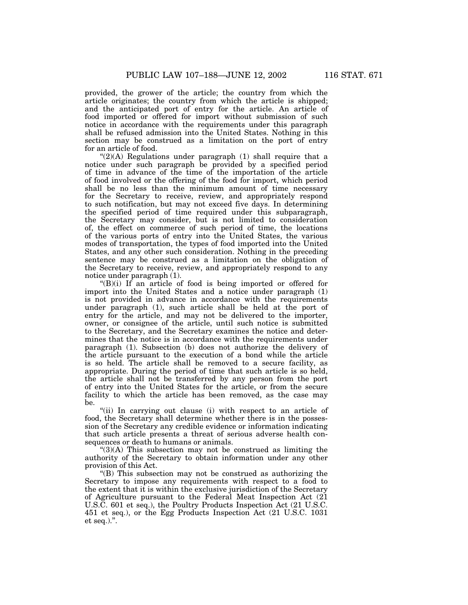provided, the grower of the article; the country from which the article originates; the country from which the article is shipped; and the anticipated port of entry for the article. An article of food imported or offered for import without submission of such notice in accordance with the requirements under this paragraph shall be refused admission into the United States. Nothing in this section may be construed as a limitation on the port of entry for an article of food.

" $(2)(A)$  Regulations under paragraph  $(1)$  shall require that a notice under such paragraph be provided by a specified period of time in advance of the time of the importation of the article of food involved or the offering of the food for import, which period shall be no less than the minimum amount of time necessary for the Secretary to receive, review, and appropriately respond to such notification, but may not exceed five days. In determining the specified period of time required under this subparagraph, the Secretary may consider, but is not limited to consideration of, the effect on commerce of such period of time, the locations of the various ports of entry into the United States, the various modes of transportation, the types of food imported into the United States, and any other such consideration. Nothing in the preceding sentence may be construed as a limitation on the obligation of the Secretary to receive, review, and appropriately respond to any notice under paragraph (1).

 $'(B)(i)$  If an article of food is being imported or offered for import into the United States and a notice under paragraph (1) is not provided in advance in accordance with the requirements under paragraph (1), such article shall be held at the port of entry for the article, and may not be delivered to the importer, owner, or consignee of the article, until such notice is submitted to the Secretary, and the Secretary examines the notice and determines that the notice is in accordance with the requirements under paragraph (1). Subsection (b) does not authorize the delivery of the article pursuant to the execution of a bond while the article is so held. The article shall be removed to a secure facility, as appropriate. During the period of time that such article is so held, the article shall not be transferred by any person from the port of entry into the United States for the article, or from the secure facility to which the article has been removed, as the case may be.

"(ii) In carrying out clause (i) with respect to an article of food, the Secretary shall determine whether there is in the possession of the Secretary any credible evidence or information indicating that such article presents a threat of serious adverse health consequences or death to humans or animals.

" $(3)(A)$  This subsection may not be construed as limiting the authority of the Secretary to obtain information under any other provision of this Act.

''(B) This subsection may not be construed as authorizing the Secretary to impose any requirements with respect to a food to the extent that it is within the exclusive jurisdiction of the Secretary of Agriculture pursuant to the Federal Meat Inspection Act (21 U.S.C. 601 et seq.), the Poultry Products Inspection Act (21 U.S.C. 451 et seq.), or the Egg Products Inspection Act (21 U.S.C. 1031 et seq.).''.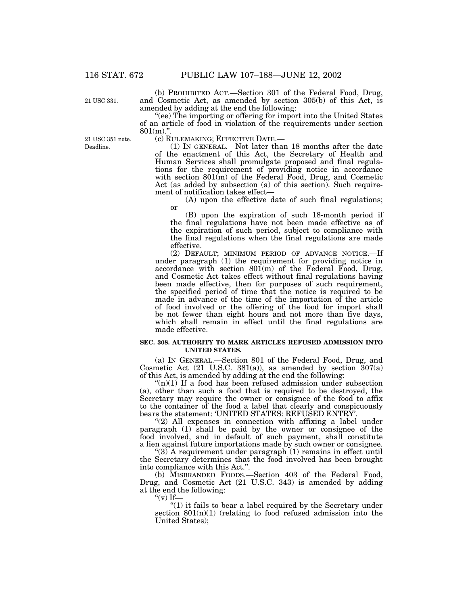21 USC 331.

(b) PROHIBITED ACT.—Section 301 of the Federal Food, Drug, and Cosmetic Act, as amended by section 305(b) of this Act, is amended by adding at the end the following:

"(ee) The importing or offering for import into the United States of an article of food in violation of the requirements under section  $801(m).$ ".<br>(c) RULEMAKING; EFFECTIVE DATE.—

Deadline. 21 USC 351 note.

 $(1)$  In GENERAL.—Not later than 18 months after the date of the enactment of this Act, the Secretary of Health and Human Services shall promulgate proposed and final regulations for the requirement of providing notice in accordance with section 801(m) of the Federal Food, Drug, and Cosmetic Act (as added by subsection (a) of this section). Such require-

 $(A)$  upon the effective date of such final regulations; or

(B) upon the expiration of such 18-month period if the final regulations have not been made effective as of the expiration of such period, subject to compliance with the final regulations when the final regulations are made effective.

(2) DEFAULT; MINIMUM PERIOD OF ADVANCE NOTICE.—If under paragraph (1) the requirement for providing notice in accordance with section  $801(m)$  of the Federal Food, Drug, and Cosmetic Act takes effect without final regulations having been made effective, then for purposes of such requirement, the specified period of time that the notice is required to be made in advance of the time of the importation of the article of food involved or the offering of the food for import shall be not fewer than eight hours and not more than five days, which shall remain in effect until the final regulations are made effective.

## **SEC. 308. AUTHORITY TO MARK ARTICLES REFUSED ADMISSION INTO UNITED STATES.**

(a) IN GENERAL.—Section 801 of the Federal Food, Drug, and Cosmetic Act  $(21 \text{ U.S.C. } 381(a))$ , as amended by section  $307(a)$ of this Act, is amended by adding at the end the following:

 $f'(n)(1)$  If a food has been refused admission under subsection (a), other than such a food that is required to be destroyed, the Secretary may require the owner or consignee of the food to affix to the container of the food a label that clearly and conspicuously bears the statement: 'UNITED STATES: REFUSED ENTRY'.

 $''(2)$  All expenses in connection with affixing a label under paragraph (1) shall be paid by the owner or consignee of the food involved, and in default of such payment, shall constitute a lien against future importations made by such owner or consignee.

''(3) A requirement under paragraph (1) remains in effect until the Secretary determines that the food involved has been brought into compliance with this Act.''.

(b) MISBRANDED FOODS.—Section 403 of the Federal Food, Drug, and Cosmetic Act (21 U.S.C. 343) is amended by adding at the end the following:

 $\lq\lq(\mathrm{v})$  If—

" $(1)$  it fails to bear a label required by the Secretary under section  $801(n)(1)$  (relating to food refused admission into the United States);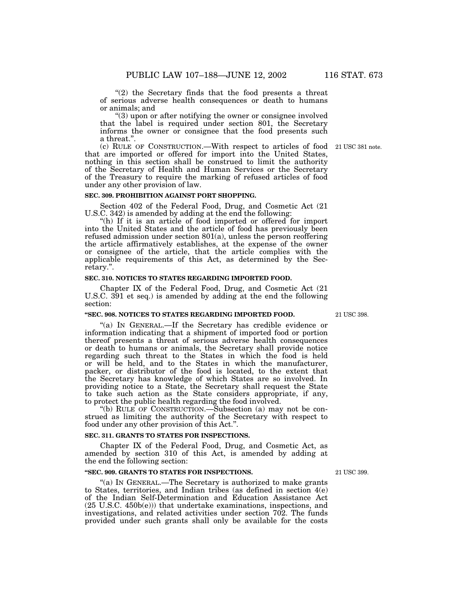" $(2)$  the Secretary finds that the food presents a threat of serious adverse health consequences or death to humans

or animals; and<br>"(3) upon or after notifying the owner or consignee involved that the label is required under section 801, the Secretary informs the owner or consignee that the food presents such a threat.''.

(c) RULE OF CONSTRUCTION.—With respect to articles of food 21 USC 381 note. that are imported or offered for import into the United States, nothing in this section shall be construed to limit the authority of the Secretary of Health and Human Services or the Secretary of the Treasury to require the marking of refused articles of food under any other provision of law.

#### **SEC. 309. PROHIBITION AGAINST PORT SHOPPING.**

Section 402 of the Federal Food, Drug, and Cosmetic Act (21 U.S.C. 342) is amended by adding at the end the following: U.S.C. 342) is amended by adding at the end the following: ''(h) If it is an article of food imported or offered for import

into the United States and the article of food has previously been refused admission under section 801(a), unless the person reoffering the article affirmatively establishes, at the expense of the owner or consignee of the article, that the article complies with the applicable requirements of this Act, as determined by the Secretary.''.

#### **SEC. 310. NOTICES TO STATES REGARDING IMPORTED FOOD.**

Chapter IX of the Federal Food, Drug, and Cosmetic Act (21 U.S.C. 391 et seq.) is amended by adding at the end the following section:

#### **''SEC. 908. NOTICES TO STATES REGARDING IMPORTED FOOD.**

"(a) IN GENERAL.—If the Secretary has credible evidence or information indicating that a shipment of imported food or portion thereof presents a threat of serious adverse health consequences or death to humans or animals, the Secretary shall provide notice regarding such threat to the States in which the food is held or will be held, and to the States in which the manufacturer, packer, or distributor of the food is located, to the extent that the Secretary has knowledge of which States are so involved. In providing notice to a State, the Secretary shall request the State to take such action as the State considers appropriate, if any, to protect the public health regarding the food involved.

''(b) RULE OF CONSTRUCTION.—Subsection (a) may not be construed as limiting the authority of the Secretary with respect to food under any other provision of this Act.''.

#### **SEC. 311. GRANTS TO STATES FOR INSPECTIONS.**

Chapter IX of the Federal Food, Drug, and Cosmetic Act, as amended by section 310 of this Act, is amended by adding at the end the following section:

## **''SEC. 909. GRANTS TO STATES FOR INSPECTIONS.**

"(a) IN GENERAL.—The Secretary is authorized to make grants to States, territories, and Indian tribes (as defined in section 4(e) of the Indian Self-Determination and Education Assistance Act  $(25 \text{ U.S.C. } 450b(e))$  that undertake examinations, inspections, and investigations, and related activities under section 702. The funds provided under such grants shall only be available for the costs

21 USC 398.

21 USC 399.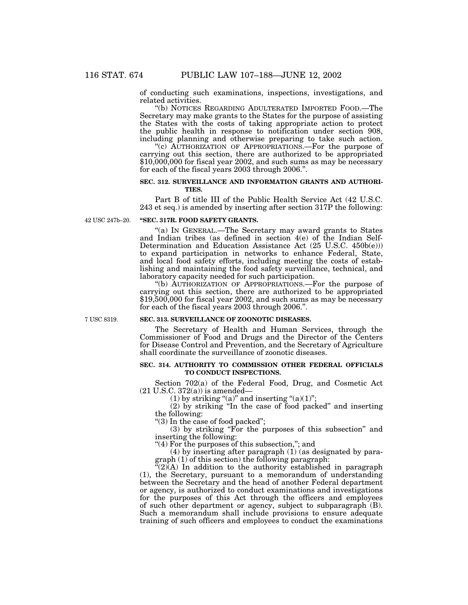of conducting such examinations, inspections, investigations, and

"(b) NOTICES REGARDING ADULTERATED IMPORTED FOOD.—The Secretary may make grants to the States for the purpose of assisting the States with the costs of taking appropriate action to protect the public health in response to notification under section 908,

"(c) AUTHORIZATION OF APPROPRIATIONS.—For the purpose of carrying out this section, there are authorized to be appropriated \$10,000,000 for fiscal year 2002, and such sums as may be necessary for each of the fiscal years 2003 through 2006.''.

## **SEC. 312. SURVEILLANCE AND INFORMATION GRANTS AND AUTHORI-TIES.**

Part B of title III of the Public Health Service Act (42 U.S.C. 243 et seq.) is amended by inserting after section 317P the following:

42 USC 247b–20.

## **''SEC. 317R. FOOD SAFETY GRANTS.**

''(a) IN GENERAL.—The Secretary may award grants to States and Indian tribes (as defined in section 4(e) of the Indian Self-Determination and Education Assistance Act (25 U.S.C. 450b(e))) to expand participation in networks to enhance Federal, State, and local food safety efforts, including meeting the costs of establishing and maintaining the food safety surveillance, technical, and laboratory capacity needed for such participation.

''(b) AUTHORIZATION OF APPROPRIATIONS.—For the purpose of carrying out this section, there are authorized to be appropriated \$19,500,000 for fiscal year 2002, and such sums as may be necessary for each of the fiscal years 2003 through 2006.''.

7 USC 8319.

#### **SEC. 313. SURVEILLANCE OF ZOONOTIC DISEASES.**

The Secretary of Health and Human Services, through the Commissioner of Food and Drugs and the Director of the Centers for Disease Control and Prevention, and the Secretary of Agriculture shall coordinate the surveillance of zoonotic diseases.

## **SEC. 314. AUTHORITY TO COMMISSION OTHER FEDERAL OFFICIALS TO CONDUCT INSPECTIONS.**

Section 702(a) of the Federal Food, Drug, and Cosmetic Act  $(21$  U.S.C.  $372(a)$  is amended—

(1) by striking "(a)" and inserting " $(a)(1)$ ";

(2) by striking ''In the case of food packed'' and inserting the following:

''(3) In the case of food packed'';

(3) by striking ''For the purposes of this subsection'' and inserting the following:

"(4) For the purposes of this subsection,"; and

(4) by inserting after paragraph (1) (as designated by paragraph (1) of this section) the following paragraph:

" $(2)(A)$  In addition to the authority established in paragraph (1), the Secretary, pursuant to a memorandum of understanding between the Secretary and the head of another Federal department or agency, is authorized to conduct examinations and investigations for the purposes of this Act through the officers and employees of such other department or agency, subject to subparagraph (B). Such a memorandum shall include provisions to ensure adequate training of such officers and employees to conduct the examinations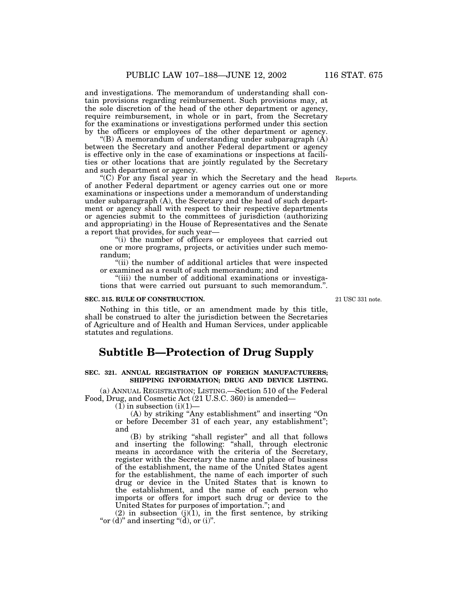and investigations. The memorandum of understanding shall contain provisions regarding reimbursement. Such provisions may, at the sole discretion of the head of the other department or agency, require reimbursement, in whole or in part, from the Secretary for the examinations or investigations performed under this section by the officers or employees of the other department or agency.

"(B) A memorandum of understanding under subparagraph  $(A)$ between the Secretary and another Federal department or agency is effective only in the case of examinations or inspections at facilities or other locations that are jointly regulated by the Secretary and such department or agency.

''(C) For any fiscal year in which the Secretary and the head Reports. of another Federal department or agency carries out one or more examinations or inspections under a memorandum of understanding under subparagraph (A), the Secretary and the head of such department or agency shall with respect to their respective departments or agencies submit to the committees of jurisdiction (authorizing and appropriating) in the House of Representatives and the Senate a report that provides, for such year—

''(i) the number of officers or employees that carried out one or more programs, projects, or activities under such memorandum;

"(ii) the number of additional articles that were inspected or examined as a result of such memorandum; and

"(iii) the number of additional examinations or investigations that were carried out pursuant to such memorandum.''.

#### **SEC. 315. RULE OF CONSTRUCTION.**

Nothing in this title, or an amendment made by this title, shall be construed to alter the jurisdiction between the Secretaries of Agriculture and of Health and Human Services, under applicable statutes and regulations.

# **Subtitle B—Protection of Drug Supply**

## **SEC. 321. ANNUAL REGISTRATION OF FOREIGN MANUFACTURERS; SHIPPING INFORMATION; DRUG AND DEVICE LISTING.**

(a) ANNUAL REGISTRATION; LISTING.—Section 510 of the Federal Food, Drug, and Cosmetic Act (21 U.S.C. 360) is amended—<br>
(1) in subsection (i)(1)—<br>
(A) by striking "Any establishment" and inserting "On

or before December 31 of each year, any establishment''; and

(B) by striking ''shall register'' and all that follows and inserting the following: ''shall, through electronic means in accordance with the criteria of the Secretary, register with the Secretary the name and place of business of the establishment, the name of the United States agent for the establishment, the name of each importer of such drug or device in the United States that is known to the establishment, and the name of each person who imports or offers for import such drug or device to the United States for purposes of importation.''; and

 $(2)$  in subsection  $(j)(1)$ , in the first sentence, by striking "or  $(d)$ " and inserting " $(d)$ , or  $(i)$ ".

21 USC 331 note.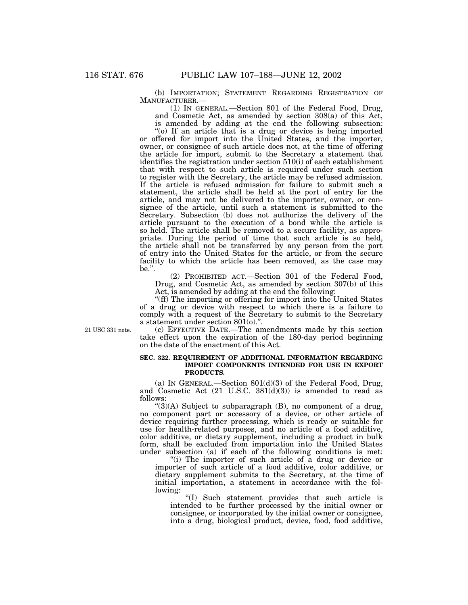(b) IMPORTATION; STATEMENT REGARDING REGISTRATION OF MANUFACTURER.—

 $(1)$  In GENERAL.—Section 801 of the Federal Food, Drug, and Cosmetic Act, as amended by section 308(a) of this Act, is amended by adding at the end the following subsection:

''(o) If an article that is a drug or device is being imported or offered for import into the United States, and the importer, owner, or consignee of such article does not, at the time of offering the article for import, submit to the Secretary a statement that identifies the registration under section 510(i) of each establishment that with respect to such article is required under such section to register with the Secretary, the article may be refused admission. If the article is refused admission for failure to submit such a statement, the article shall be held at the port of entry for the article, and may not be delivered to the importer, owner, or consignee of the article, until such a statement is submitted to the Secretary. Subsection (b) does not authorize the delivery of the article pursuant to the execution of a bond while the article is so held. The article shall be removed to a secure facility, as appropriate. During the period of time that such article is so held, the article shall not be transferred by any person from the port of entry into the United States for the article, or from the secure facility to which the article has been removed, as the case may be.".

(2) PROHIBITED ACT.—Section 301 of the Federal Food, Drug, and Cosmetic Act, as amended by section 307(b) of this Act, is amended by adding at the end the following:

"(ff) The importing or offering for import into the United States of a drug or device with respect to which there is a failure to comply with a request of the Secretary to submit to the Secretary a statement under section 801(o).''.

21 USC 331 note.

(c) EFFECTIVE DATE.—The amendments made by this section take effect upon the expiration of the 180-day period beginning on the date of the enactment of this Act.

### **SEC. 322. REQUIREMENT OF ADDITIONAL INFORMATION REGARDING IMPORT COMPONENTS INTENDED FOR USE IN EXPORT PRODUCTS.**

(a) IN GENERAL.—Section  $801(d)(3)$  of the Federal Food, Drug, and Cosmetic Act  $(21 \text{ U.S.C. } 381(d)(3))$  is amended to read as follows:

 $\mathcal{L}(3)(A)$  Subject to subparagraph  $(B)$ , no component of a drug, no component part or accessory of a device, or other article of device requiring further processing, which is ready or suitable for use for health-related purposes, and no article of a food additive, color additive, or dietary supplement, including a product in bulk form, shall be excluded from importation into the United States under subsection (a) if each of the following conditions is met:

''(i) The importer of such article of a drug or device or importer of such article of a food additive, color additive, or dietary supplement submits to the Secretary, at the time of initial importation, a statement in accordance with the following:

''(I) Such statement provides that such article is intended to be further processed by the initial owner or consignee, or incorporated by the initial owner or consignee, into a drug, biological product, device, food, food additive,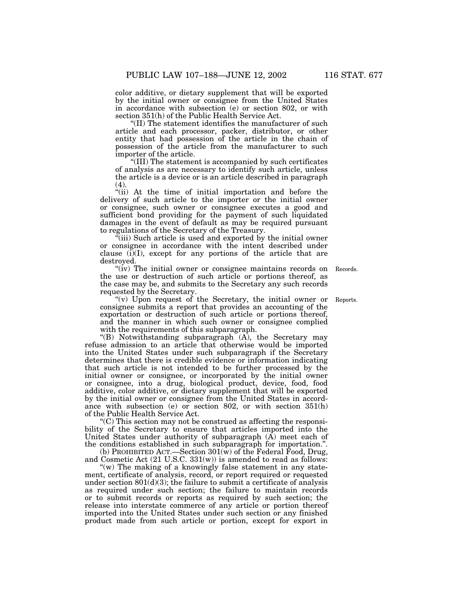color additive, or dietary supplement that will be exported by the initial owner or consignee from the United States in accordance with subsection (e) or section 802, or with section 351(h) of the Public Health Service Act.

''(II) The statement identifies the manufacturer of such article and each processor, packer, distributor, or other entity that had possession of the article in the chain of possession of the article from the manufacturer to such importer of the article.

''(III) The statement is accompanied by such certificates of analysis as are necessary to identify such article, unless the article is a device or is an article described in paragraph  $(4)$ .

"(ii) At the time of initial importation and before the delivery of such article to the importer or the initial owner or consignee, such owner or consignee executes a good and sufficient bond providing for the payment of such liquidated damages in the event of default as may be required pursuant to regulations of the Secretary of the Treasury.

''(iii) Such article is used and exported by the initial owner or consignee in accordance with the intent described under clause (i)(I), except for any portions of the article that are destroyed.

"(iv) The initial owner or consignee maintains records on Records. the use or destruction of such article or portions thereof, as the case may be, and submits to the Secretary any such records requested by the Secretary.

" $(v)$  Upon request of the Secretary, the initial owner or consignee submits a report that provides an accounting of the exportation or destruction of such article or portions thereof, and the manner in which such owner or consignee complied with the requirements of this subparagraph.

"(B) Notwithstanding subparagraph  $(A)$ , the Secretary may refuse admission to an article that otherwise would be imported into the United States under such subparagraph if the Secretary determines that there is credible evidence or information indicating that such article is not intended to be further processed by the initial owner or consignee, or incorporated by the initial owner or consignee, into a drug, biological product, device, food, food additive, color additive, or dietary supplement that will be exported by the initial owner or consignee from the United States in accordance with subsection (e) or section 802, or with section 351(h) of the Public Health Service Act.

 $C^{\prime\prime}(C)$  This section may not be construed as affecting the responsibility of the Secretary to ensure that articles imported into the United States under authority of subparagraph (A) meet each of the conditions established in such subparagraph for importation.''.

(b) PROHIBITED ACT.—Section  $301(\bar{w})$  of the Federal Food, Drug, and Cosmetic Act (21 U.S.C. 331(w)) is amended to read as follows:

 $f(w)$  The making of a knowingly false statement in any statement, certificate of analysis, record, or report required or requested under section  $801(d)(3)$ ; the failure to submit a certificate of analysis as required under such section; the failure to maintain records or to submit records or reports as required by such section; the release into interstate commerce of any article or portion thereof imported into the United States under such section or any finished product made from such article or portion, except for export in

Reports.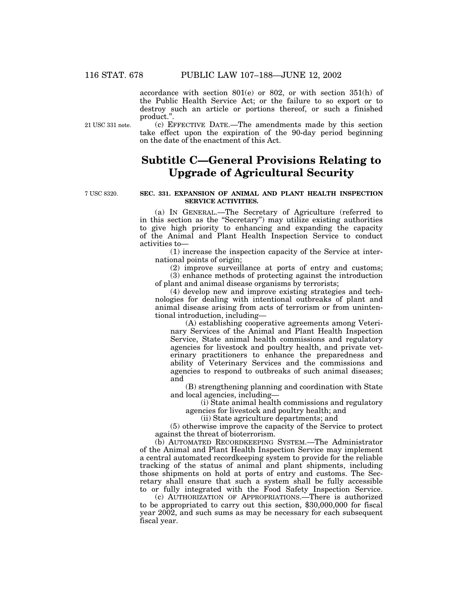accordance with section 801(e) or 802, or with section 351(h) of the Public Health Service Act; or the failure to so export or to destroy such an article or portions thereof, or such a finished product."

21 USC 331 note.

(c) EFFECTIVE DATE.—The amendments made by this section take effect upon the expiration of the 90-day period beginning on the date of the enactment of this Act.

# **Subtitle C—General Provisions Relating to Upgrade of Agricultural Security**

7 USC 8320.

## **SEC. 331. EXPANSION OF ANIMAL AND PLANT HEALTH INSPECTION SERVICE ACTIVITIES.**

(a) IN GENERAL.—The Secretary of Agriculture (referred to in this section as the ''Secretary'') may utilize existing authorities to give high priority to enhancing and expanding the capacity of the Animal and Plant Health Inspection Service to conduct activities to—

(1) increase the inspection capacity of the Service at international points of origin;

(2) improve surveillance at ports of entry and customs; (3) enhance methods of protecting against the introduction of plant and animal disease organisms by terrorists;

(4) develop new and improve existing strategies and technologies for dealing with intentional outbreaks of plant and animal disease arising from acts of terrorism or from unintentional introduction, including—

(A) establishing cooperative agreements among Veterinary Services of the Animal and Plant Health Inspection Service, State animal health commissions and regulatory agencies for livestock and poultry health, and private veterinary practitioners to enhance the preparedness and ability of Veterinary Services and the commissions and agencies to respond to outbreaks of such animal diseases; and

(B) strengthening planning and coordination with State and local agencies, including—

(i) State animal health commissions and regulatory agencies for livestock and poultry health; and

(ii) State agriculture departments; and

(5) otherwise improve the capacity of the Service to protect against the threat of bioterrorism.

(b) AUTOMATED RECORDKEEPING SYSTEM.—The Administrator of the Animal and Plant Health Inspection Service may implement a central automated recordkeeping system to provide for the reliable tracking of the status of animal and plant shipments, including those shipments on hold at ports of entry and customs. The Secretary shall ensure that such a system shall be fully accessible to or fully integrated with the Food Safety Inspection Service.

(c) AUTHORIZATION OF APPROPRIATIONS.—There is authorized to be appropriated to carry out this section, \$30,000,000 for fiscal year 2002, and such sums as may be necessary for each subsequent fiscal year.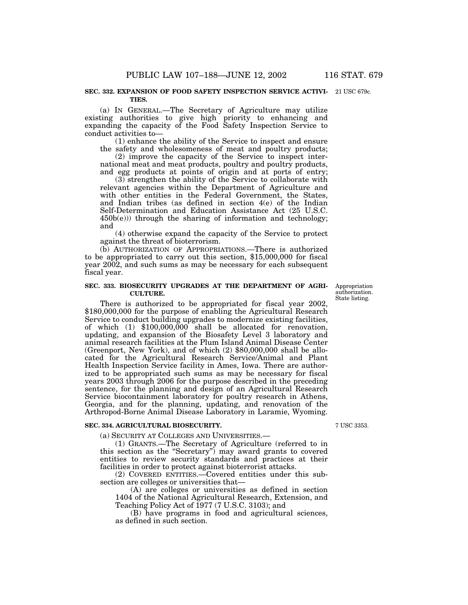#### **SEC. 332. EXPANSION OF FOOD SAFETY INSPECTION SERVICE ACTIVI-**21 USC 679c. **TIES.**

(a) IN GENERAL.—The Secretary of Agriculture may utilize existing authorities to give high priority to enhancing and expanding the capacity of the Food Safety Inspection Service to conduct activities to—

(1) enhance the ability of the Service to inspect and ensure the safety and wholesomeness of meat and poultry products;

 $(2)$  improve the capacity of the Service to inspect international meat and meat products, poultry and poultry products, and egg products at points of origin and at ports of entry;

(3) strengthen the ability of the Service to collaborate with relevant agencies within the Department of Agriculture and with other entities in the Federal Government, the States, and Indian tribes (as defined in section 4(e) of the Indian Self-Determination and Education Assistance Act (25 U.S.C. 450b(e))) through the sharing of information and technology; and

(4) otherwise expand the capacity of the Service to protect against the threat of bioterrorism.

(b) AUTHORIZATION OF APPROPRIATIONS.—There is authorized to be appropriated to carry out this section, \$15,000,000 for fiscal year 2002, and such sums as may be necessary for each subsequent fiscal year.

## **SEC. 333. BIOSECURITY UPGRADES AT THE DEPARTMENT OF AGRI-CULTURE.**

There is authorized to be appropriated for fiscal year 2002, \$180,000,000 for the purpose of enabling the Agricultural Research Service to conduct building upgrades to modernize existing facilities, of which  $(1)$  \$100,000,000 shall be allocated for renovation, updating, and expansion of the Biosafety Level 3 laboratory and animal research facilities at the Plum Island Animal Disease Center (Greenport, New York), and of which (2) \$80,000,000 shall be allocated for the Agricultural Research Service/Animal and Plant Health Inspection Service facility in Ames, Iowa. There are authorized to be appropriated such sums as may be necessary for fiscal years 2003 through 2006 for the purpose described in the preceding sentence, for the planning and design of an Agricultural Research Service biocontainment laboratory for poultry research in Athens, Georgia, and for the planning, updating, and renovation of the Arthropod-Borne Animal Disease Laboratory in Laramie, Wyoming.

#### **SEC. 334. AGRICULTURAL BIOSECURITY.**

(a) SECURITY AT COLLEGES AND UNIVERSITIES.—

(1) GRANTS.—The Secretary of Agriculture (referred to in this section as the ''Secretary'') may award grants to covered entities to review security standards and practices at their facilities in order to protect against bioterrorist attacks.

(2) COVERED ENTITIES.—Covered entities under this subsection are colleges or universities that—

(A) are colleges or universities as defined in section 1404 of the National Agricultural Research, Extension, and Teaching Policy Act of 1977 (7 U.S.C. 3103); and

(B) have programs in food and agricultural sciences, as defined in such section.

7 USC 3353.

Appropriation authorization. State listing.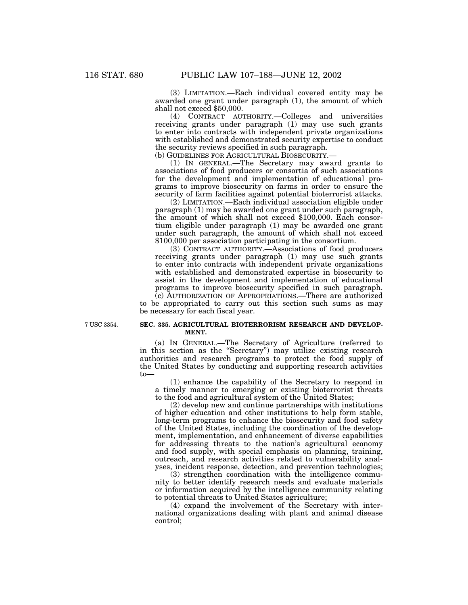(3) LIMITATION.—Each individual covered entity may be awarded one grant under paragraph (1), the amount of which shall not exceed \$50,000.

(4) CONTRACT AUTHORITY.—Colleges and universities receiving grants under paragraph (1) may use such grants to enter into contracts with independent private organizations with established and demonstrated security expertise to conduct the security reviews specified in such paragraph.

(b) GUIDELINES FOR AGRICULTURAL BIOSECURITY.—

(1) IN GENERAL.—The Secretary may award grants to associations of food producers or consortia of such associations for the development and implementation of educational programs to improve biosecurity on farms in order to ensure the security of farm facilities against potential bioterrorist attacks.

(2) LIMITATION.—Each individual association eligible under paragraph (1) may be awarded one grant under such paragraph, the amount of which shall not exceed \$100,000. Each consortium eligible under paragraph (1) may be awarded one grant under such paragraph, the amount of which shall not exceed \$100,000 per association participating in the consortium.

(3) CONTRACT AUTHORITY.—Associations of food producers receiving grants under paragraph (1) may use such grants to enter into contracts with independent private organizations with established and demonstrated expertise in biosecurity to assist in the development and implementation of educational programs to improve biosecurity specified in such paragraph.

(c) AUTHORIZATION OF APPROPRIATIONS.—There are authorized to be appropriated to carry out this section such sums as may be necessary for each fiscal year.

7 USC 3354.

# **SEC. 335. AGRICULTURAL BIOTERRORISM RESEARCH AND DEVELOP-MENT.**

(a) IN GENERAL.—The Secretary of Agriculture (referred to in this section as the ''Secretary'') may utilize existing research authorities and research programs to protect the food supply of the United States by conducting and supporting research activities  $t_0$ —

(1) enhance the capability of the Secretary to respond in a timely manner to emerging or existing bioterrorist threats to the food and agricultural system of the United States;

(2) develop new and continue partnerships with institutions of higher education and other institutions to help form stable, long-term programs to enhance the biosecurity and food safety of the United States, including the coordination of the development, implementation, and enhancement of diverse capabilities for addressing threats to the nation's agricultural economy and food supply, with special emphasis on planning, training, outreach, and research activities related to vulnerability analyses, incident response, detection, and prevention technologies;

(3) strengthen coordination with the intelligence community to better identify research needs and evaluate materials or information acquired by the intelligence community relating to potential threats to United States agriculture;

(4) expand the involvement of the Secretary with international organizations dealing with plant and animal disease control;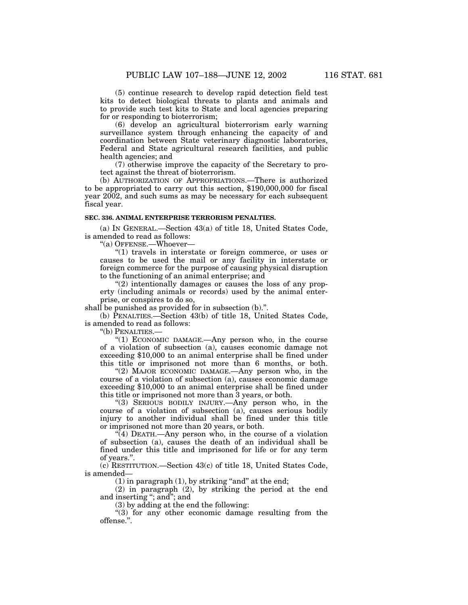(5) continue research to develop rapid detection field test kits to detect biological threats to plants and animals and to provide such test kits to State and local agencies preparing for or responding to bioterrorism;

(6) develop an agricultural bioterrorism early warning surveillance system through enhancing the capacity of and coordination between State veterinary diagnostic laboratories, Federal and State agricultural research facilities, and public health agencies; and

(7) otherwise improve the capacity of the Secretary to protect against the threat of bioterrorism.

(b) AUTHORIZATION OF APPROPRIATIONS.—There is authorized to be appropriated to carry out this section, \$190,000,000 for fiscal year 2002, and such sums as may be necessary for each subsequent fiscal year.

#### **SEC. 336. ANIMAL ENTERPRISE TERRORISM PENALTIES.**

(a) IN GENERAL.—Section 43(a) of title 18, United States Code, is amended to read as follows:

''(a) OFFENSE.—Whoever—

''(1) travels in interstate or foreign commerce, or uses or causes to be used the mail or any facility in interstate or foreign commerce for the purpose of causing physical disruption to the functioning of an animal enterprise; and

 $\degree$ (2) intentionally damages or causes the loss of any property (including animals or records) used by the animal enterprise, or conspires to do so,

shall be punished as provided for in subsection (b).''.

(b) PENALTIES.—Section 43(b) of title 18, United States Code, is amended to read as follows:

''(b) PENALTIES.—

"(1) ECONOMIC DAMAGE.—Any person who, in the course of a violation of subsection (a), causes economic damage not exceeding \$10,000 to an animal enterprise shall be fined under this title or imprisoned not more than 6 months, or both.

''(2) MAJOR ECONOMIC DAMAGE.—Any person who, in the course of a violation of subsection (a), causes economic damage exceeding \$10,000 to an animal enterprise shall be fined under this title or imprisoned not more than 3 years, or both.

''(3) SERIOUS BODILY INJURY.—Any person who, in the course of a violation of subsection (a), causes serious bodily injury to another individual shall be fined under this title or imprisoned not more than 20 years, or both.

 $\sqrt{4}$ ) DEATH.—Any person who, in the course of a violation of subsection (a), causes the death of an individual shall be fined under this title and imprisoned for life or for any term of years.''.

(c) RESTITUTION.—Section 43(c) of title 18, United States Code, is amended—

 $(1)$  in paragraph  $(1)$ , by striking "and" at the end;

(2) in paragraph (2), by striking the period at the end and inserting ''; and''; and

(3) by adding at the end the following:

"(3) for any other economic damage resulting from the offense.''.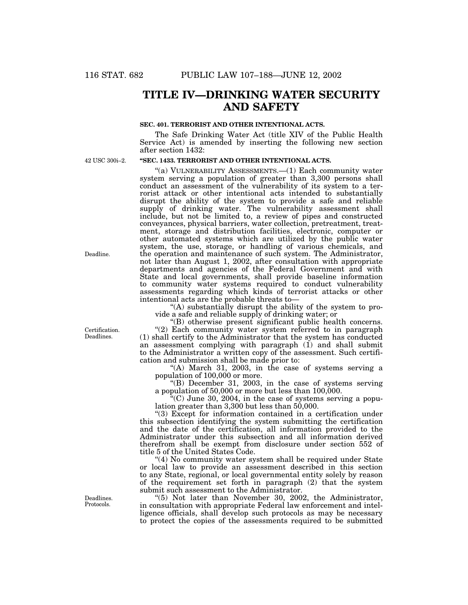# **TITLE IV—DRINKING WATER SECURITY AND SAFETY**

#### **SEC. 401. TERRORIST AND OTHER INTENTIONAL ACTS.**

The Safe Drinking Water Act (title XIV of the Public Health Service Act) is amended by inserting the following new section after section 1432:

42 USC 300i–2.

# **''SEC. 1433. TERRORIST AND OTHER INTENTIONAL ACTS.**

"(a) VULNERABILITY ASSESSMENTS.—(1) Each community water system serving a population of greater than 3,300 persons shall conduct an assessment of the vulnerability of its system to a terrorist attack or other intentional acts intended to substantially disrupt the ability of the system to provide a safe and reliable supply of drinking water. The vulnerability assessment shall include, but not be limited to, a review of pipes and constructed conveyances, physical barriers, water collection, pretreatment, treatment, storage and distribution facilities, electronic, computer or other automated systems which are utilized by the public water system, the use, storage, or handling of various chemicals, and the operation and maintenance of such system. The Administrator, not later than August 1, 2002, after consultation with appropriate departments and agencies of the Federal Government and with State and local governments, shall provide baseline information to community water systems required to conduct vulnerability assessments regarding which kinds of terrorist attacks or other

intentional acts are the probable threats to—<br>"(A) substantially disrupt the ability of the system to provide a safe and reliable supply of drinking water; or

''(B) otherwise present significant public health concerns. "(2) Each community water system referred to in paragraph

(1) shall certify to the Administrator that the system has conducted an assessment complying with paragraph  $(1)$  and shall submit to the Administrator a written copy of the assessment. Such certification and submission shall be made prior to:

"(A) March 31, 2003, in the case of systems serving a population of 100,000 or more.

''(B) December 31, 2003, in the case of systems serving a population of 50,000 or more but less than 100,000.

''(C) June 30, 2004, in the case of systems serving a population greater than  $3,300$  but less than  $50,000$ .

''(3) Except for information contained in a certification under this subsection identifying the system submitting the certification and the date of the certification, all information provided to the Administrator under this subsection and all information derived therefrom shall be exempt from disclosure under section 552 of title 5 of the United States Code.

"(4) No community water system shall be required under State or local law to provide an assessment described in this section to any State, regional, or local governmental entity solely by reason of the requirement set forth in paragraph (2) that the system submit such assessment to the Administrator.

''(5) Not later than November 30, 2002, the Administrator, in consultation with appropriate Federal law enforcement and intelligence officials, shall develop such protocols as may be necessary to protect the copies of the assessments required to be submitted

Certification. Deadlines.

Deadlines. Protocols.

Deadline.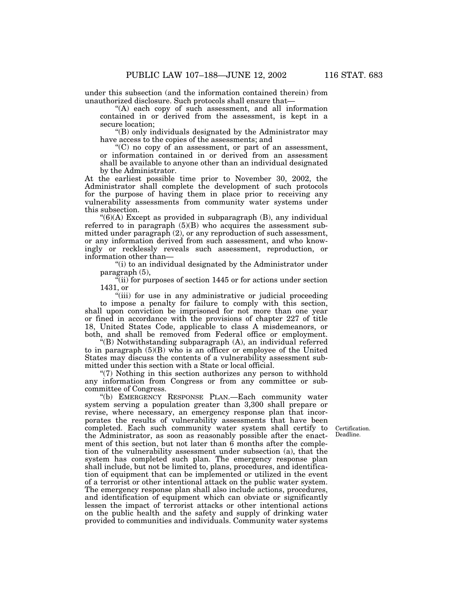under this subsection (and the information contained therein) from unauthorized disclosure. Such protocols shall ensure that—

''(A) each copy of such assessment, and all information contained in or derived from the assessment, is kept in a secure location;

''(B) only individuals designated by the Administrator may have access to the copies of the assessments; and

 $C$ ) no copy of an assessment, or part of an assessment, or information contained in or derived from an assessment shall be available to anyone other than an individual designated by the Administrator.

At the earliest possible time prior to November 30, 2002, the Administrator shall complete the development of such protocols for the purpose of having them in place prior to receiving any vulnerability assessments from community water systems under this subsection.

 $(6)(A)$  Except as provided in subparagraph  $(B)$ , any individual referred to in paragraph  $(5)(B)$  who acquires the assessment submitted under paragraph (2), or any reproduction of such assessment, or any information derived from such assessment, and who knowingly or recklessly reveals such assessment, reproduction, or information other than—

''(i) to an individual designated by the Administrator under paragraph (5),

''(ii) for purposes of section 1445 or for actions under section 1431, or

"(iii) for use in any administrative or judicial proceeding to impose a penalty for failure to comply with this section, shall upon conviction be imprisoned for not more than one year or fined in accordance with the provisions of chapter 227 of title 18, United States Code, applicable to class A misdemeanors, or both, and shall be removed from Federal office or employment.

''(B) Notwithstanding subparagraph (A), an individual referred to in paragraph (5)(B) who is an officer or employee of the United States may discuss the contents of a vulnerability assessment submitted under this section with a State or local official.

"(7) Nothing in this section authorizes any person to withhold any information from Congress or from any committee or subcommittee of Congress.

''(b) EMERGENCY RESPONSE PLAN.—Each community water system serving a population greater than 3,300 shall prepare or revise, where necessary, an emergency response plan that incorporates the results of vulnerability assessments that have been completed. Each such community water system shall certify to the Administrator, as soon as reasonably possible after the enactment of this section, but not later than 6 months after the completion of the vulnerability assessment under subsection (a), that the system has completed such plan. The emergency response plan shall include, but not be limited to, plans, procedures, and identification of equipment that can be implemented or utilized in the event of a terrorist or other intentional attack on the public water system. The emergency response plan shall also include actions, procedures, and identification of equipment which can obviate or significantly lessen the impact of terrorist attacks or other intentional actions on the public health and the safety and supply of drinking water provided to communities and individuals. Community water systems

Certification. Deadline.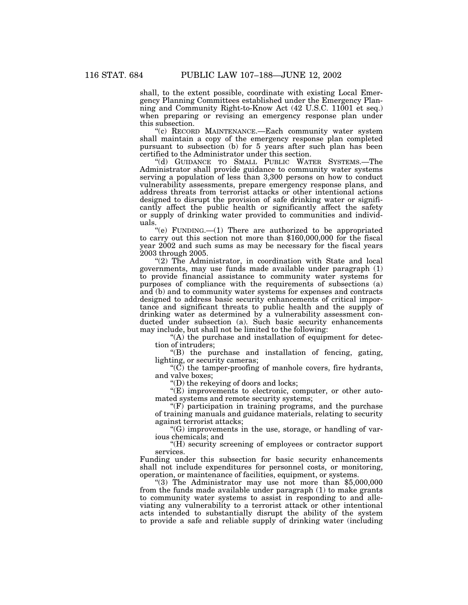shall, to the extent possible, coordinate with existing Local Emergency Planning Committees established under the Emergency Planning and Community Right-to-Know Act (42 U.S.C. 11001 et seq.) when preparing or revising an emergency response plan under this subsection.

''(c) RECORD MAINTENANCE.—Each community water system shall maintain a copy of the emergency response plan completed pursuant to subsection (b) for 5 years after such plan has been

certified to the Administrator under this section.<br>"(d) GUIDANCE TO SMALL PUBLIC WATER SYSTEMS.—The Administrator shall provide guidance to community water systems serving a population of less than 3,300 persons on how to conduct vulnerability assessments, prepare emergency response plans, and address threats from terrorist attacks or other intentional actions designed to disrupt the provision of safe drinking water or significantly affect the public health or significantly affect the safety or supply of drinking water provided to communities and individ-

"(e) FUNDING. $-(1)$  There are authorized to be appropriated to carry out this section not more than \$160,000,000 for the fiscal year 2002 and such sums as may be necessary for the fiscal years 2003 through 2005.

"(2) The Administrator, in coordination with State and local governments, may use funds made available under paragraph (1) to provide financial assistance to community water systems for purposes of compliance with the requirements of subsections (a) and (b) and to community water systems for expenses and contracts designed to address basic security enhancements of critical importance and significant threats to public health and the supply of drinking water as determined by a vulnerability assessment conducted under subsection (a). Such basic security enhancements may include, but shall not be limited to the following:

''(A) the purchase and installation of equipment for detection of intruders;

''(B) the purchase and installation of fencing, gating, lighting, or security cameras;

 $C$ ) the tamper-proofing of manhole covers, fire hydrants, and valve boxes;

''(D) the rekeying of doors and locks;

 $\sqrt[\infty]{E}$  improvements to electronic, computer, or other automated systems and remote security systems;

 $\mathcal{F}(F)$  participation in training programs, and the purchase of training manuals and guidance materials, relating to security against terrorist attacks;

 $C(G)$  improvements in the use, storage, or handling of various chemicals; and

''(H) security screening of employees or contractor support services.

Funding under this subsection for basic security enhancements shall not include expenditures for personnel costs, or monitoring, operation, or maintenance of facilities, equipment, or systems.

''(3) The Administrator may use not more than \$5,000,000 from the funds made available under paragraph (1) to make grants to community water systems to assist in responding to and alleviating any vulnerability to a terrorist attack or other intentional acts intended to substantially disrupt the ability of the system to provide a safe and reliable supply of drinking water (including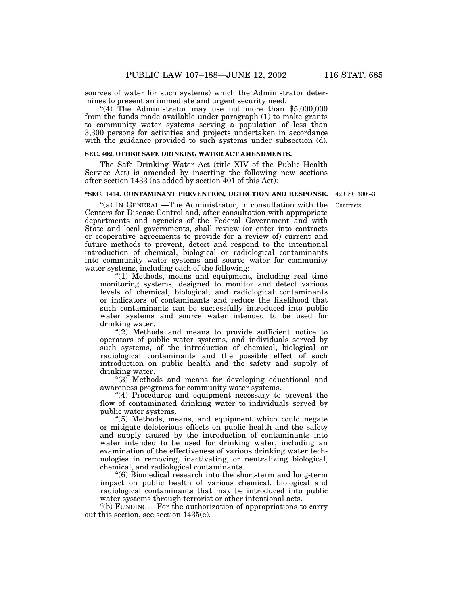sources of water for such systems) which the Administrator determines to present an immediate and urgent security need.

"(4) The Administrator may use not more than \$5,000,000 from the funds made available under paragraph (1) to make grants to community water systems serving a population of less than 3,300 persons for activities and projects undertaken in accordance with the guidance provided to such systems under subsection (d).

#### **SEC. 402. OTHER SAFE DRINKING WATER ACT AMENDMENTS.**

The Safe Drinking Water Act (title XIV of the Public Health Service Act) is amended by inserting the following new sections after section 1433 (as added by section 401 of this Act):

### **''SEC. 1434. CONTAMINANT PREVENTION, DETECTION AND RESPONSE.**

42 USC 300i–3.

Contracts.

''(a) IN GENERAL.—The Administrator, in consultation with the Centers for Disease Control and, after consultation with appropriate departments and agencies of the Federal Government and with State and local governments, shall review (or enter into contracts or cooperative agreements to provide for a review of) current and future methods to prevent, detect and respond to the intentional introduction of chemical, biological or radiological contaminants into community water systems and source water for community water systems, including each of the following:

''(1) Methods, means and equipment, including real time monitoring systems, designed to monitor and detect various levels of chemical, biological, and radiological contaminants or indicators of contaminants and reduce the likelihood that such contaminants can be successfully introduced into public water systems and source water intended to be used for drinking water.

"(2) Methods and means to provide sufficient notice to operators of public water systems, and individuals served by such systems, of the introduction of chemical, biological or radiological contaminants and the possible effect of such introduction on public health and the safety and supply of drinking water.

''(3) Methods and means for developing educational and awareness programs for community water systems.

"(4) Procedures and equipment necessary to prevent the flow of contaminated drinking water to individuals served by public water systems.

''(5) Methods, means, and equipment which could negate or mitigate deleterious effects on public health and the safety and supply caused by the introduction of contaminants into water intended to be used for drinking water, including an examination of the effectiveness of various drinking water technologies in removing, inactivating, or neutralizing biological, chemical, and radiological contaminants.

''(6) Biomedical research into the short-term and long-term impact on public health of various chemical, biological and radiological contaminants that may be introduced into public water systems through terrorist or other intentional acts.

''(b) FUNDING.—For the authorization of appropriations to carry out this section, see section 1435(e).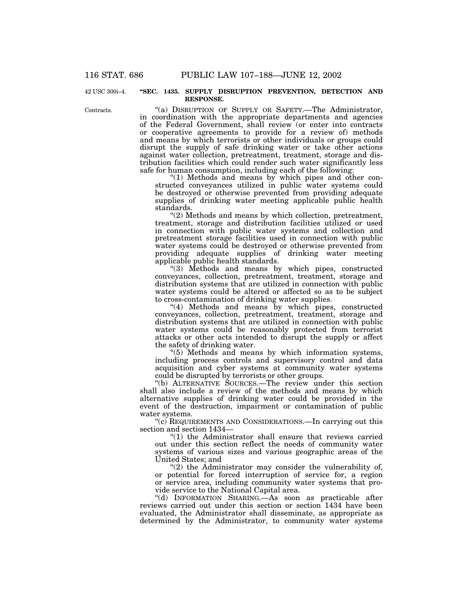#### **''SEC. 1435. SUPPLY DISRUPTION PREVENTION, DETECTION AND RESPONSE.**

"(a) DISRUPTION OF SUPPLY OR SAFETY.—The Administrator, in coordination with the appropriate departments and agencies of the Federal Government, shall review (or enter into contracts or cooperative agreements to provide for a review of) methods and means by which terrorists or other individuals or groups could disrupt the supply of safe drinking water or take other actions against water collection, pretreatment, treatment, storage and distribution facilities which could render such water significantly less safe for human consumption, including each of the following: safe for human consumption, including each of the following:<br>"(1) Methods and means by which pipes and other con-

structed conveyances utilized in public water systems could be destroyed or otherwise prevented from providing adequate supplies of drinking water meeting applicable public health standards.

"(2) Methods and means by which collection, pretreatment, treatment, storage and distribution facilities utilized or used in connection with public water systems and collection and pretreatment storage facilities used in connection with public water systems could be destroyed or otherwise prevented from providing adequate supplies of drinking water meeting applicable public health standards.

''(3) Methods and means by which pipes, constructed conveyances, collection, pretreatment, treatment, storage and distribution systems that are utilized in connection with public water systems could be altered or affected so as to be subject to cross-contamination of drinking water supplies.

to cross-contamination of drinking water supplies. ''(4) Methods and means by which pipes, constructed conveyances, collection, pretreatment, treatment, storage and distribution systems that are utilized in connection with public water systems could be reasonably protected from terrorist attacks or other acts intended to disrupt the supply or affect

" $(5)$  Methods and means by which information systems, including process controls and supervisory control and data acquisition and cyber systems at community water systems could be disrupted by terrorists or other groups.

''(b) ALTERNATIVE SOURCES.—The review under this section shall also include a review of the methods and means by which alternative supplies of drinking water could be provided in the event of the destruction, impairment or contamination of public water systems.

''(c) REQUIREMENTS AND CONSIDERATIONS.—In carrying out this section and section 1434—

''(1) the Administrator shall ensure that reviews carried out under this section reflect the needs of community water systems of various sizes and various geographic areas of the United States; and

 $\degree$ (2) the Administrator may consider the vulnerability of, or potential for forced interruption of service for, a region or service area, including community water systems that provide service to the National Capital area.

''(d) INFORMATION SHARING.—As soon as practicable after reviews carried out under this section or section 1434 have been evaluated, the Administrator shall disseminate, as appropriate as determined by the Administrator, to community water systems

Contracts.

42 USC 300i–4.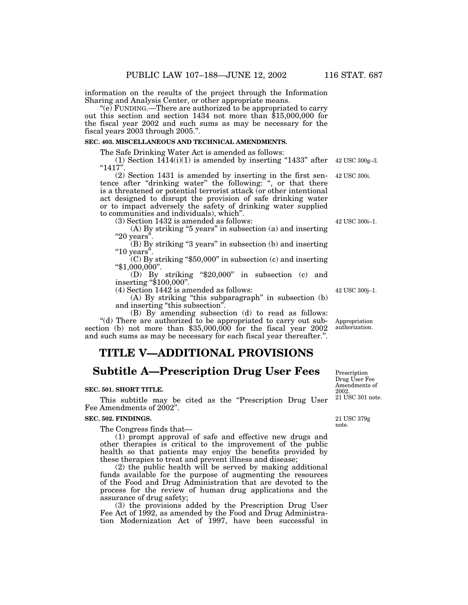information on the results of the project through the Information Sharing and Analysis Center, or other appropriate means.

"(e) FUNDING.—There are authorized to be appropriated to carry out this section and section 1434 not more than \$15,000,000 for the fiscal year 2002 and such sums as may be necessary for the fiscal years 2003 through 2005.''.

# **SEC. 403. MISCELLANEOUS AND TECHNICAL AMENDMENTS.**

The Safe Drinking Water Act is amended as follows:

" $1417"$ . (2) Section 1431 is amended by inserting in the first sen-(1) Section  $1414(i)(1)$  is amended by inserting "1433" after 42 USC 300g-3.

tence after "drinking water" the following: ", or that there is a threatened or potential terrorist attack (or other intentional act designed to disrupt the provision of safe drinking water or to impact adversely the safety of drinking water supplied to communities and individuals), which".<br>
(3) Section 1432 is amended as follows:<br>
(A) By striking "5 years" in subsection (a) and inserting 42 USC 300i–1.

(A) By striking "5 years" in subsection (a) and inserting<br>
"20 years".<br>
(B) By striking "3 years" in subsection (b) and inserting<br>
"10 years".<br>
(C) By striking "\$50,000" in subsection (c) and inserting<br>
"\$1,000,000".<br>
(D)

inserting "\$100,000".<br>(4) Section 1442 is amended as follows:

(A) By striking ''this subparagraph'' in subsection (b) and inserting ''this subsection''.

(B) By amending subsection (d) to read as follows: "(d) There are authorized to be appropriated to carry out subsection (b) not more than \$35,000,000 for the fiscal year 2002 and such sums as may be necessary for each fiscal year thereafter.''.

# **TITLE V—ADDITIONAL PROVISIONS**

# **Subtitle A—Prescription Drug User Fees**

## **SEC. 501. SHORT TITLE.**

This subtitle may be cited as the "Prescription Drug User Fee Amendments of 2002".

#### **SEC. 502. FINDINGS.**

The Congress finds that—

(1) prompt approval of safe and effective new drugs and other therapies is critical to the improvement of the public health so that patients may enjoy the benefits provided by these therapies to treat and prevent illness and disease;

(2) the public health will be served by making additional funds available for the purpose of augmenting the resources of the Food and Drug Administration that are devoted to the process for the review of human drug applications and the assurance of drug safety;

(3) the provisions added by the Prescription Drug User Fee Act of 1992, as amended by the Food and Drug Administration Modernization Act of 1997, have been successful in

21 USC 301 note. Prescription Drug User Fee Amendments of 2002.

Appropriation authorization.

42 USC 300j–1.

21 USC 379g note.

42 USC 300i.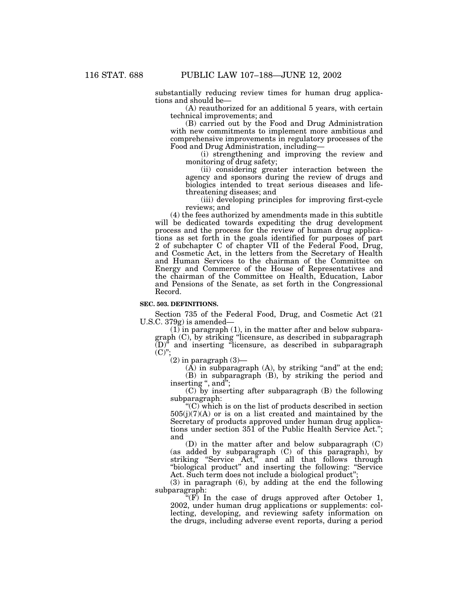substantially reducing review times for human drug applications and should be—

 $(A)$  reauthorized for an additional 5 years, with certain technical improvements; and

(B) carried out by the Food and Drug Administration with new commitments to implement more ambitious and comprehensive improvements in regulatory processes of the Food and Drug Administration, including—

(i) strengthening and improving the review and monitoring of drug safety;

(ii) considering greater interaction between the agency and sponsors during the review of drugs and biologics intended to treat serious diseases and lifethreatening diseases; and

(iii) developing principles for improving first-cycle reviews; and

(4) the fees authorized by amendments made in this subtitle will be dedicated towards expediting the drug development process and the process for the review of human drug applications as set forth in the goals identified for purposes of part 2 of subchapter C of chapter VII of the Federal Food, Drug, and Cosmetic Act, in the letters from the Secretary of Health and Human Services to the chairman of the Committee on Energy and Commerce of the House of Representatives and the chairman of the Committee on Health, Education, Labor and Pensions of the Senate, as set forth in the Congressional Record.

#### **SEC. 503. DEFINITIONS.**

Section 735 of the Federal Food, Drug, and Cosmetic Act (21 U.S.C. 379g) is amended—

 $(1)$  in paragraph  $(1)$ , in the matter after and below subparagraph (C), by striking ''licensure, as described in subparagraph  $(D)$ <sup>\*</sup> and inserting "licensure, as described in subparagraph  $(C)$ :

 $(2)$  in paragraph  $(3)$ —

 $(A)$  in subparagraph  $(A)$ , by striking "and" at the end; (B) in subparagraph (B), by striking the period and inserting ", and";

(C) by inserting after subparagraph (B) the following subparagraph:

 $(C)$  which is on the list of products described in section  $505(j)(7)(A)$  or is on a list created and maintained by the Secretary of products approved under human drug applications under section 351 of the Public Health Service Act.''; and

(D) in the matter after and below subparagraph (C) (as added by subparagraph  $(C)$  of this paragraph), by striking ''Service Act,'' and all that follows through ''biological product'' and inserting the following: ''Service Act. Such term does not include a biological product";

(3) in paragraph (6), by adding at the end the following subparagraph:

" $(F)$  In the case of drugs approved after October 1, 2002, under human drug applications or supplements: collecting, developing, and reviewing safety information on the drugs, including adverse event reports, during a period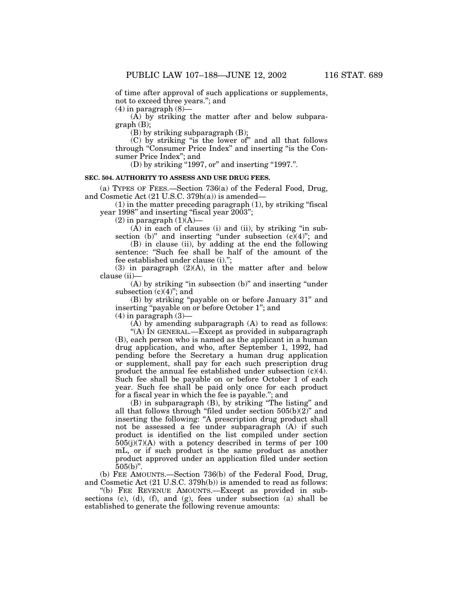of time after approval of such applications or supplements, not to exceed three years.''; and

 $(4)$  in paragraph  $(8)$ —

 $(A)$  by striking the matter after and below subparagraph (B);

(B) by striking subparagraph (B);

(C) by striking ''is the lower of'' and all that follows through "Consumer Price Index" and inserting "is the Consumer Price Index''; and

(D) by striking "1997, or" and inserting "1997.".

## **SEC. 504. AUTHORITY TO ASSESS AND USE DRUG FEES.**

(a) TYPES OF FEES.—Section 736(a) of the Federal Food, Drug, and Cosmetic Act (21 U.S.C. 379h(a)) is amended—

 $(1)$  in the matter preceding paragraph  $(1)$ , by striking "fiscal year 1998'' and inserting ''fiscal year 2003'';

 $(2)$  in paragraph  $(1)(A)$ —

(A) in each of clauses (i) and (ii), by striking ''in subsection (b)" and inserting "under subsection  $(c)(4)$ "; and

(B) in clause (ii), by adding at the end the following sentence: ''Such fee shall be half of the amount of the fee established under clause (i).'';

(3) in paragraph  $(2)(A)$ , in the matter after and below clause (ii)—

(A) by striking ''in subsection (b)'' and inserting ''under subsection  $(c)(4)$ "; and

(B) by striking ''payable on or before January 31'' and inserting ''payable on or before October 1''; and

 $(4)$  in paragraph  $(3)$ —

 $(A)$  by amending subparagraph  $(A)$  to read as follows:

''(A) IN GENERAL.—Except as provided in subparagraph (B), each person who is named as the applicant in a human drug application, and who, after September 1, 1992, had pending before the Secretary a human drug application or supplement, shall pay for each such prescription drug product the annual fee established under subsection (c)(4). Such fee shall be payable on or before October 1 of each year. Such fee shall be paid only once for each product for a fiscal year in which the fee is payable.''; and

(B) in subparagraph (B), by striking ''The listing'' and all that follows through "filed under section  $505(b)(2)$ " and inserting the following: "A prescription drug product shall not be assessed a fee under subparagraph (A) if such product is identified on the list compiled under section  $505(j)(7)(A)$  with a potency described in terms of per 100 mL, or if such product is the same product as another product approved under an application filed under section 505(b)''.

(b) FEE AMOUNTS.—Section 736(b) of the Federal Food, Drug, and Cosmetic Act (21 U.S.C. 379h(b)) is amended to read as follows:

''(b) FEE REVENUE AMOUNTS.—Except as provided in subsections (c), (d), (f), and (g), fees under subsection (a) shall be established to generate the following revenue amounts: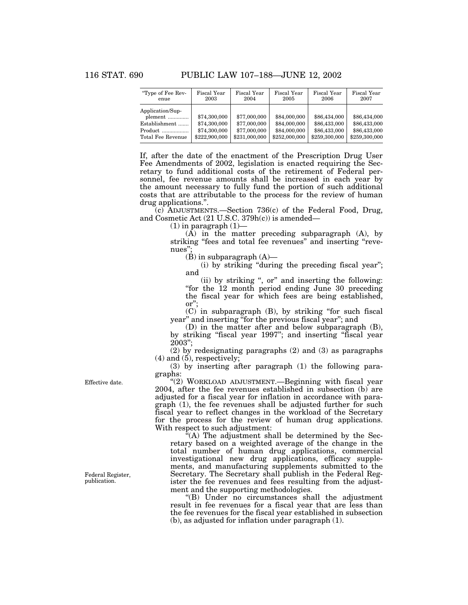| "Type of Fee Rev-                                                            | Fiscal Year                                                   | Fiscal Year                                                   | Fiscal Year                                                   | Fiscal Year                                                   | Fiscal Year                                                   |
|------------------------------------------------------------------------------|---------------------------------------------------------------|---------------------------------------------------------------|---------------------------------------------------------------|---------------------------------------------------------------|---------------------------------------------------------------|
| enue                                                                         | 2003                                                          | 2004                                                          | 2005                                                          | 2006                                                          | 2007                                                          |
| Application/Sup-<br>plement<br>Establishment<br>Product<br>Total Fee Revenue | \$74,300,000<br>\$74,300,000<br>\$74,300,000<br>\$222,900,000 | \$77,000,000<br>\$77,000,000<br>\$77,000,000<br>\$231,000,000 | \$84,000,000<br>\$84,000,000<br>\$84,000,000<br>\$252,000,000 | \$86,434,000<br>\$86,433,000<br>\$86,433,000<br>\$259,300,000 | \$86,434,000<br>\$86,433,000<br>\$86,433,000<br>\$259,300,000 |

If, after the date of the enactment of the Prescription Drug User Fee Amendments of 2002, legislation is enacted requiring the Secretary to fund additional costs of the retirement of Federal personnel, fee revenue amounts shall be increased in each year by the amount necessary to fully fund the portion of such additional costs that are attributable to the process for the review of human drug applications.''.

(c) ADJUSTMENTS.—Section 736(c) of the Federal Food, Drug, and Cosmetic Act (21 U.S.C. 379h(c)) is amended—

 $(1)$  in paragraph  $(1)$ —

(A) in the matter preceding subparagraph (A), by striking "fees and total fee revenues" and inserting "revenues"

 $(B)$  in subparagraph  $(A)$ —

(i) by striking ''during the preceding fiscal year''; and

(ii) by striking ", or" and inserting the following: ''for the 12 month period ending June 30 preceding the fiscal year for which fees are being established, or'';

(C) in subparagraph (B), by striking ''for such fiscal year'' and inserting ''for the previous fiscal year''; and

(D) in the matter after and below subparagraph (B), by striking ''fiscal year 1997''; and inserting ''fiscal year 2003'';

(2) by redesignating paragraphs (2) and (3) as paragraphs  $(4)$  and  $(5)$ , respectively;

(3) by inserting after paragraph (1) the following paragraphs:

''(2) WORKLOAD ADJUSTMENT.—Beginning with fiscal year 2004, after the fee revenues established in subsection (b) are adjusted for a fiscal year for inflation in accordance with paragraph (1), the fee revenues shall be adjusted further for such fiscal year to reflect changes in the workload of the Secretary for the process for the review of human drug applications. With respect to such adjustment:

"(A) The adjustment shall be determined by the Secretary based on a weighted average of the change in the total number of human drug applications, commercial investigational new drug applications, efficacy supplements, and manufacturing supplements submitted to the Secretary. The Secretary shall publish in the Federal Register the fee revenues and fees resulting from the adjustment and the supporting methodologies.

''(B) Under no circumstances shall the adjustment result in fee revenues for a fiscal year that are less than the fee revenues for the fiscal year established in subsection (b), as adjusted for inflation under paragraph (1).

Effective date.

Federal Register, publication.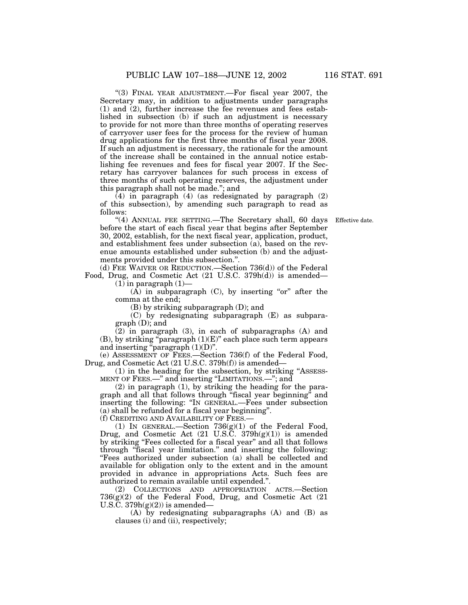"(3) FINAL YEAR ADJUSTMENT.—For fiscal year 2007, the Secretary may, in addition to adjustments under paragraphs (1) and (2), further increase the fee revenues and fees established in subsection (b) if such an adjustment is necessary to provide for not more than three months of operating reserves of carryover user fees for the process for the review of human drug applications for the first three months of fiscal year 2008. If such an adjustment is necessary, the rationale for the amount of the increase shall be contained in the annual notice establishing fee revenues and fees for fiscal year 2007. If the Secretary has carryover balances for such process in excess of three months of such operating reserves, the adjustment under this paragraph shall not be made.''; and

(4) in paragraph (4) (as redesignated by paragraph (2) of this subsection), by amending such paragraph to read as follows:

Effective date.

''(4) ANNUAL FEE SETTING.—The Secretary shall, 60 days before the start of each fiscal year that begins after September 30, 2002, establish, for the next fiscal year, application, product, and establishment fees under subsection (a), based on the revenue amounts established under subsection (b) and the adjustments provided under this subsection.''.

(d) FEE WAIVER OR REDUCTION.—Section 736(d)) of the Federal Food, Drug, and Cosmetic Act (21 U.S.C. 379h(d)) is amended—  $(1)$  in paragraph  $(1)$ —

> $(A)$  in subparagraph  $(C)$ , by inserting "or" after the comma at the end;

(B) by striking subparagraph (D); and

(C) by redesignating subparagraph (E) as subparagraph (D); and

(2) in paragraph (3), in each of subparagraphs (A) and (B), by striking ''paragraph (1)(E)'' each place such term appears and inserting "paragraph  $(1)(D)$ ".

(e) ASSESSMENT OF FEES.—Section 736(f) of the Federal Food, Drug, and Cosmetic Act (21 U.S.C. 379h(f)) is amended—

(1) in the heading for the subsection, by striking ''ASSESS-MENT OF FEES.—'' and inserting ''LIMITATIONS.—''; and

(2) in paragraph (1), by striking the heading for the paragraph and all that follows through ''fiscal year beginning'' and inserting the following: ''IN GENERAL.—Fees under subsection (a) shall be refunded for a fiscal year beginning''.

(f) CREDITING AND AVAILABILITY OF FEES.—

(1) IN GENERAL.—Section  $736(g)(1)$  of the Federal Food, Drug, and Cosmetic Act  $(21 \text{ U.S.C. } 379h(g)(1))$  is amended by striking "Fees collected for a fiscal year" and all that follows through ''fiscal year limitation.'' and inserting the following: "Fees authorized under subsection (a) shall be collected and available for obligation only to the extent and in the amount provided in advance in appropriations Acts. Such fees are authorized to remain available until expended.''.

(2) COLLECTIONS AND APPROPRIATION ACTS.—Section 736(g)(2) of the Federal Food, Drug, and Cosmetic Act (21 U.S.C.  $379h(g)(2)$  is amended—

(A) by redesignating subparagraphs (A) and (B) as clauses (i) and (ii), respectively;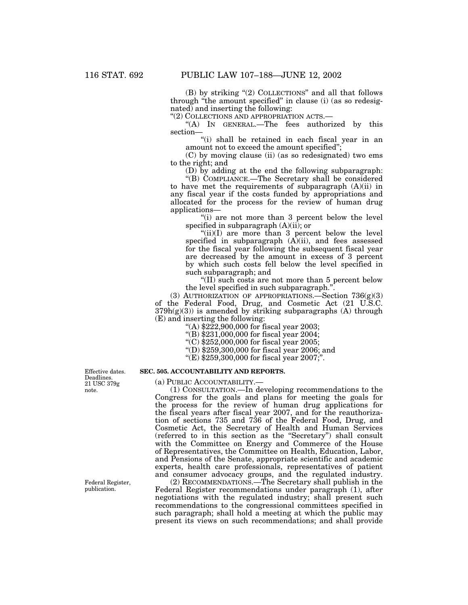(B) by striking "(2) COLLECTIONS" and all that follows through "the amount specified" in clause (i) (as so redesignated) and inserting the following:

''(2) COLLECTIONS AND APPROPRIATION ACTS.—

''(A) IN GENERAL.—The fees authorized by this section—

''(i) shall be retained in each fiscal year in an amount not to exceed the amount specified'';

(C) by moving clause (ii) (as so redesignated) two ems to the right; and

(D) by adding at the end the following subparagraph:

''(B) COMPLIANCE.—The Secretary shall be considered to have met the requirements of subparagraph (A)(ii) in any fiscal year if the costs funded by appropriations and allocated for the process for the review of human drug applications—

''(i) are not more than 3 percent below the level specified in subparagraph  $(A)(ii)$ ; or

 $(ii)(I)$  are more than 3 percent below the level specified in subparagraph  $(A)(ii)$ , and fees assessed for the fiscal year following the subsequent fiscal year are decreased by the amount in excess of 3 percent by which such costs fell below the level specified in such subparagraph; and

''(II) such costs are not more than 5 percent below the level specified in such subparagraph.''.

(3) AUTHORIZATION OF APPROPRIATIONS. Section  $736(g)(3)$ of the Federal Food, Drug, and Cosmetic Act (21 U.S.C.  $379h(g)(3)$ ) is amended by striking subparagraphs (A) through (E) and inserting the following:

"(A)  $$2\bar{2}2,900,000$  for fiscal year 2003;

''(B) \$231,000,000 for fiscal year 2004;

 $(C)$  \$252,000,000 for fiscal year 2005;

 $!(D)$  \$259,300,000 for fiscal year 2006; and

"(E)  $$259,300,000$  for fiscal year 2007;".

Effective dates. Deadlines. 21 USC 379g note.

Federal Register, publication.

#### **SEC. 505. ACCOUNTABILITY AND REPORTS.**

(a) PUBLIC ACCOUNTABILITY.—

(1) CONSULTATION.—In developing recommendations to the Congress for the goals and plans for meeting the goals for the process for the review of human drug applications for the fiscal years after fiscal year 2007, and for the reauthorization of sections 735 and 736 of the Federal Food, Drug, and Cosmetic Act, the Secretary of Health and Human Services (referred to in this section as the ''Secretary'') shall consult with the Committee on Energy and Commerce of the House of Representatives, the Committee on Health, Education, Labor, and Pensions of the Senate, appropriate scientific and academic experts, health care professionals, representatives of patient and consumer advocacy groups, and the regulated industry.

(2) RECOMMENDATIONS.—The Secretary shall publish in the Federal Register recommendations under paragraph (1), after negotiations with the regulated industry; shall present such recommendations to the congressional committees specified in such paragraph; shall hold a meeting at which the public may present its views on such recommendations; and shall provide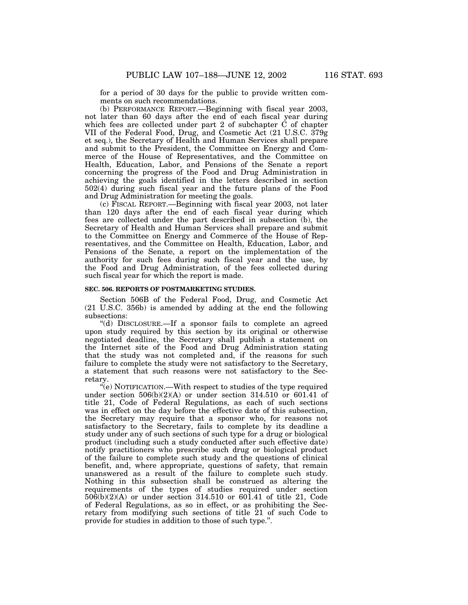for a period of 30 days for the public to provide written comments on such recommendations.

(b) PERFORMANCE REPORT.—Beginning with fiscal year 2003, not later than 60 days after the end of each fiscal year during which fees are collected under part 2 of subchapter C of chapter VII of the Federal Food, Drug, and Cosmetic Act (21 U.S.C. 379g et seq.), the Secretary of Health and Human Services shall prepare and submit to the President, the Committee on Energy and Commerce of the House of Representatives, and the Committee on Health, Education, Labor, and Pensions of the Senate a report concerning the progress of the Food and Drug Administration in achieving the goals identified in the letters described in section 502(4) during such fiscal year and the future plans of the Food and Drug Administration for meeting the goals.

(c) FISCAL REPORT.—Beginning with fiscal year 2003, not later than 120 days after the end of each fiscal year during which fees are collected under the part described in subsection (b), the Secretary of Health and Human Services shall prepare and submit to the Committee on Energy and Commerce of the House of Representatives, and the Committee on Health, Education, Labor, and Pensions of the Senate, a report on the implementation of the authority for such fees during such fiscal year and the use, by the Food and Drug Administration, of the fees collected during such fiscal year for which the report is made.

### **SEC. 506. REPORTS OF POSTMARKETING STUDIES.**

Section 506B of the Federal Food, Drug, and Cosmetic Act (21 U.S.C. 356b) is amended by adding at the end the following subsections:

''(d) DISCLOSURE.—If a sponsor fails to complete an agreed upon study required by this section by its original or otherwise negotiated deadline, the Secretary shall publish a statement on the Internet site of the Food and Drug Administration stating that the study was not completed and, if the reasons for such failure to complete the study were not satisfactory to the Secretary, a statement that such reasons were not satisfactory to the Secretary.

''(e) NOTIFICATION.—With respect to studies of the type required under section 506(b)(2)(A) or under section 314.510 or 601.41 of title 21, Code of Federal Regulations, as each of such sections was in effect on the day before the effective date of this subsection, the Secretary may require that a sponsor who, for reasons not satisfactory to the Secretary, fails to complete by its deadline a study under any of such sections of such type for a drug or biological product (including such a study conducted after such effective date) notify practitioners who prescribe such drug or biological product of the failure to complete such study and the questions of clinical benefit, and, where appropriate, questions of safety, that remain unanswered as a result of the failure to complete such study. Nothing in this subsection shall be construed as altering the requirements of the types of studies required under section 506(b)(2)(A) or under section 314.510 or 601.41 of title 21, Code of Federal Regulations, as so in effect, or as prohibiting the Secretary from modifying such sections of title 21 of such Code to provide for studies in addition to those of such type.''.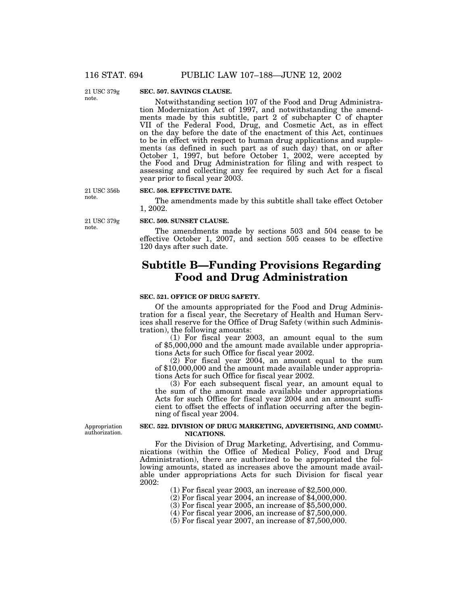21 USC 379 $\sigma$ note.

# **SEC. 507. SAVINGS CLAUSE.**

Notwithstanding section 107 of the Food and Drug Administration Modernization Act of 1997, and notwithstanding the amendments made by this subtitle, part 2 of subchapter C of chapter VII of the Federal Food, Drug, and Cosmetic Act, as in effect on the day before the date of the enactment of this Act, continues to be in effect with respect to human drug applications and supplements (as defined in such part as of such day) that, on or after October 1, 1997, but before October 1, 2002, were accepted by the Food and Drug Administration for filing and with respect to assessing and collecting any fee required by such Act for a fiscal year prior to fiscal year 2003.

21 USC 356b note.

#### **SEC. 508. EFFECTIVE DATE.**

The amendments made by this subtitle shall take effect October 1, 2002.

21 USC 379g note.

#### **SEC. 509. SUNSET CLAUSE.**

The amendments made by sections 503 and 504 cease to be effective October 1, 2007, and section 505 ceases to be effective 120 days after such date.

# **Subtitle B—Funding Provisions Regarding Food and Drug Administration**

## **SEC. 521. OFFICE OF DRUG SAFETY.**

Of the amounts appropriated for the Food and Drug Administration for a fiscal year, the Secretary of Health and Human Services shall reserve for the Office of Drug Safety (within such Administration), the following amounts:

(1) For fiscal year 2003, an amount equal to the sum of \$5,000,000 and the amount made available under appropriations Acts for such Office for fiscal year 2002.

of \$10,000,000 and the amount made available under appropriations Acts for such Office for fiscal year 2002.

(3) For each subsequent fiscal year, an amount equal to the sum of the amount made available under appropriations Acts for such Office for fiscal year 2004 and an amount sufficient to offset the effects of inflation occurring after the beginning of fiscal year 2004.

Appropriation authorization.

## **SEC. 522. DIVISION OF DRUG MARKETING, ADVERTISING, AND COMMU-NICATIONS.**

For the Division of Drug Marketing, Advertising, and Communications (within the Office of Medical Policy, Food and Drug Administration), there are authorized to be appropriated the following amounts, stated as increases above the amount made available under appropriations Acts for such Division for fiscal year 2002:

(1) For fiscal year 2003, an increase of \$2,500,000.

(2) For fiscal year 2004, an increase of \$4,000,000.

(3) For fiscal year 2005, an increase of \$5,500,000.

(4) For fiscal year 2006, an increase of \$7,500,000.

(5) For fiscal year 2007, an increase of \$7,500,000.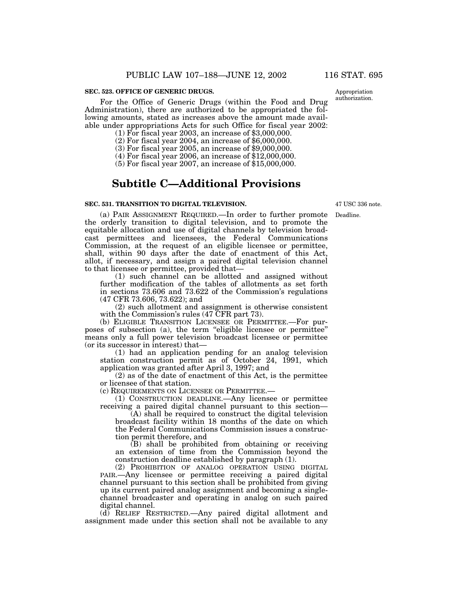#### **SEC. 523. OFFICE OF GENERIC DRUGS.**

Appropriation authorization.

For the Office of Generic Drugs (within the Food and Drug Administration), there are authorized to be appropriated the following amounts, stated as increases above the amount made available under appropriations Acts for such Office for fiscal year 2002:

(1) For fiscal year 2003, an increase of \$3,000,000.

(2) For fiscal year 2004, an increase of \$6,000,000.

(3) For fiscal year 2005, an increase of \$9,000,000.

(4) For fiscal year 2006, an increase of \$12,000,000.

(5) For fiscal year 2007, an increase of \$15,000,000.

# **Subtitle C—Additional Provisions**

### **SEC. 531. TRANSITION TO DIGITAL TELEVISION.**

(a) PAIR ASSIGNMENT REQUIRED.—In order to further promote Deadline. the orderly transition to digital television, and to promote the equitable allocation and use of digital channels by television broadcast permittees and licensees, the Federal Communications Commission, at the request of an eligible licensee or permittee, shall, within 90 days after the date of enactment of this Act, allot, if necessary, and assign a paired digital television channel to that licensee or permittee, provided that—

(1) such channel can be allotted and assigned without further modification of the tables of allotments as set forth in sections 73.606 and 73.622 of the Commission's regulations (47 CFR 73.606, 73.622); and

(2) such allotment and assignment is otherwise consistent with the Commission's rules (47 CFR part 73).

(b) ELIGIBLE TRANSITION LICENSEE OR PERMITTEE.—For purposes of subsection (a), the term ''eligible licensee or permittee'' means only a full power television broadcast licensee or permittee (or its successor in interest) that—

(1) had an application pending for an analog television station construction permit as of October 24, 1991, which application was granted after April 3, 1997; and

(2) as of the date of enactment of this Act, is the permittee or licensee of that station.

(c) REQUIREMENTS ON LICENSEE OR PERMITTEE.—

(1) CONSTRUCTION DEADLINE.—Any licensee or permittee receiving a paired digital channel pursuant to this section—

(A) shall be required to construct the digital television broadcast facility within 18 months of the date on which the Federal Communications Commission issues a construction permit therefore, and

(B) shall be prohibited from obtaining or receiving an extension of time from the Commission beyond the construction deadline established by paragraph (1).

(2) PROHIBITION OF ANALOG OPERATION USING DIGITAL PAIR.—Any licensee or permittee receiving a paired digital channel pursuant to this section shall be prohibited from giving up its current paired analog assignment and becoming a singlechannel broadcaster and operating in analog on such paired digital channel.

(d) RELIEF RESTRICTED.—Any paired digital allotment and assignment made under this section shall not be available to any

47 USC 336 note.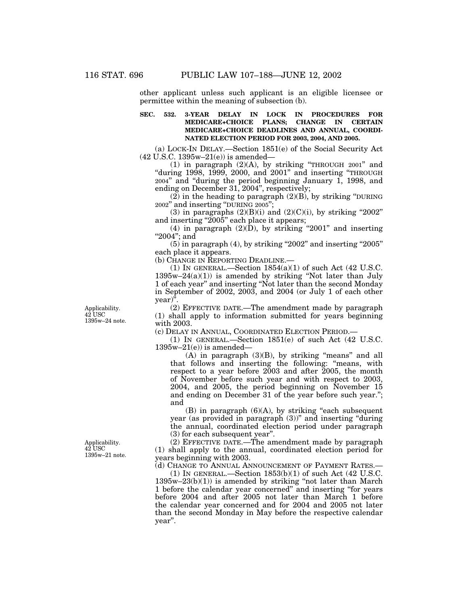other applicant unless such applicant is an eligible licensee or permittee within the meaning of subsection (b).

# **SEC. 532. 3-YEAR DELAY IN LOCK IN PROCEDURES FOR MEDICARE+CHOICE PLANS; CHANGE IN CERTAIN MEDICARE+CHOICE DEADLINES AND ANNUAL, COORDI-NATED ELECTION PERIOD FOR 2003, 2004, AND 2005.**

(a) LOCK-IN DELAY.—Section 1851(e) of the Social Security Act (42 U.S.C. 1395w–21(e)) is amended—

(1) in paragraph (2)(A), by striking ''THROUGH 2001'' and "during 1998, 1999, 2000, and 2001" and inserting "THROUGH 2004'' and ''during the period beginning January 1, 1998, and ending on December 31, 2004", respectively;

 $(2)$  in the heading to paragraph  $(2)(B)$ , by striking "DURING" 2002'' and inserting ''DURING 2005'';

(3) in paragraphs  $(2)(B)(i)$  and  $(2)(C)(i)$ , by striking "2002" and inserting "2005" each place it appears;

 $(4)$  in paragraph  $(2)(D)$ , by striking "2001" and inserting "2004"; and

 $(5)$  in paragraph  $(4)$ , by striking "2002" and inserting "2005" each place it appears.

(b) CHANGE IN REPORTING DEADLINE.—

(1) IN GENERAL.—Section  $1854(a)(1)$  of such Act (42 U.S.C.  $1395w-24(a)(1)$  is amended by striking "Not later than July 1 of each year'' and inserting ''Not later than the second Monday in September of 2002, 2003, and 2004 (or July 1 of each other year)''.

(2) EFFECTIVE DATE.—The amendment made by paragraph (1) shall apply to information submitted for years beginning with 2003.

(c) DELAY IN ANNUAL, COORDINATED ELECTION PERIOD.—

(1) IN GENERAL.—Section 1851(e) of such Act (42 U.S.C.  $1395w-21(e)$  is amended-

 $(A)$  in paragraph  $(3)(B)$ , by striking "means" and all that follows and inserting the following: ''means, with respect to a year before 2003 and after 2005, the month of November before such year and with respect to 2003, 2004, and 2005, the period beginning on November 15 and ending on December 31 of the year before such year.''; and

 $(B)$  in paragraph  $(6)(A)$ , by striking "each subsequent year (as provided in paragraph (3))'' and inserting ''during the annual, coordinated election period under paragraph (3) for each subsequent year''.

(2) EFFECTIVE DATE.—The amendment made by paragraph (1) shall apply to the annual, coordinated election period for years beginning with 2003.

(d) CHANGE TO ANNUAL ANNOUNCEMENT OF PAYMENT RATES.—

(1) IN GENERAL.—Section  $1853(b)(1)$  of such Act (42 U.S.C.  $1395w-23(b)(1)$  is amended by striking "not later than March" 1 before the calendar year concerned'' and inserting ''for years before 2004 and after 2005 not later than March 1 before the calendar year concerned and for 2004 and 2005 not later than the second Monday in May before the respective calendar year''.

Applicability.  $42$  USC 1395w–24 note.

Applicability.  $42$  USC 1395w–21 note.